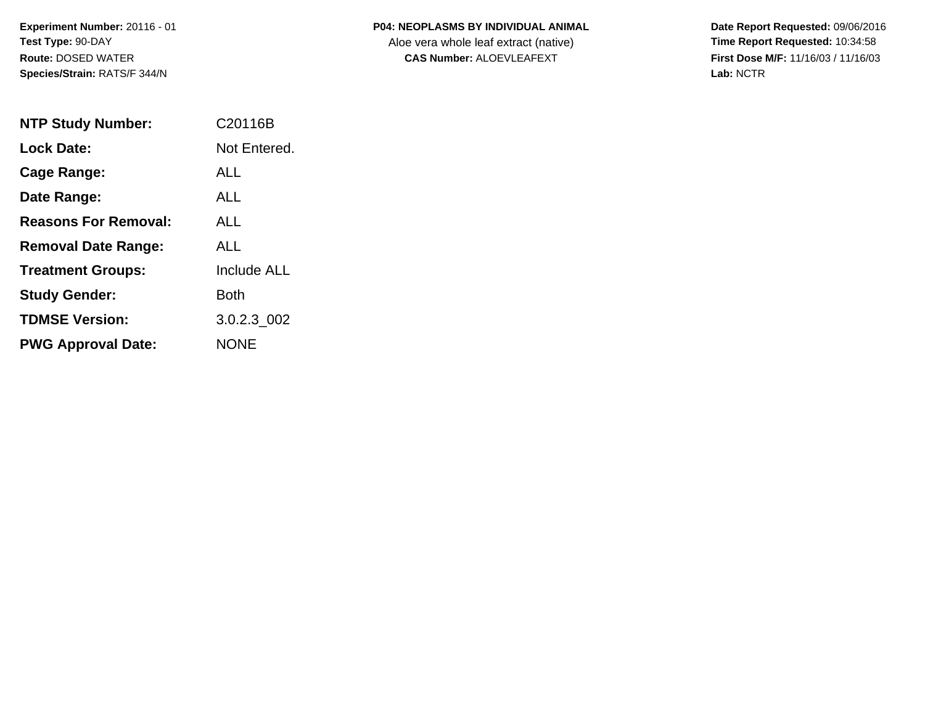| <b>P04: NEOPLASMS BY INDIVIDUAL ANIMAL</b> |
|--------------------------------------------|
|                                            |

Aloe vera whole leaf extract (native)<br>**CAS Number:** ALOEVLEAFEXT

| <b>NTP Study Number:</b>    | C <sub>20116</sub> B |
|-----------------------------|----------------------|
| <b>Lock Date:</b>           | Not Entered.         |
| Cage Range:                 | AI L                 |
| Date Range:                 | AI I                 |
| <b>Reasons For Removal:</b> | AI I                 |
| <b>Removal Date Range:</b>  | AI L                 |
| <b>Treatment Groups:</b>    | <b>Include ALL</b>   |
| <b>Study Gender:</b>        | Both                 |
| <b>TDMSE Version:</b>       | 3.0.2.3 002          |
| <b>PWG Approval Date:</b>   | <b>NONF</b>          |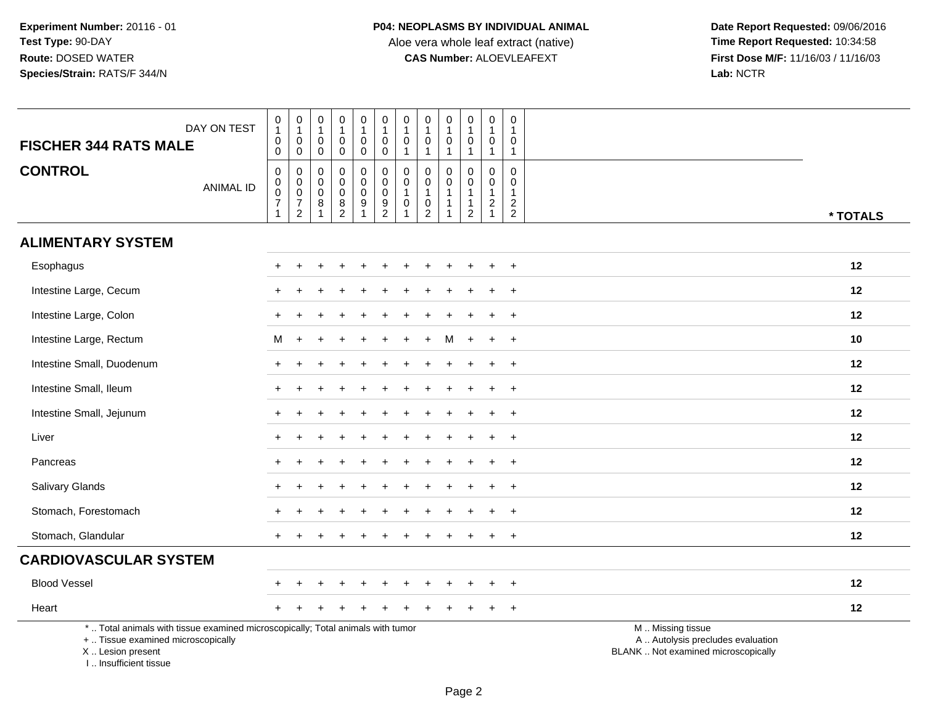| DAY ON TEST<br><b>FISCHER 344 RATS MALE</b>                                                                                                                         | $\begin{smallmatrix}0\\1\end{smallmatrix}$<br>$\mathbf 0$<br>$\mathsf{O}$ | $\begin{smallmatrix}0\\1\end{smallmatrix}$<br>$\mathbf 0$<br>$\mathbf 0$ | $\pmb{0}$<br>$\mathbf{1}$<br>$\mathbf 0$<br>$\mathbf 0$           | $\mathbf 0$<br>$\mathbf{1}$<br>$\mathbf 0$<br>$\mathbf 0$  | $\pmb{0}$<br>$\mathbf{1}$<br>0<br>$\mathbf 0$    | $\pmb{0}$<br>$\mathbf{1}$<br>0<br>0                        | $\pmb{0}$<br>$\mathbf{1}$<br>$\mathbf 0$<br>$\overline{1}$ | $\pmb{0}$<br>$\overline{1}$<br>$\mathbf 0$<br>$\mathbf{1}$                                 | $\pmb{0}$<br>$\mathbf{1}$<br>$\mathbf 0$<br>$\mathbf{1}$                 | $\,0\,$<br>$\mathbf{1}$<br>$\mathbf 0$<br>$\mathbf{1}$                     | 0<br>$\mathbf{1}$<br>$\mathbf 0$<br>$\mathbf{1}$                             | $\mathbf 0$<br>$\mathbf{1}$<br>0<br>$\mathbf{1}$                            |                                                                                               |
|---------------------------------------------------------------------------------------------------------------------------------------------------------------------|---------------------------------------------------------------------------|--------------------------------------------------------------------------|-------------------------------------------------------------------|------------------------------------------------------------|--------------------------------------------------|------------------------------------------------------------|------------------------------------------------------------|--------------------------------------------------------------------------------------------|--------------------------------------------------------------------------|----------------------------------------------------------------------------|------------------------------------------------------------------------------|-----------------------------------------------------------------------------|-----------------------------------------------------------------------------------------------|
| <b>CONTROL</b><br><b>ANIMAL ID</b>                                                                                                                                  | 0<br>$\mathbf 0$<br>$\mathbf 0$<br>$\overline{7}$<br>$\mathbf{1}$         | $\mathbf 0$<br>$\overline{0}$<br>$\overline{7}$<br>$\overline{2}$        | $\Omega$<br>$\mathsf 0$<br>$\mathbf 0$<br>$\bf 8$<br>$\mathbf{1}$ | $\mathbf 0$<br>$\mathbf 0$<br>$\mathbf 0$<br>$\frac{8}{2}$ | 0<br>$\mathbf 0$<br>$\mathsf 0$<br>$\frac{9}{1}$ | $\mathbf 0$<br>$\mathbf 0$<br>$\mathbf 0$<br>$\frac{9}{2}$ | 0<br>$\pmb{0}$<br>$\mathbf{1}$<br>$\pmb{0}$<br>1           | $\mathbf 0$<br>$\mathbf 0$<br>$\mathbf{1}$<br>$\begin{smallmatrix} 0\\2 \end{smallmatrix}$ | $\Omega$<br>$\mathbf 0$<br>$\mathbf{1}$<br>-1<br>$\overline{\mathbf{1}}$ | 0<br>$\mathsf{O}\xspace$<br>$\mathbf{1}$<br>$\mathbf{1}$<br>$\overline{c}$ | $\mathbf 0$<br>$\mathbf 0$<br>$\mathbf{1}$<br>$\overline{a}$<br>$\mathbf{1}$ | $\mathbf{0}$<br>$\mathbf 0$<br>$\mathbf{1}$<br>$\sqrt{2}$<br>$\overline{2}$ | * TOTALS                                                                                      |
| <b>ALIMENTARY SYSTEM</b>                                                                                                                                            |                                                                           |                                                                          |                                                                   |                                                            |                                                  |                                                            |                                                            |                                                                                            |                                                                          |                                                                            |                                                                              |                                                                             |                                                                                               |
| Esophagus                                                                                                                                                           |                                                                           |                                                                          |                                                                   |                                                            |                                                  |                                                            |                                                            |                                                                                            |                                                                          |                                                                            |                                                                              | $\ddot{}$                                                                   | 12                                                                                            |
| Intestine Large, Cecum                                                                                                                                              |                                                                           |                                                                          |                                                                   |                                                            |                                                  |                                                            |                                                            |                                                                                            |                                                                          |                                                                            |                                                                              |                                                                             | 12                                                                                            |
| Intestine Large, Colon                                                                                                                                              |                                                                           |                                                                          |                                                                   |                                                            |                                                  |                                                            |                                                            |                                                                                            |                                                                          |                                                                            |                                                                              | $\ddot{}$                                                                   | 12                                                                                            |
| Intestine Large, Rectum                                                                                                                                             | м                                                                         |                                                                          |                                                                   |                                                            |                                                  |                                                            |                                                            |                                                                                            |                                                                          |                                                                            |                                                                              | $\ddot{}$                                                                   | 10                                                                                            |
| Intestine Small, Duodenum                                                                                                                                           |                                                                           |                                                                          |                                                                   |                                                            |                                                  |                                                            |                                                            |                                                                                            |                                                                          |                                                                            |                                                                              | $\ddot{}$                                                                   | 12                                                                                            |
| Intestine Small, Ileum                                                                                                                                              | $\pm$                                                                     |                                                                          |                                                                   |                                                            |                                                  |                                                            |                                                            |                                                                                            |                                                                          |                                                                            |                                                                              | $\pm$                                                                       | 12                                                                                            |
| Intestine Small, Jejunum                                                                                                                                            |                                                                           |                                                                          |                                                                   |                                                            |                                                  |                                                            |                                                            |                                                                                            |                                                                          |                                                                            |                                                                              | $\ddot{}$                                                                   | 12                                                                                            |
| Liver                                                                                                                                                               |                                                                           |                                                                          |                                                                   |                                                            |                                                  |                                                            |                                                            |                                                                                            |                                                                          |                                                                            |                                                                              | $\div$                                                                      | 12                                                                                            |
| Pancreas                                                                                                                                                            |                                                                           |                                                                          |                                                                   |                                                            |                                                  |                                                            |                                                            |                                                                                            |                                                                          |                                                                            |                                                                              | $\ddot{}$                                                                   | 12                                                                                            |
| Salivary Glands                                                                                                                                                     | +                                                                         |                                                                          |                                                                   |                                                            |                                                  |                                                            |                                                            |                                                                                            |                                                                          |                                                                            |                                                                              | $\ddot{}$                                                                   | 12                                                                                            |
| Stomach, Forestomach                                                                                                                                                |                                                                           |                                                                          |                                                                   |                                                            |                                                  |                                                            |                                                            |                                                                                            |                                                                          |                                                                            |                                                                              | $\ddot{}$                                                                   | 12                                                                                            |
| Stomach, Glandular                                                                                                                                                  |                                                                           |                                                                          |                                                                   |                                                            |                                                  |                                                            |                                                            |                                                                                            |                                                                          |                                                                            |                                                                              | $\div$                                                                      | 12                                                                                            |
| <b>CARDIOVASCULAR SYSTEM</b>                                                                                                                                        |                                                                           |                                                                          |                                                                   |                                                            |                                                  |                                                            |                                                            |                                                                                            |                                                                          |                                                                            |                                                                              |                                                                             |                                                                                               |
| <b>Blood Vessel</b>                                                                                                                                                 |                                                                           |                                                                          |                                                                   |                                                            |                                                  |                                                            |                                                            |                                                                                            |                                                                          |                                                                            |                                                                              | $\overline{1}$                                                              | 12                                                                                            |
| Heart                                                                                                                                                               |                                                                           |                                                                          |                                                                   |                                                            |                                                  |                                                            |                                                            |                                                                                            |                                                                          |                                                                            |                                                                              | $\ddot{}$                                                                   | 12                                                                                            |
| *  Total animals with tissue examined microscopically; Total animals with tumor<br>+  Tissue examined microscopically<br>X  Lesion present<br>I Insufficient tissue |                                                                           |                                                                          |                                                                   |                                                            |                                                  |                                                            |                                                            |                                                                                            |                                                                          |                                                                            |                                                                              |                                                                             | M  Missing tissue<br>A  Autolysis precludes evaluation<br>BLANK  Not examined microscopically |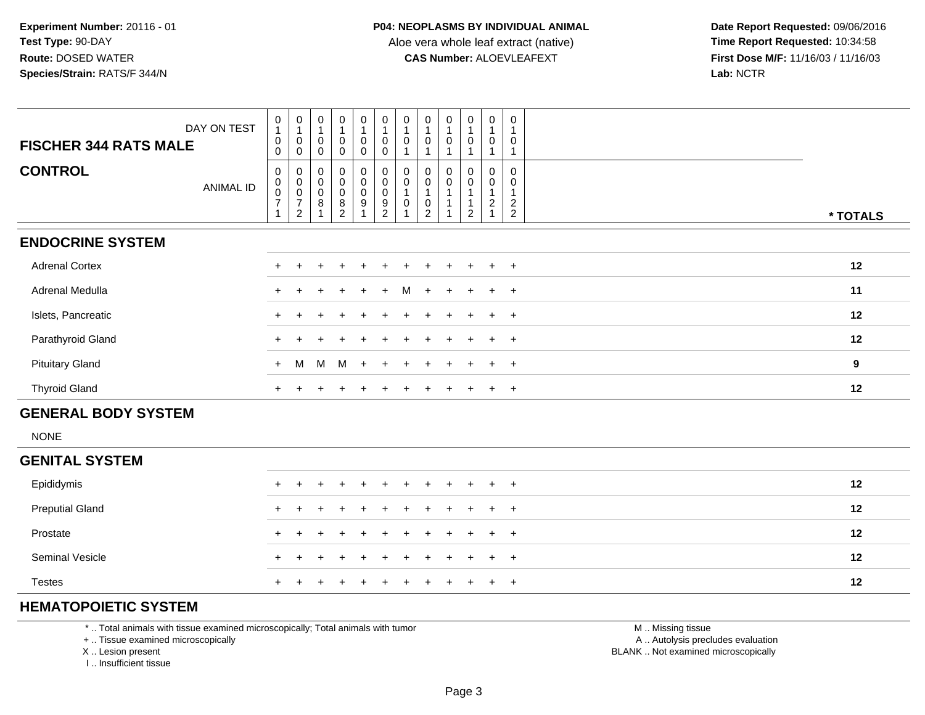**Date Report Requested:** 09/06/2016 **First Dose M/F:** 11/16/03 / 11/16/03<br>Lab: NCTR **Lab:** NCTR

| <b>FISCHER 344 RATS MALE</b> | DAY ON TEST | $\pmb{0}$<br>$\mathbf{1}$<br>$\boldsymbol{0}$<br>0                             | $\pmb{0}$<br>0<br>0                                         | $\pmb{0}$<br>$\mathbf{1}$<br>$\pmb{0}$<br>$\Omega$               | $\pmb{0}$<br>0<br>$\Omega$                           | $\begin{smallmatrix}0\\1\end{smallmatrix}$<br>$\mathbf 0$<br>0                | $\begin{smallmatrix}0\\1\end{smallmatrix}$<br>$\pmb{0}$<br>0          | $\begin{smallmatrix}0\\1\end{smallmatrix}$<br>0 | $\pmb{0}$<br>1<br>$\pmb{0}$                               | $\mathbf 0$<br>$\mathbf 0$ | $\begin{smallmatrix}0\\1\end{smallmatrix}$<br>$\mathsf{O}\xspace$ | $\pmb{0}$<br>$\pmb{0}$                  | 0<br>0                                               |          |
|------------------------------|-------------|--------------------------------------------------------------------------------|-------------------------------------------------------------|------------------------------------------------------------------|------------------------------------------------------|-------------------------------------------------------------------------------|-----------------------------------------------------------------------|-------------------------------------------------|-----------------------------------------------------------|----------------------------|-------------------------------------------------------------------|-----------------------------------------|------------------------------------------------------|----------|
| <b>CONTROL</b>               | ANIMAL ID   | 0<br>$\pmb{0}$<br>$\boldsymbol{0}$<br>$\overline{\mathcal{I}}$<br>$\mathbf{1}$ | 0<br>$\pmb{0}$<br>$\pmb{0}$<br>$\overline{7}$<br>$\sqrt{2}$ | $_{\rm 0}^{\rm 0}$<br>$\pmb{0}$<br>$\,$ 8 $\,$<br>$\overline{A}$ | $_{\rm 0}^{\rm 0}$<br>0<br>$\bf 8$<br>$\overline{2}$ | $\begin{smallmatrix} 0\\0 \end{smallmatrix}$<br>$\pmb{0}$<br>$\boldsymbol{9}$ | $_{\rm 0}^{\rm 0}$<br>$\pmb{0}$<br>$\boldsymbol{9}$<br>$\overline{c}$ | $_{\rm 0}^{\rm 0}$<br>1<br>0                    | $\mathbf 0$<br>$\pmb{0}$<br>$\mathbf 0$<br>$\overline{2}$ | 0<br>$\pmb{0}$             | $_{\rm 0}^{\rm 0}$<br>$\overline{A}$<br>$\sqrt{2}$                | 0<br>$\boldsymbol{0}$<br>$\overline{c}$ | $\mathbf 0$<br>0<br>$\overline{c}$<br>$\overline{2}$ | * TOTALS |
| <b>ENDOCRINE SYSTEM</b>      |             |                                                                                |                                                             |                                                                  |                                                      |                                                                               |                                                                       |                                                 |                                                           |                            |                                                                   |                                         |                                                      |          |
| <b>Adrenal Cortex</b>        |             |                                                                                |                                                             |                                                                  |                                                      |                                                                               |                                                                       |                                                 |                                                           |                            |                                                                   | $+$                                     | $\overline{+}$                                       | 12       |
| Adrenal Medulla              |             |                                                                                |                                                             |                                                                  |                                                      | $+$                                                                           | $+$                                                                   | M                                               | $\pm$                                                     | $\ddot{}$                  | $+$                                                               | $+$                                     | $+$                                                  | 11       |
| Islets, Pancreatic           |             | $+$                                                                            |                                                             |                                                                  | $\ddot{}$                                            | $+$                                                                           | $+$                                                                   | $\ddot{}$                                       | $+$                                                       | $\overline{+}$             | $+$                                                               | $+$                                     | $+$                                                  | 12       |
| Parathyroid Gland            |             |                                                                                |                                                             |                                                                  |                                                      |                                                                               |                                                                       |                                                 |                                                           | $\div$                     | $+$                                                               | $+$                                     | $+$                                                  | 12       |
| <b>Pituitary Gland</b>       |             | $+$                                                                            | M                                                           | M                                                                | M                                                    | $+$                                                                           |                                                                       |                                                 |                                                           |                            |                                                                   |                                         | $+$                                                  | 9        |
| <b>Thyroid Gland</b>         |             | $+$                                                                            |                                                             |                                                                  | $\cdot$                                              | $\pm$                                                                         | $\pm$                                                                 | $\ddot{}$                                       | $\pm$                                                     | $_{+}$                     | $+$                                                               | $+$                                     | $+$                                                  | 12       |
| <b>GENERAL BODY SYSTEM</b>   |             |                                                                                |                                                             |                                                                  |                                                      |                                                                               |                                                                       |                                                 |                                                           |                            |                                                                   |                                         |                                                      |          |
| <b>NONE</b>                  |             |                                                                                |                                                             |                                                                  |                                                      |                                                                               |                                                                       |                                                 |                                                           |                            |                                                                   |                                         |                                                      |          |

#### **GENITAL SYSTEM**

| Epididymis             |  |  |  |  |  | + + + + + + + + + + + | 12 |
|------------------------|--|--|--|--|--|-----------------------|----|
| <b>Preputial Gland</b> |  |  |  |  |  | + + + + + + + + + + + | 12 |
| Prostate               |  |  |  |  |  | + + + + + + + + + + + | 12 |
| <b>Seminal Vesicle</b> |  |  |  |  |  | + + + + + + + + + + + | 12 |
| <b>Testes</b>          |  |  |  |  |  | + + + + + + + + + + + | 12 |

#### **HEMATOPOIETIC SYSTEM**

\* .. Total animals with tissue examined microscopically; Total animals with tumor

+ .. Tissue examined microscopically

X .. Lesion present

I .. Insufficient tissue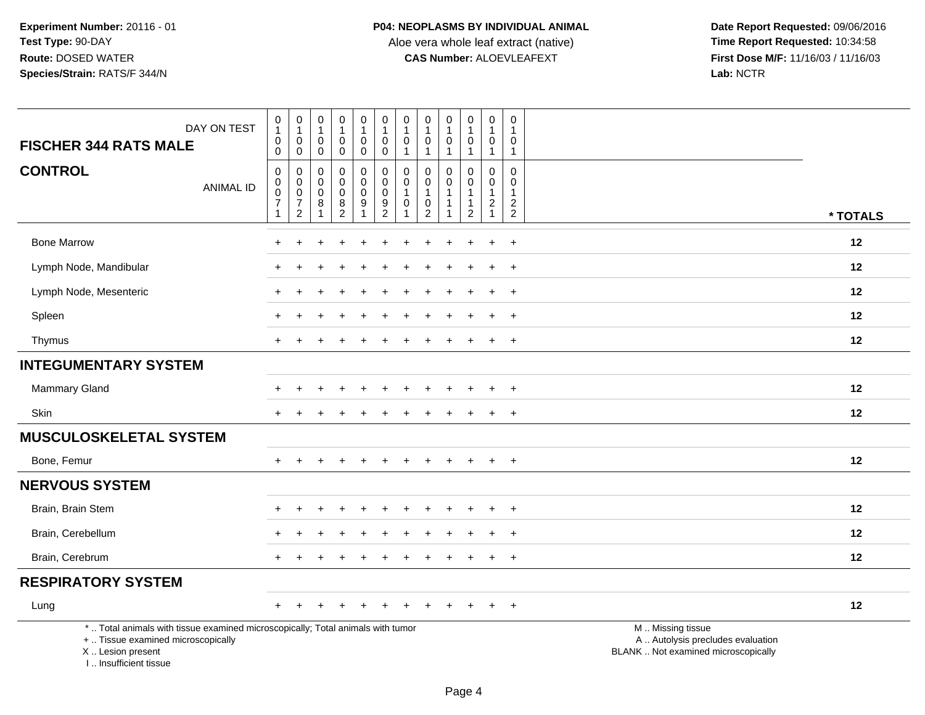Aloe vera whole leaf extract (native)<br>**CAS Number:** ALOEVLEAFEXT

| DAY ON TEST<br><b>FISCHER 344 RATS MALE</b>                                                                                                                         | $\pmb{0}$<br>$\overline{1}$<br>$\boldsymbol{0}$<br>$\mathbf 0$                        | 0<br>$\mathbf{1}$<br>$\boldsymbol{0}$<br>$\mathbf 0$                      | $\pmb{0}$<br>$\mathbf{1}$<br>$\mathbf 0$<br>$\mathbf 0$ | $\pmb{0}$<br>1<br>$\pmb{0}$<br>$\mathbf 0$                                              | $\pmb{0}$<br>$\mathbf{1}$<br>$\mathbf 0$<br>$\mathbf 0$               | $\pmb{0}$<br>$\mathbf{1}$<br>$\mathsf{O}\xspace$<br>$\mathbf 0$ | 0<br>$\mathbf{1}$<br>$\mathbf 0$<br>$\mathbf{1}$ | $\pmb{0}$<br>$\mathbf{1}$<br>$\pmb{0}$<br>$\mathbf{1}$                                   | $\pmb{0}$<br>$\mathbf{1}$<br>$\mathbf 0$<br>$\mathbf{1}$ | $\pmb{0}$<br>$\mathbf{1}$<br>$\mathbf 0$<br>$\mathbf{1}$ | $\pmb{0}$<br>$\mathbf{1}$<br>$\mathbf 0$<br>$\mathbf{1}$                | 0<br>$\mathbf{1}$<br>0<br>$\overline{1}$                               |                                                                                               |
|---------------------------------------------------------------------------------------------------------------------------------------------------------------------|---------------------------------------------------------------------------------------|---------------------------------------------------------------------------|---------------------------------------------------------|-----------------------------------------------------------------------------------------|-----------------------------------------------------------------------|-----------------------------------------------------------------|--------------------------------------------------|------------------------------------------------------------------------------------------|----------------------------------------------------------|----------------------------------------------------------|-------------------------------------------------------------------------|------------------------------------------------------------------------|-----------------------------------------------------------------------------------------------|
| <b>CONTROL</b><br><b>ANIMAL ID</b>                                                                                                                                  | $\boldsymbol{0}$<br>$\boldsymbol{0}$<br>$\mathbf 0$<br>$\overline{7}$<br>$\mathbf{1}$ | 0<br>$\pmb{0}$<br>$\mathsf{O}\xspace$<br>$\overline{7}$<br>$\overline{2}$ | 0<br>0<br>$\mathbf 0$<br>8<br>$\mathbf{1}$              | $\mathbf 0$<br>$\pmb{0}$<br>$\pmb{0}$<br>$\begin{smallmatrix} 8 \\ 2 \end{smallmatrix}$ | 0<br>$\mathbf 0$<br>$\mathbf 0$<br>$\boldsymbol{9}$<br>$\overline{1}$ | $\mathbf 0$<br>$\mathbf 0$<br>$\mathsf 0$<br>$\frac{9}{2}$      | 0<br>0<br>$\mathbf 1$<br>0<br>$\mathbf 1$        | $\mathbf 0$<br>$\pmb{0}$<br>$\mathbf{1}$<br>$\begin{smallmatrix} 0\\2 \end{smallmatrix}$ | $\mathbf{0}$<br>0<br>$\mathbf{1}$<br>1<br>1              | 0<br>$\mathbf 0$<br>1<br>1<br>$\overline{c}$             | $\Omega$<br>$\mathbf 0$<br>$\overline{1}$<br>$\sqrt{2}$<br>$\mathbf{1}$ | $\mathbf 0$<br>0<br>$\mathbf{1}$<br>$\boldsymbol{2}$<br>$\overline{2}$ | * TOTALS                                                                                      |
| <b>Bone Marrow</b>                                                                                                                                                  |                                                                                       |                                                                           |                                                         |                                                                                         |                                                                       |                                                                 |                                                  |                                                                                          |                                                          |                                                          |                                                                         | $+$                                                                    | 12                                                                                            |
| Lymph Node, Mandibular                                                                                                                                              |                                                                                       |                                                                           |                                                         |                                                                                         |                                                                       |                                                                 |                                                  |                                                                                          |                                                          |                                                          |                                                                         | $\ddot{}$                                                              | 12                                                                                            |
| Lymph Node, Mesenteric                                                                                                                                              |                                                                                       |                                                                           |                                                         |                                                                                         |                                                                       |                                                                 |                                                  |                                                                                          |                                                          |                                                          | $\div$                                                                  | $\ddot{}$                                                              | 12                                                                                            |
| Spleen                                                                                                                                                              |                                                                                       |                                                                           |                                                         |                                                                                         |                                                                       |                                                                 |                                                  |                                                                                          |                                                          |                                                          |                                                                         | $\overline{+}$                                                         | 12                                                                                            |
| Thymus                                                                                                                                                              |                                                                                       |                                                                           |                                                         |                                                                                         |                                                                       |                                                                 |                                                  |                                                                                          |                                                          |                                                          |                                                                         | $+$                                                                    | 12                                                                                            |
| <b>INTEGUMENTARY SYSTEM</b>                                                                                                                                         |                                                                                       |                                                                           |                                                         |                                                                                         |                                                                       |                                                                 |                                                  |                                                                                          |                                                          |                                                          |                                                                         |                                                                        |                                                                                               |
| <b>Mammary Gland</b>                                                                                                                                                |                                                                                       |                                                                           |                                                         |                                                                                         |                                                                       |                                                                 |                                                  |                                                                                          |                                                          |                                                          |                                                                         | $\overline{+}$                                                         | 12                                                                                            |
| Skin                                                                                                                                                                | $+$                                                                                   | $\pm$                                                                     | $\div$                                                  | $\div$                                                                                  | $+$                                                                   | $\pm$                                                           | $\div$                                           |                                                                                          | $\pm$                                                    | $\pm$                                                    | $+$                                                                     | $+$                                                                    | 12                                                                                            |
| <b>MUSCULOSKELETAL SYSTEM</b>                                                                                                                                       |                                                                                       |                                                                           |                                                         |                                                                                         |                                                                       |                                                                 |                                                  |                                                                                          |                                                          |                                                          |                                                                         |                                                                        |                                                                                               |
| Bone, Femur                                                                                                                                                         |                                                                                       |                                                                           |                                                         |                                                                                         |                                                                       |                                                                 |                                                  |                                                                                          |                                                          |                                                          | $+$                                                                     | $+$                                                                    | 12                                                                                            |
| <b>NERVOUS SYSTEM</b>                                                                                                                                               |                                                                                       |                                                                           |                                                         |                                                                                         |                                                                       |                                                                 |                                                  |                                                                                          |                                                          |                                                          |                                                                         |                                                                        |                                                                                               |
| Brain, Brain Stem                                                                                                                                                   |                                                                                       |                                                                           |                                                         |                                                                                         |                                                                       |                                                                 |                                                  |                                                                                          |                                                          |                                                          |                                                                         | $\ddot{}$                                                              | 12                                                                                            |
| Brain, Cerebellum                                                                                                                                                   |                                                                                       |                                                                           |                                                         |                                                                                         |                                                                       |                                                                 |                                                  |                                                                                          |                                                          |                                                          |                                                                         | $\ddot{}$                                                              | 12                                                                                            |
| Brain, Cerebrum                                                                                                                                                     |                                                                                       |                                                                           |                                                         |                                                                                         |                                                                       |                                                                 |                                                  |                                                                                          |                                                          |                                                          |                                                                         | $+$                                                                    | 12                                                                                            |
| <b>RESPIRATORY SYSTEM</b>                                                                                                                                           |                                                                                       |                                                                           |                                                         |                                                                                         |                                                                       |                                                                 |                                                  |                                                                                          |                                                          |                                                          |                                                                         |                                                                        |                                                                                               |
| Lung                                                                                                                                                                | $\pm$                                                                                 |                                                                           |                                                         |                                                                                         |                                                                       |                                                                 |                                                  |                                                                                          |                                                          |                                                          | ÷                                                                       | $\overline{+}$                                                         | 12                                                                                            |
| *  Total animals with tissue examined microscopically; Total animals with tumor<br>+  Tissue examined microscopically<br>X  Lesion present<br>I Insufficient tissue |                                                                                       |                                                                           |                                                         |                                                                                         |                                                                       |                                                                 |                                                  |                                                                                          |                                                          |                                                          |                                                                         |                                                                        | M  Missing tissue<br>A  Autolysis precludes evaluation<br>BLANK  Not examined microscopically |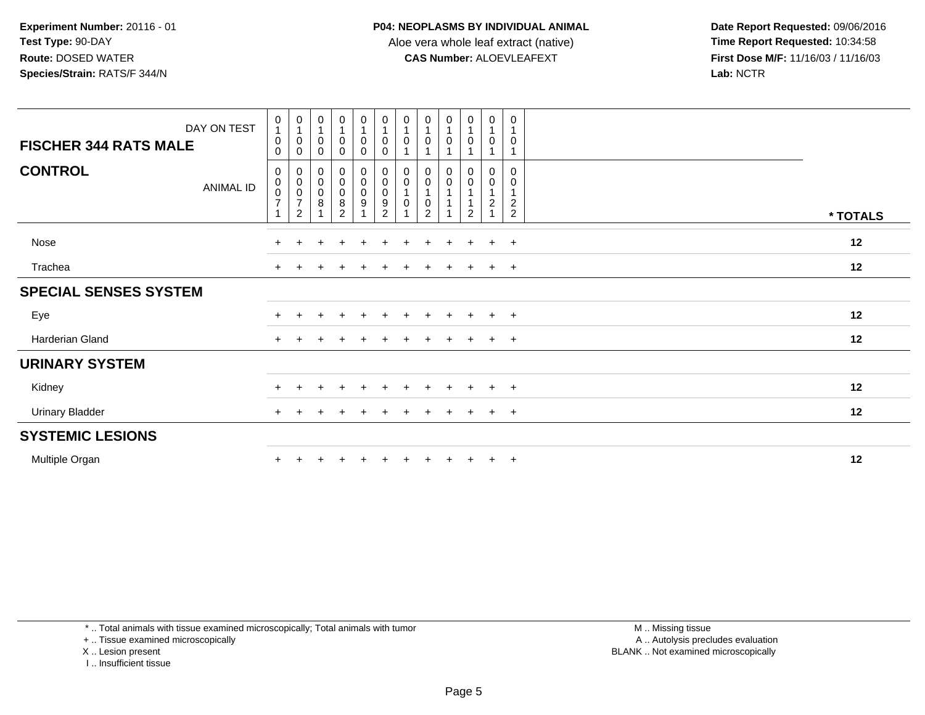**Date Report Requested:** 09/06/2016 **First Dose M/F:** 11/16/03 / 11/16/03<br>Lab: NCTR **Lab:** NCTR

| DAY ON TEST<br><b>FISCHER 344 RATS MALE</b><br><b>CONTROL</b><br>ANIMAL ID | $\begin{smallmatrix}0\\1\end{smallmatrix}$<br>0<br>$\mathbf 0$<br>0<br>$\begin{array}{c} 0 \\ 0 \\ 7 \end{array}$ | $\begin{smallmatrix}0\\1\end{smallmatrix}$<br>$\pmb{0}$<br>$\mathbf 0$<br>$\mathbf 0$<br>$\begin{matrix} 0 \\ 0 \\ 7 \end{matrix}$ | $\begin{smallmatrix} 0\\ 1 \end{smallmatrix}$<br>$\mathbf 0$<br>$\pmb{0}$<br>0000 | $\begin{smallmatrix}0\\1\end{smallmatrix}$<br>0<br>0<br>$\begin{smallmatrix}0\0\0\0\8\end{smallmatrix}$ | $\begin{smallmatrix}0\\1\end{smallmatrix}$<br>$\pmb{0}$<br>$\pmb{0}$<br>$\begin{smallmatrix}0\0\0\end{smallmatrix}$<br>$\boldsymbol{9}$ | $\begin{smallmatrix}0\\1\end{smallmatrix}$<br>$\pmb{0}$<br>$\mathbf 0$ | $\begin{smallmatrix}0\\1\end{smallmatrix}$<br>$\pmb{0}$<br>0<br>$\pmb{0}$<br>$\mathbf{1}$<br>$\pmb{0}$ | $\begin{smallmatrix}0\\1\end{smallmatrix}$<br>0<br>1<br>$\begin{matrix} 0 \\ 0 \\ 1 \end{matrix}$<br>0 | $\frac{0}{1}$<br>$\pmb{0}$<br>0<br>$\mathbf 0$ | $\begin{smallmatrix}0\\1\end{smallmatrix}$<br>$\pmb{0}$<br>1<br>$\begin{matrix} 0 \\ 0 \\ 1 \end{matrix}$<br>$\mathbf{1}$ | $\begin{smallmatrix}0\\1\end{smallmatrix}$<br>$\boldsymbol{0}$<br>$\mathbf{1}$<br>$\pmb{0}$<br>$\pmb{0}$<br>$\mathbf{1}$<br>$\overline{c}$ | $\mathbf 0$<br>$\mathbf{1}$<br>$\mathbf 0$<br>$\overline{1}$<br>$\mathbf 0$<br>0<br>$\overline{1}$<br>$\boldsymbol{2}$ |          |  |
|----------------------------------------------------------------------------|-------------------------------------------------------------------------------------------------------------------|------------------------------------------------------------------------------------------------------------------------------------|-----------------------------------------------------------------------------------|---------------------------------------------------------------------------------------------------------|-----------------------------------------------------------------------------------------------------------------------------------------|------------------------------------------------------------------------|--------------------------------------------------------------------------------------------------------|--------------------------------------------------------------------------------------------------------|------------------------------------------------|---------------------------------------------------------------------------------------------------------------------------|--------------------------------------------------------------------------------------------------------------------------------------------|------------------------------------------------------------------------------------------------------------------------|----------|--|
|                                                                            | $\overline{ }$                                                                                                    | $\overline{2}$                                                                                                                     |                                                                                   | $\overline{2}$                                                                                          |                                                                                                                                         |                                                                        |                                                                                                        | $\overline{2}$                                                                                         |                                                | $\sqrt{2}$                                                                                                                | 1                                                                                                                                          | $\overline{2}$                                                                                                         | * TOTALS |  |
| Nose                                                                       | $+$                                                                                                               |                                                                                                                                    |                                                                                   | $\div$                                                                                                  |                                                                                                                                         | $\div$                                                                 |                                                                                                        |                                                                                                        | $\div$                                         | $\pm$                                                                                                                     | $+$                                                                                                                                        | $+$                                                                                                                    | 12       |  |
| Trachea                                                                    | $\ddot{}$                                                                                                         |                                                                                                                                    |                                                                                   |                                                                                                         |                                                                                                                                         |                                                                        |                                                                                                        |                                                                                                        |                                                |                                                                                                                           | $+$                                                                                                                                        | $+$                                                                                                                    | 12       |  |
| <b>SPECIAL SENSES SYSTEM</b>                                               |                                                                                                                   |                                                                                                                                    |                                                                                   |                                                                                                         |                                                                                                                                         |                                                                        |                                                                                                        |                                                                                                        |                                                |                                                                                                                           |                                                                                                                                            |                                                                                                                        |          |  |
| Eye                                                                        | $\pm$                                                                                                             |                                                                                                                                    |                                                                                   | $\div$                                                                                                  | $\div$                                                                                                                                  | $\pm$                                                                  |                                                                                                        |                                                                                                        | $\pm$                                          | $\pm$                                                                                                                     | $+$                                                                                                                                        | $+$                                                                                                                    | 12       |  |
| Harderian Gland                                                            | $+$                                                                                                               |                                                                                                                                    |                                                                                   |                                                                                                         |                                                                                                                                         |                                                                        |                                                                                                        |                                                                                                        | $\div$                                         |                                                                                                                           | $+$                                                                                                                                        | $+$                                                                                                                    | 12       |  |
| <b>URINARY SYSTEM</b>                                                      |                                                                                                                   |                                                                                                                                    |                                                                                   |                                                                                                         |                                                                                                                                         |                                                                        |                                                                                                        |                                                                                                        |                                                |                                                                                                                           |                                                                                                                                            |                                                                                                                        |          |  |
| Kidney                                                                     | $+$                                                                                                               |                                                                                                                                    |                                                                                   |                                                                                                         |                                                                                                                                         |                                                                        |                                                                                                        |                                                                                                        | $\div$                                         |                                                                                                                           | $+$                                                                                                                                        | $+$                                                                                                                    | 12       |  |
| <b>Urinary Bladder</b>                                                     | $+$                                                                                                               |                                                                                                                                    |                                                                                   |                                                                                                         |                                                                                                                                         |                                                                        |                                                                                                        |                                                                                                        |                                                |                                                                                                                           | $+$                                                                                                                                        | $\ddot{}$                                                                                                              | 12       |  |
| <b>SYSTEMIC LESIONS</b>                                                    |                                                                                                                   |                                                                                                                                    |                                                                                   |                                                                                                         |                                                                                                                                         |                                                                        |                                                                                                        |                                                                                                        |                                                |                                                                                                                           |                                                                                                                                            |                                                                                                                        |          |  |
| Multiple Organ                                                             | $\pm$                                                                                                             |                                                                                                                                    |                                                                                   |                                                                                                         |                                                                                                                                         |                                                                        |                                                                                                        |                                                                                                        |                                                | $\ddot{}$                                                                                                                 | $+$                                                                                                                                        | $+$                                                                                                                    | 12       |  |

\* .. Total animals with tissue examined microscopically; Total animals with tumor

+ .. Tissue examined microscopically

X .. Lesion present

I .. Insufficient tissue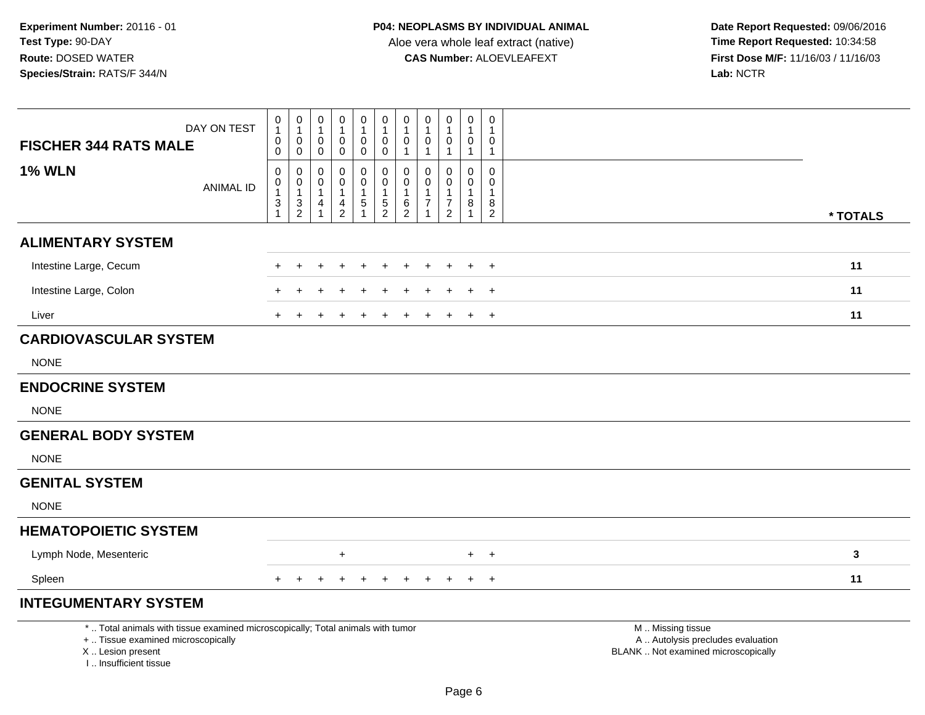| <b>FISCHER 344 RATS MALE</b>                                                                                                                                        | DAY ON TEST      | 0<br>$\mathbf{1}$<br>0<br>0                 | 0<br>$\mathbf{1}$<br>$\mathsf{O}$<br>$\mathsf 0$                        | $\boldsymbol{0}$<br>$\mathbf{1}$<br>$\boldsymbol{0}$<br>$\mathbf 0$ | 0<br>0<br>0                           | $\mathbf 0$<br>$\mathbf{1}$<br>$\mathbf 0$<br>$\mathbf 0$                    | $\pmb{0}$<br>$\mathbf{1}$<br>$\pmb{0}$<br>0       | $\pmb{0}$<br>$\mathbf{1}$<br>$\pmb{0}$<br>$\mathbf{1}$              | 0<br>$\mathbf 0$<br>$\mathbf{1}$ | $\pmb{0}$<br>1<br>$\mathbf 0$<br>$\mathbf{1}$ | $\pmb{0}$<br>$\mathbf{1}$<br>$\pmb{0}$<br>$\mathbf{1}$ | $\pmb{0}$<br>0<br>$\mathbf{1}$                |                                                                                               |  |
|---------------------------------------------------------------------------------------------------------------------------------------------------------------------|------------------|---------------------------------------------|-------------------------------------------------------------------------|---------------------------------------------------------------------|---------------------------------------|------------------------------------------------------------------------------|---------------------------------------------------|---------------------------------------------------------------------|----------------------------------|-----------------------------------------------|--------------------------------------------------------|-----------------------------------------------|-----------------------------------------------------------------------------------------------|--|
| <b>1% WLN</b>                                                                                                                                                       | <b>ANIMAL ID</b> | 0<br>0<br>$\mathbf{1}$<br>3<br>$\mathbf{1}$ | $\pmb{0}$<br>$\begin{smallmatrix}0\1\end{smallmatrix}$<br>$\frac{3}{2}$ | $\mathbf 0$<br>$\pmb{0}$<br>$\mathbf{1}$<br>4<br>$\mathbf{1}$       | 0<br>0<br>-1<br>4<br>$\boldsymbol{2}$ | $\pmb{0}$<br>$\mathbf 0$<br>$\mathbf{1}$<br>$\overline{5}$<br>$\overline{1}$ | 0<br>$\mathbf 0$<br>$\mathbf{1}$<br>$\frac{5}{2}$ | $\mathbf 0$<br>$\pmb{0}$<br>$\mathbf{1}$<br>$\,6$<br>$\overline{2}$ | $\Omega$<br>0<br>1<br>7          | 0<br>0<br>$\mathbf{1}$<br>$\overline{7}$<br>2 | $\mathbf 0$<br>0<br>$\mathbf{1}$<br>8<br>$\mathbf{1}$  | 0<br>$\mathbf 0$<br>-1<br>8<br>$\overline{2}$ | * TOTALS                                                                                      |  |
| <b>ALIMENTARY SYSTEM</b>                                                                                                                                            |                  |                                             |                                                                         |                                                                     |                                       |                                                                              |                                                   |                                                                     |                                  |                                               |                                                        |                                               |                                                                                               |  |
| Intestine Large, Cecum                                                                                                                                              |                  |                                             |                                                                         |                                                                     |                                       |                                                                              |                                                   |                                                                     |                                  |                                               | $\pm$                                                  | $\overline{+}$                                | 11                                                                                            |  |
| Intestine Large, Colon                                                                                                                                              |                  |                                             |                                                                         |                                                                     |                                       |                                                                              |                                                   |                                                                     |                                  |                                               |                                                        | $\div$                                        | 11                                                                                            |  |
| Liver                                                                                                                                                               |                  | $\div$                                      |                                                                         |                                                                     |                                       |                                                                              |                                                   |                                                                     |                                  |                                               | $\overline{+}$                                         | $\overline{+}$                                | 11                                                                                            |  |
| <b>CARDIOVASCULAR SYSTEM</b>                                                                                                                                        |                  |                                             |                                                                         |                                                                     |                                       |                                                                              |                                                   |                                                                     |                                  |                                               |                                                        |                                               |                                                                                               |  |
| <b>NONE</b>                                                                                                                                                         |                  |                                             |                                                                         |                                                                     |                                       |                                                                              |                                                   |                                                                     |                                  |                                               |                                                        |                                               |                                                                                               |  |
| <b>ENDOCRINE SYSTEM</b>                                                                                                                                             |                  |                                             |                                                                         |                                                                     |                                       |                                                                              |                                                   |                                                                     |                                  |                                               |                                                        |                                               |                                                                                               |  |
| <b>NONE</b>                                                                                                                                                         |                  |                                             |                                                                         |                                                                     |                                       |                                                                              |                                                   |                                                                     |                                  |                                               |                                                        |                                               |                                                                                               |  |
| <b>GENERAL BODY SYSTEM</b>                                                                                                                                          |                  |                                             |                                                                         |                                                                     |                                       |                                                                              |                                                   |                                                                     |                                  |                                               |                                                        |                                               |                                                                                               |  |
| <b>NONE</b>                                                                                                                                                         |                  |                                             |                                                                         |                                                                     |                                       |                                                                              |                                                   |                                                                     |                                  |                                               |                                                        |                                               |                                                                                               |  |
| <b>GENITAL SYSTEM</b>                                                                                                                                               |                  |                                             |                                                                         |                                                                     |                                       |                                                                              |                                                   |                                                                     |                                  |                                               |                                                        |                                               |                                                                                               |  |
| <b>NONE</b>                                                                                                                                                         |                  |                                             |                                                                         |                                                                     |                                       |                                                                              |                                                   |                                                                     |                                  |                                               |                                                        |                                               |                                                                                               |  |
| <b>HEMATOPOIETIC SYSTEM</b>                                                                                                                                         |                  |                                             |                                                                         |                                                                     |                                       |                                                                              |                                                   |                                                                     |                                  |                                               |                                                        |                                               |                                                                                               |  |
| Lymph Node, Mesenteric                                                                                                                                              |                  |                                             |                                                                         |                                                                     | $\ddot{}$                             |                                                                              |                                                   |                                                                     |                                  |                                               |                                                        | $+$ $+$                                       | 3                                                                                             |  |
| Spleen                                                                                                                                                              |                  |                                             |                                                                         | $\pm$                                                               | $\ddot{}$                             | +                                                                            | $\pm$                                             | $+$                                                                 | $\pm$                            |                                               | $+$                                                    | $+$                                           | 11                                                                                            |  |
| <b>INTEGUMENTARY SYSTEM</b>                                                                                                                                         |                  |                                             |                                                                         |                                                                     |                                       |                                                                              |                                                   |                                                                     |                                  |                                               |                                                        |                                               |                                                                                               |  |
| *  Total animals with tissue examined microscopically; Total animals with tumor<br>+  Tissue examined microscopically<br>X  Lesion present<br>I Insufficient tissue |                  |                                             |                                                                         |                                                                     |                                       |                                                                              |                                                   |                                                                     |                                  |                                               |                                                        |                                               | M  Missing tissue<br>A  Autolysis precludes evaluation<br>BLANK  Not examined microscopically |  |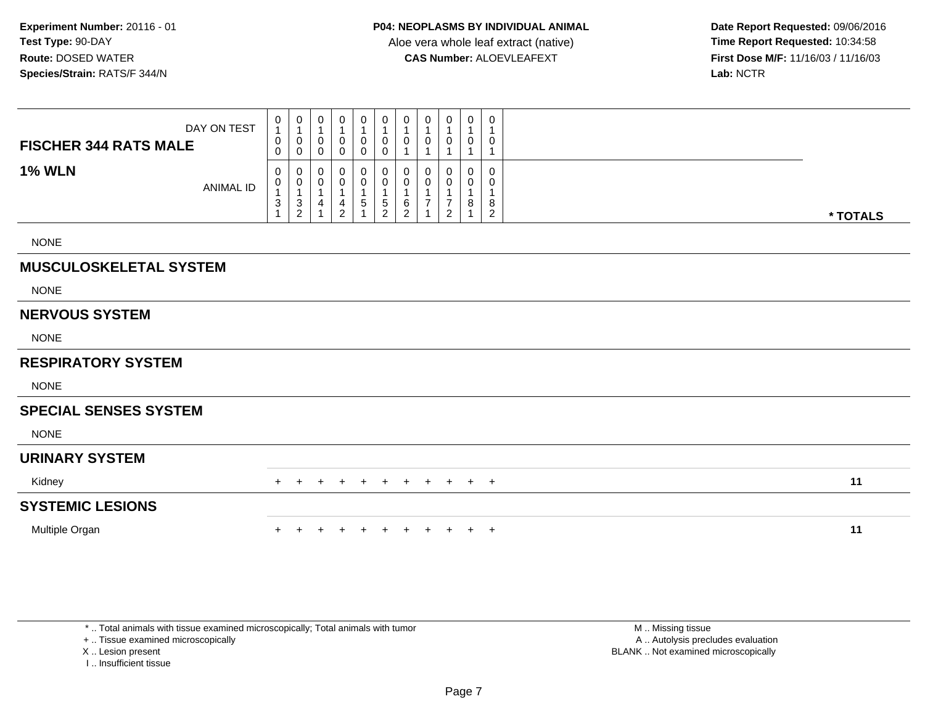**Date Report Requested:** 09/06/2016 **First Dose M/F:** 11/16/03 / 11/16/03<br>Lab: NCTR **Lab:** NCTR

| <b>FISCHER 344 RATS MALE</b>  | DAY ON TEST      | 0<br>$\mathbf{1}$<br>0<br>$\mathbf 0$    | $\mathbf 0$<br>$\overline{1}$<br>$\mathbf 0$<br>$\mathbf 0$      | 0<br>1<br>0<br>$\mathbf 0$ | 0<br>0<br>$\mathbf 0$              | 0<br>1<br>0<br>$\mathbf 0$ | 0<br>1<br>0<br>0        | $\boldsymbol{0}$<br>$\mathbf{1}$<br>0<br>$\overline{1}$ | 0<br>0 | 0<br>1<br>0                                              | 0<br>0      |     | 0<br>1<br>0<br>$\overline{1}$      |          |
|-------------------------------|------------------|------------------------------------------|------------------------------------------------------------------|----------------------------|------------------------------------|----------------------------|-------------------------|---------------------------------------------------------|--------|----------------------------------------------------------|-------------|-----|------------------------------------|----------|
| <b>1% WLN</b>                 | <b>ANIMAL ID</b> | 0<br>0<br>1<br>$\ensuremath{\mathsf{3}}$ | 0<br>$\begin{smallmatrix}0\\1\end{smallmatrix}$<br>$\frac{3}{2}$ | 0<br>0<br>1<br>4           | 0<br>0<br>1<br>4<br>$\overline{2}$ | 0<br>0<br>$\,$ 5 $\,$      | 0<br>0<br>$\frac{5}{2}$ | 0<br>$\pmb{0}$<br>$\overline{1}$<br>$^6_2$              | 0      | 0<br>0<br>1<br>$\overline{\mathbf{7}}$<br>$\overline{2}$ | 0<br>0<br>8 |     | 0<br>0<br>1<br>8<br>$\overline{c}$ | * TOTALS |
| <b>NONE</b>                   |                  |                                          |                                                                  |                            |                                    |                            |                         |                                                         |        |                                                          |             |     |                                    |          |
| <b>MUSCULOSKELETAL SYSTEM</b> |                  |                                          |                                                                  |                            |                                    |                            |                         |                                                         |        |                                                          |             |     |                                    |          |
| <b>NONE</b>                   |                  |                                          |                                                                  |                            |                                    |                            |                         |                                                         |        |                                                          |             |     |                                    |          |
| <b>NERVOUS SYSTEM</b>         |                  |                                          |                                                                  |                            |                                    |                            |                         |                                                         |        |                                                          |             |     |                                    |          |
| <b>NONE</b>                   |                  |                                          |                                                                  |                            |                                    |                            |                         |                                                         |        |                                                          |             |     |                                    |          |
| <b>RESPIRATORY SYSTEM</b>     |                  |                                          |                                                                  |                            |                                    |                            |                         |                                                         |        |                                                          |             |     |                                    |          |
| <b>NONE</b>                   |                  |                                          |                                                                  |                            |                                    |                            |                         |                                                         |        |                                                          |             |     |                                    |          |
| <b>SPECIAL SENSES SYSTEM</b>  |                  |                                          |                                                                  |                            |                                    |                            |                         |                                                         |        |                                                          |             |     |                                    |          |
| <b>NONE</b>                   |                  |                                          |                                                                  |                            |                                    |                            |                         |                                                         |        |                                                          |             |     |                                    |          |
| <b>URINARY SYSTEM</b>         |                  |                                          |                                                                  |                            |                                    |                            |                         |                                                         |        |                                                          |             |     |                                    |          |
| Kidney                        |                  | +                                        |                                                                  |                            |                                    | $\pm$                      |                         |                                                         | $+$    | $+$                                                      | $+$         | $+$ |                                    | 11       |
| <b>SYSTEMIC LESIONS</b>       |                  |                                          |                                                                  |                            |                                    |                            |                         |                                                         |        |                                                          |             |     |                                    |          |
| Multiple Organ                |                  |                                          |                                                                  |                            |                                    |                            |                         |                                                         |        |                                                          | $\pm$       | $+$ |                                    | 11       |

\* .. Total animals with tissue examined microscopically; Total animals with tumor

+ .. Tissue examined microscopically

X .. Lesion present

I .. Insufficient tissue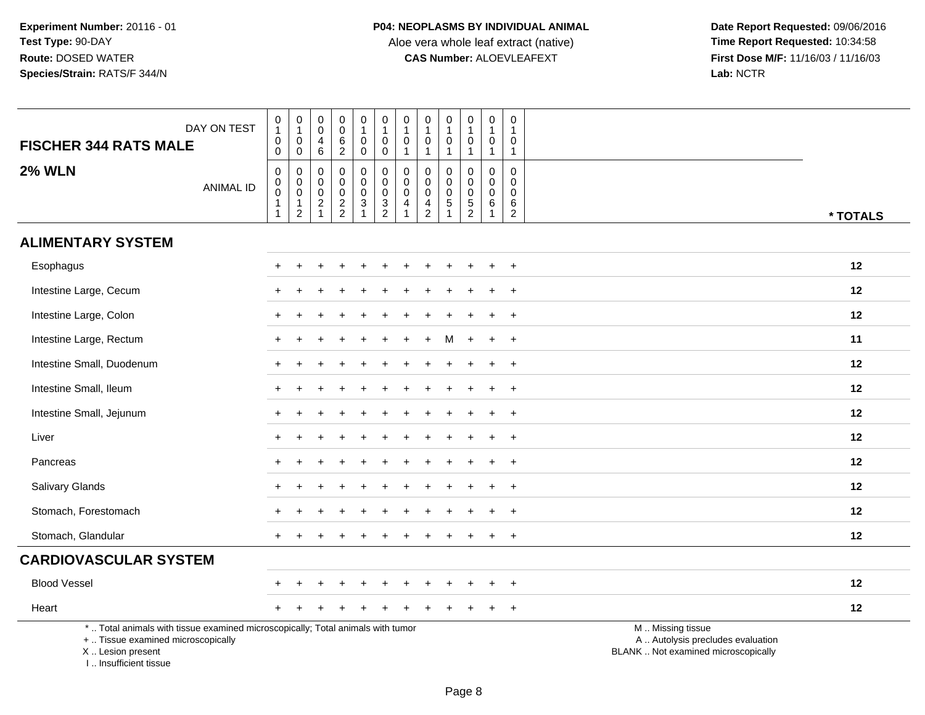| <b>FISCHER 344 RATS MALE</b>                                                                                                                                        | DAY ON TEST      | $\begin{smallmatrix}0\\1\end{smallmatrix}$<br>$\pmb{0}$<br>$\mathbf 0$                                        | $\begin{smallmatrix}0\\1\end{smallmatrix}$<br>$\mathsf{O}\xspace$<br>$\mathbf 0$ | $\pmb{0}$<br>$\boldsymbol{0}$<br>4<br>6                                           | $\pmb{0}$<br>$\pmb{0}$<br>$6\phantom{a}$<br>$\overline{2}$ | $\begin{smallmatrix}0\1\end{smallmatrix}$<br>0<br>$\mathbf 0$       | $\pmb{0}$<br>$\mathbf{1}$<br>$\mathbf 0$<br>$\mathbf 0$  | $\pmb{0}$<br>$\mathbf{1}$<br>$\mathbf 0$<br>$\overline{1}$                | 0<br>$\overline{1}$<br>$\mathbf 0$<br>$\overline{1}$          | $\pmb{0}$<br>$\mathbf{1}$<br>$\mathbf 0$<br>$\mathbf{1}$               | 0<br>$\mathbf{1}$<br>$\mathbf 0$<br>1            | $\,0\,$<br>$\mathbf{1}$<br>$\mathbf 0$<br>$\mathbf{1}$                         | $\pmb{0}$<br>$\mathbf{1}$<br>0<br>$\mathbf{1}$                           |                                                                                               |
|---------------------------------------------------------------------------------------------------------------------------------------------------------------------|------------------|---------------------------------------------------------------------------------------------------------------|----------------------------------------------------------------------------------|-----------------------------------------------------------------------------------|------------------------------------------------------------|---------------------------------------------------------------------|----------------------------------------------------------|---------------------------------------------------------------------------|---------------------------------------------------------------|------------------------------------------------------------------------|--------------------------------------------------|--------------------------------------------------------------------------------|--------------------------------------------------------------------------|-----------------------------------------------------------------------------------------------|
| <b>2% WLN</b>                                                                                                                                                       | <b>ANIMAL ID</b> | $\boldsymbol{0}$<br>$\begin{smallmatrix} 0\\0 \end{smallmatrix}$<br>$\overline{\mathbf{1}}$<br>$\overline{1}$ | $\mathbf 0$<br>$\boldsymbol{0}$<br>$\mathbf 0$<br>$\mathbf{1}$<br>$\overline{c}$ | $\mathbf 0$<br>$\boldsymbol{0}$<br>$\boldsymbol{0}$<br>$\sqrt{2}$<br>$\mathbf{1}$ | $\mathbf 0$<br>$\pmb{0}$<br>$\mathbf 0$<br>$\frac{2}{2}$   | 0<br>$\mathbf 0$<br>$\mathbf 0$<br>$\overline{3}$<br>$\overline{1}$ | 0<br>$\mathbf 0$<br>$\mathsf{O}\xspace$<br>$\frac{3}{2}$ | $\mathbf 0$<br>$\pmb{0}$<br>$\mathbf 0$<br>$\overline{4}$<br>$\mathbf{1}$ | $\Omega$<br>$\mathbf 0$<br>$\mathbf 0$<br>4<br>$\overline{2}$ | $\Omega$<br>$\mathbf 0$<br>$\mathbf 0$<br>$\sqrt{5}$<br>$\overline{1}$ | 0<br>$\mathbf 0$<br>$\mathbf 0$<br>$\frac{5}{2}$ | $\mathbf 0$<br>$\mathbf 0$<br>$\mathsf{O}\xspace$<br>$\,6\,$<br>$\overline{1}$ | $\mathbf 0$<br>$\mathsf{O}\xspace$<br>$\mathbf 0$<br>6<br>$\overline{2}$ | * TOTALS                                                                                      |
| <b>ALIMENTARY SYSTEM</b>                                                                                                                                            |                  |                                                                                                               |                                                                                  |                                                                                   |                                                            |                                                                     |                                                          |                                                                           |                                                               |                                                                        |                                                  |                                                                                |                                                                          |                                                                                               |
| Esophagus                                                                                                                                                           |                  |                                                                                                               |                                                                                  |                                                                                   |                                                            |                                                                     |                                                          |                                                                           |                                                               |                                                                        |                                                  |                                                                                | $\ddot{}$                                                                | 12                                                                                            |
| Intestine Large, Cecum                                                                                                                                              |                  |                                                                                                               |                                                                                  |                                                                                   |                                                            |                                                                     |                                                          |                                                                           |                                                               |                                                                        |                                                  |                                                                                | $\overline{1}$                                                           | 12                                                                                            |
| Intestine Large, Colon                                                                                                                                              |                  |                                                                                                               |                                                                                  |                                                                                   |                                                            |                                                                     |                                                          |                                                                           |                                                               |                                                                        |                                                  |                                                                                | $\ddot{}$                                                                | 12                                                                                            |
| Intestine Large, Rectum                                                                                                                                             |                  |                                                                                                               |                                                                                  |                                                                                   |                                                            |                                                                     |                                                          |                                                                           |                                                               | м                                                                      |                                                  |                                                                                | $\ddot{}$                                                                | 11                                                                                            |
| Intestine Small, Duodenum                                                                                                                                           |                  |                                                                                                               |                                                                                  |                                                                                   |                                                            |                                                                     |                                                          |                                                                           |                                                               |                                                                        |                                                  |                                                                                | $\ddot{}$                                                                | 12                                                                                            |
| Intestine Small, Ileum                                                                                                                                              |                  |                                                                                                               |                                                                                  |                                                                                   |                                                            |                                                                     |                                                          |                                                                           |                                                               |                                                                        |                                                  |                                                                                | $\overline{+}$                                                           | 12                                                                                            |
| Intestine Small, Jejunum                                                                                                                                            |                  |                                                                                                               |                                                                                  |                                                                                   |                                                            |                                                                     |                                                          |                                                                           |                                                               |                                                                        |                                                  |                                                                                | $\ddot{}$                                                                | 12                                                                                            |
| Liver                                                                                                                                                               |                  |                                                                                                               |                                                                                  |                                                                                   |                                                            |                                                                     |                                                          |                                                                           |                                                               |                                                                        |                                                  |                                                                                | $\ddot{}$                                                                | 12                                                                                            |
| Pancreas                                                                                                                                                            |                  |                                                                                                               |                                                                                  |                                                                                   |                                                            |                                                                     |                                                          |                                                                           |                                                               |                                                                        |                                                  |                                                                                | $\ddot{}$                                                                | 12                                                                                            |
| Salivary Glands                                                                                                                                                     |                  |                                                                                                               |                                                                                  |                                                                                   |                                                            |                                                                     |                                                          |                                                                           |                                                               |                                                                        |                                                  |                                                                                | $\ddot{}$                                                                | 12                                                                                            |
| Stomach, Forestomach                                                                                                                                                |                  |                                                                                                               |                                                                                  |                                                                                   |                                                            |                                                                     |                                                          |                                                                           |                                                               |                                                                        |                                                  |                                                                                | $\ddot{}$                                                                | 12                                                                                            |
| Stomach, Glandular                                                                                                                                                  |                  |                                                                                                               |                                                                                  |                                                                                   |                                                            |                                                                     |                                                          |                                                                           |                                                               |                                                                        |                                                  |                                                                                | $\overline{+}$                                                           | 12                                                                                            |
| <b>CARDIOVASCULAR SYSTEM</b>                                                                                                                                        |                  |                                                                                                               |                                                                                  |                                                                                   |                                                            |                                                                     |                                                          |                                                                           |                                                               |                                                                        |                                                  |                                                                                |                                                                          |                                                                                               |
| <b>Blood Vessel</b>                                                                                                                                                 |                  |                                                                                                               |                                                                                  |                                                                                   |                                                            |                                                                     |                                                          |                                                                           |                                                               |                                                                        |                                                  |                                                                                | $\overline{+}$                                                           | 12                                                                                            |
| Heart                                                                                                                                                               |                  |                                                                                                               |                                                                                  |                                                                                   |                                                            |                                                                     |                                                          |                                                                           |                                                               |                                                                        |                                                  |                                                                                | $\overline{+}$                                                           | 12                                                                                            |
| *  Total animals with tissue examined microscopically; Total animals with tumor<br>+  Tissue examined microscopically<br>X  Lesion present<br>I Insufficient tissue |                  |                                                                                                               |                                                                                  |                                                                                   |                                                            |                                                                     |                                                          |                                                                           |                                                               |                                                                        |                                                  |                                                                                |                                                                          | M  Missing tissue<br>A  Autolysis precludes evaluation<br>BLANK  Not examined microscopically |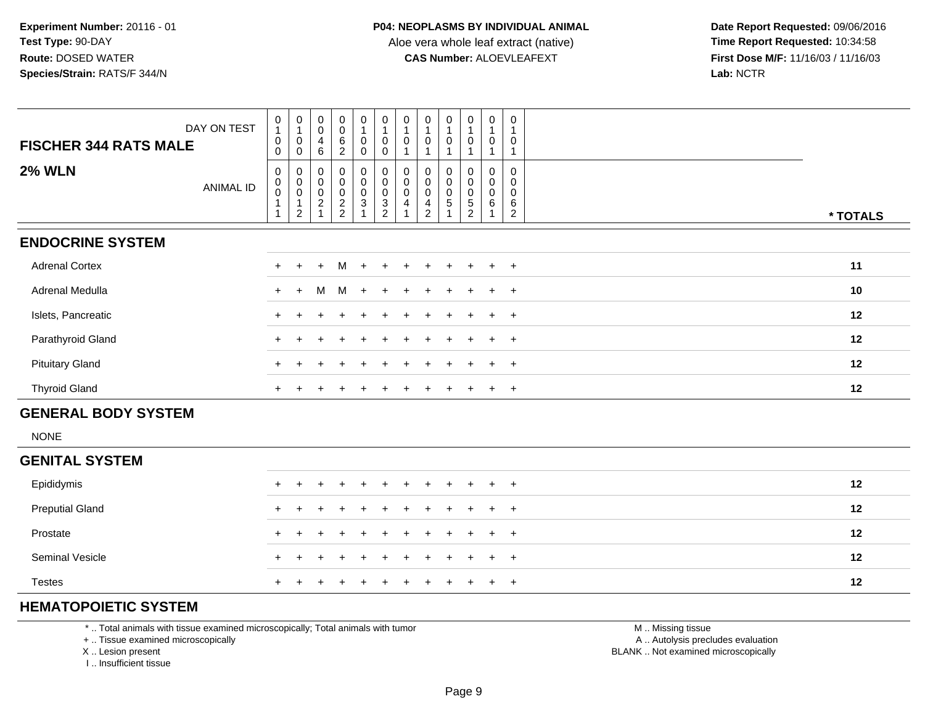**Date Report Requested:** 09/06/2016 **First Dose M/F:** 11/16/03 / 11/16/03<br>Lab: NCTR **Lab:** NCTR

| DAY ON TEST<br><b>FISCHER 344 RATS MALE</b> |           | $\begin{smallmatrix}0\1\end{smallmatrix}$<br>$\,0\,$<br>0 | $\begin{smallmatrix}0\\1\end{smallmatrix}$<br>$\pmb{0}$<br>$\mathbf 0$     | $_{\rm 0}^{\rm 0}$<br>4<br>6                            | $\boldsymbol{0}$<br>$\mathbf 0$<br>$\,6$<br>$\overline{c}$      | $\mathbf 0$<br>$\mathbf 0$<br>$\mathbf 0$                               | $\begin{smallmatrix}0\\1\end{smallmatrix}$<br>$\pmb{0}$<br>$\mathbf 0$               | $\begin{smallmatrix}0\1\end{smallmatrix}$<br>$\pmb{0}$       | $\begin{smallmatrix}0\\1\end{smallmatrix}$<br>0        | $\pmb{0}$<br>$\mathbf{1}$<br>0     | $\begin{smallmatrix}0\\1\end{smallmatrix}$<br>$\pmb{0}$<br>1   | $\mathbf 0$<br>$\mathbf{1}$<br>$\mathbf 0$<br>1 | $\mathbf 0$<br>0                   |          |
|---------------------------------------------|-----------|-----------------------------------------------------------|----------------------------------------------------------------------------|---------------------------------------------------------|-----------------------------------------------------------------|-------------------------------------------------------------------------|--------------------------------------------------------------------------------------|--------------------------------------------------------------|--------------------------------------------------------|------------------------------------|----------------------------------------------------------------|-------------------------------------------------|------------------------------------|----------|
| <b>2% WLN</b>                               | ANIMAL ID | $\pmb{0}$<br>$_{\rm 0}^{\rm 0}$                           | $\boldsymbol{0}$<br>$\begin{smallmatrix} 0\\0 \end{smallmatrix}$<br>1<br>2 | 0<br>$\pmb{0}$<br>$\mathsf{O}\xspace$<br>$\overline{c}$ | 0<br>$\pmb{0}$<br>$\pmb{0}$<br>$\overline{c}$<br>$\overline{2}$ | $\mathbf 0$<br>$\mathbf 0$<br>$\mathsf{O}$<br>$\ensuremath{\mathsf{3}}$ | 0<br>$\mathsf{O}\xspace$<br>$\pmb{0}$<br>$\ensuremath{\mathsf{3}}$<br>$\overline{2}$ | $\begin{smallmatrix}0\\0\end{smallmatrix}$<br>$\pmb{0}$<br>4 | 0<br>$\mathbf 0$<br>$\mathbf 0$<br>4<br>$\overline{2}$ | 0<br>$\pmb{0}$<br>$\mathbf 0$<br>5 | 0<br>$\mathbf 0$<br>$\pmb{0}$<br>$\mathbf 5$<br>$\overline{2}$ | $\mathbf 0$<br>$\mathbf 0$<br>$\mathbf 0$<br>6  | 0<br>0<br>0<br>6<br>$\overline{2}$ | * TOTALS |
| <b>ENDOCRINE SYSTEM</b>                     |           |                                                           |                                                                            |                                                         |                                                                 |                                                                         |                                                                                      |                                                              |                                                        |                                    |                                                                |                                                 |                                    |          |
| <b>Adrenal Cortex</b>                       |           | $+$                                                       | $\ddot{}$                                                                  | $\ddot{}$                                               | M                                                               | $\ddot{}$                                                               |                                                                                      |                                                              |                                                        |                                    |                                                                |                                                 | $+$                                | 11       |
| Adrenal Medulla                             |           | $+$                                                       | $+$                                                                        | м                                                       | M +                                                             |                                                                         | $+$                                                                                  |                                                              |                                                        |                                    |                                                                |                                                 | $+$                                | 10       |
| Islets, Pancreatic                          |           |                                                           |                                                                            |                                                         |                                                                 |                                                                         | $\ddot{}$                                                                            |                                                              |                                                        |                                    | $\ddot{}$                                                      | $+$                                             | $+$                                | 12       |
| Parathyroid Gland                           |           | $+$                                                       |                                                                            |                                                         |                                                                 |                                                                         |                                                                                      |                                                              |                                                        |                                    |                                                                |                                                 | $+$                                | 12       |
| <b>Pituitary Gland</b>                      |           |                                                           |                                                                            |                                                         |                                                                 |                                                                         |                                                                                      |                                                              |                                                        |                                    |                                                                |                                                 | $+$                                | 12       |
| <b>Thyroid Gland</b>                        |           |                                                           |                                                                            |                                                         |                                                                 |                                                                         |                                                                                      |                                                              |                                                        |                                    |                                                                |                                                 | $+$                                | 12       |
| <b>GENERAL BODY SYSTEM</b>                  |           |                                                           |                                                                            |                                                         |                                                                 |                                                                         |                                                                                      |                                                              |                                                        |                                    |                                                                |                                                 |                                    |          |
| <b>NONE</b>                                 |           |                                                           |                                                                            |                                                         |                                                                 |                                                                         |                                                                                      |                                                              |                                                        |                                    |                                                                |                                                 |                                    |          |
| <b>GENITAL SYSTEM</b>                       |           |                                                           |                                                                            |                                                         |                                                                 |                                                                         |                                                                                      |                                                              |                                                        |                                    |                                                                |                                                 |                                    |          |
| Epididymis                                  |           | $+$                                                       |                                                                            | $+$                                                     | $+$                                                             | $\ddot{}$                                                               | $+$                                                                                  | $+$                                                          | $+$                                                    | $+$ $+$                            |                                                                | $+$                                             | $^+$                               | 12       |

| Epididymis             |  |  |  |  |  | + + + + + + + + + + +   | 12 |
|------------------------|--|--|--|--|--|-------------------------|----|
| <b>Preputial Gland</b> |  |  |  |  |  | + + + + + + + + + + +   | 12 |
| Prostate               |  |  |  |  |  | + + + + + + + + + + +   | 12 |
| Seminal Vesicle        |  |  |  |  |  | + + + + + + + + + + +   | 12 |
| <b>Testes</b>          |  |  |  |  |  | + + + + + + + + + + + + | 12 |

### **HEMATOPOIETIC SYSTEM**

\* .. Total animals with tissue examined microscopically; Total animals with tumor

+ .. Tissue examined microscopically

X .. Lesion present

I .. Insufficient tissue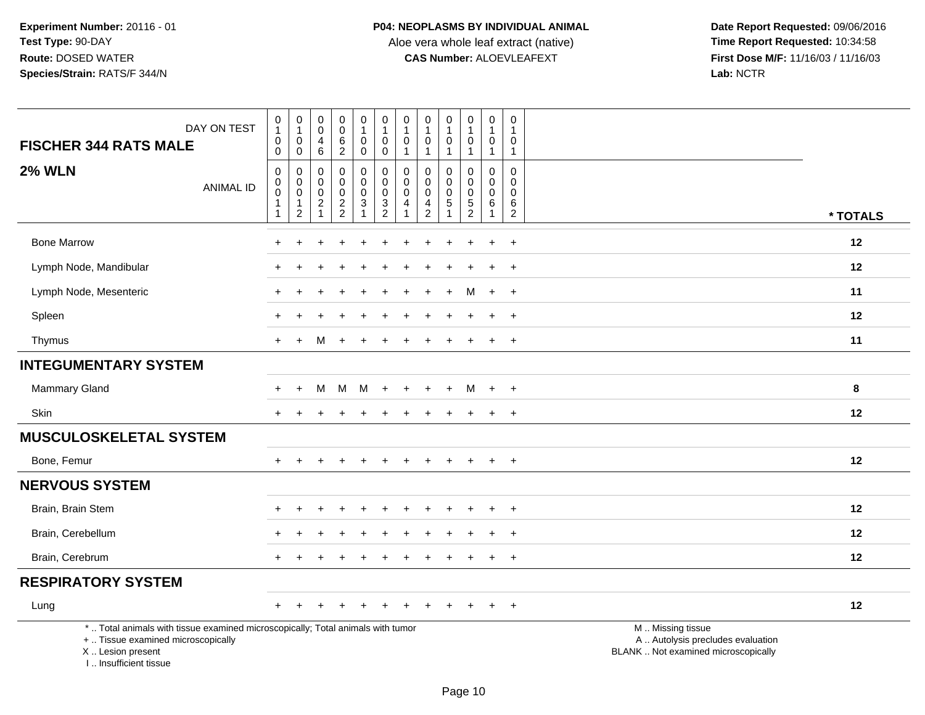Aloe vera whole leaf extract (native)<br>**CAS Number:** ALOEVLEAFEXT

| DAY ON TEST<br><b>FISCHER 344 RATS MALE</b>                                                                                                                         | $\pmb{0}$<br>$\overline{1}$<br>$\boldsymbol{0}$<br>$\mathbf 0$                    | 0<br>$\mathbf{1}$<br>$\mathbf 0$<br>0                | $\pmb{0}$<br>$\mathbf 0$<br>4<br>6                                  | $\pmb{0}$<br>$\ddot{\mathbf{0}}$<br>$\,6\,$<br>$\overline{2}$ | $\mathbf 0$<br>$\mathbf{1}$<br>$\mathbf 0$<br>$\mathbf 0$                    | $\pmb{0}$<br>$\overline{1}$<br>$\mathbf 0$<br>$\mathbf 0$  | 0<br>$\mathbf{1}$<br>$\mathbf 0$<br>$\mathbf{1}$ | $\pmb{0}$<br>$\mathbf{1}$<br>$\pmb{0}$<br>$\mathbf{1}$                           | $\pmb{0}$<br>$\mathbf{1}$<br>$\mathbf 0$<br>$\mathbf{1}$ | $\pmb{0}$<br>$\mathbf{1}$<br>$\mathbf 0$<br>$\mathbf{1}$ | $\pmb{0}$<br>$\mathbf{1}$<br>$\mathbf 0$<br>$\mathbf{1}$             | 0<br>$\mathbf{1}$<br>0<br>$\overline{1}$                       |                                                                                               |
|---------------------------------------------------------------------------------------------------------------------------------------------------------------------|-----------------------------------------------------------------------------------|------------------------------------------------------|---------------------------------------------------------------------|---------------------------------------------------------------|------------------------------------------------------------------------------|------------------------------------------------------------|--------------------------------------------------|----------------------------------------------------------------------------------|----------------------------------------------------------|----------------------------------------------------------|----------------------------------------------------------------------|----------------------------------------------------------------|-----------------------------------------------------------------------------------------------|
| <b>2% WLN</b><br><b>ANIMAL ID</b>                                                                                                                                   | $\boldsymbol{0}$<br>$\boldsymbol{0}$<br>$\pmb{0}$<br>$\mathbf{1}$<br>$\mathbf{1}$ | 0<br>$\pmb{0}$<br>$\mathbf 0$<br>1<br>$\overline{2}$ | 0<br>$\mathbf 0$<br>$\mathbf 0$<br>$\boldsymbol{2}$<br>$\mathbf{1}$ | $\mathbf 0$<br>$\mathbf 0$<br>$\pmb{0}$<br>$\frac{2}{2}$      | 0<br>$\mathbf 0$<br>$\mathbf 0$<br>$\ensuremath{\mathsf{3}}$<br>$\mathbf{1}$ | $\mathbf 0$<br>$\mathbf 0$<br>$\mathbf 0$<br>$\frac{3}{2}$ | 0<br>0<br>$\mathbf 0$<br>4<br>1                  | $\mathbf 0$<br>$\pmb{0}$<br>$\mathbf 0$<br>$\begin{array}{c} 4 \\ 2 \end{array}$ | 0<br>$\Omega$<br>$\mathbf 0$<br>5<br>$\mathbf{1}$        | 0<br>$\mathbf 0$<br>$\pmb{0}$<br>$\frac{5}{2}$           | $\mathbf 0$<br>$\mathbf 0$<br>$\mathbf 0$<br>$\,6\,$<br>$\mathbf{1}$ | $\mathbf 0$<br>$\mathbf{0}$<br>$\Omega$<br>6<br>$\overline{2}$ | * TOTALS                                                                                      |
| <b>Bone Marrow</b>                                                                                                                                                  |                                                                                   |                                                      |                                                                     |                                                               |                                                                              |                                                            |                                                  |                                                                                  |                                                          |                                                          |                                                                      | $+$                                                            | 12                                                                                            |
| Lymph Node, Mandibular                                                                                                                                              |                                                                                   |                                                      |                                                                     |                                                               |                                                                              |                                                            |                                                  |                                                                                  |                                                          |                                                          |                                                                      | $\ddot{}$                                                      | 12                                                                                            |
| Lymph Node, Mesenteric                                                                                                                                              |                                                                                   |                                                      |                                                                     |                                                               |                                                                              |                                                            |                                                  |                                                                                  | $\overline{ }$                                           | М                                                        | $+$                                                                  | $+$                                                            | 11                                                                                            |
| Spleen                                                                                                                                                              |                                                                                   |                                                      |                                                                     |                                                               |                                                                              |                                                            |                                                  |                                                                                  |                                                          |                                                          |                                                                      | $\overline{+}$                                                 | 12                                                                                            |
| Thymus                                                                                                                                                              | $+$                                                                               | $\ddot{}$                                            | м                                                                   |                                                               |                                                                              |                                                            |                                                  |                                                                                  |                                                          |                                                          |                                                                      | $+$                                                            | 11                                                                                            |
| <b>INTEGUMENTARY SYSTEM</b>                                                                                                                                         |                                                                                   |                                                      |                                                                     |                                                               |                                                                              |                                                            |                                                  |                                                                                  |                                                          |                                                          |                                                                      |                                                                |                                                                                               |
| <b>Mammary Gland</b>                                                                                                                                                | $\pm$                                                                             | $\ddot{}$                                            | М                                                                   | M                                                             | M                                                                            | $\div$                                                     |                                                  |                                                                                  | $\overline{+}$                                           | M                                                        | $+$                                                                  | $+$                                                            | 8                                                                                             |
| Skin                                                                                                                                                                | $+$                                                                               | $\pm$                                                | $\div$                                                              | $\div$                                                        | $+$                                                                          | ÷                                                          |                                                  |                                                                                  | $\pm$                                                    | $\pm$                                                    | $+$                                                                  | $+$                                                            | 12                                                                                            |
| <b>MUSCULOSKELETAL SYSTEM</b>                                                                                                                                       |                                                                                   |                                                      |                                                                     |                                                               |                                                                              |                                                            |                                                  |                                                                                  |                                                          |                                                          |                                                                      |                                                                |                                                                                               |
| Bone, Femur                                                                                                                                                         |                                                                                   |                                                      |                                                                     |                                                               |                                                                              |                                                            |                                                  |                                                                                  |                                                          |                                                          |                                                                      | $+$                                                            | 12                                                                                            |
| <b>NERVOUS SYSTEM</b>                                                                                                                                               |                                                                                   |                                                      |                                                                     |                                                               |                                                                              |                                                            |                                                  |                                                                                  |                                                          |                                                          |                                                                      |                                                                |                                                                                               |
| Brain, Brain Stem                                                                                                                                                   |                                                                                   |                                                      |                                                                     |                                                               |                                                                              |                                                            |                                                  |                                                                                  |                                                          |                                                          |                                                                      | $\ddot{}$                                                      | 12                                                                                            |
| Brain, Cerebellum                                                                                                                                                   |                                                                                   |                                                      |                                                                     |                                                               |                                                                              |                                                            |                                                  |                                                                                  |                                                          |                                                          |                                                                      | $\ddot{}$                                                      | 12                                                                                            |
| Brain, Cerebrum                                                                                                                                                     |                                                                                   |                                                      |                                                                     |                                                               |                                                                              |                                                            |                                                  |                                                                                  |                                                          |                                                          |                                                                      | $+$                                                            | 12                                                                                            |
| <b>RESPIRATORY SYSTEM</b>                                                                                                                                           |                                                                                   |                                                      |                                                                     |                                                               |                                                                              |                                                            |                                                  |                                                                                  |                                                          |                                                          |                                                                      |                                                                |                                                                                               |
| Lung                                                                                                                                                                | $\pm$                                                                             |                                                      |                                                                     |                                                               |                                                                              |                                                            |                                                  |                                                                                  |                                                          |                                                          |                                                                      | $\overline{+}$                                                 | 12                                                                                            |
| *  Total animals with tissue examined microscopically; Total animals with tumor<br>+  Tissue examined microscopically<br>X  Lesion present<br>I Insufficient tissue |                                                                                   |                                                      |                                                                     |                                                               |                                                                              |                                                            |                                                  |                                                                                  |                                                          |                                                          |                                                                      |                                                                | M  Missing tissue<br>A  Autolysis precludes evaluation<br>BLANK  Not examined microscopically |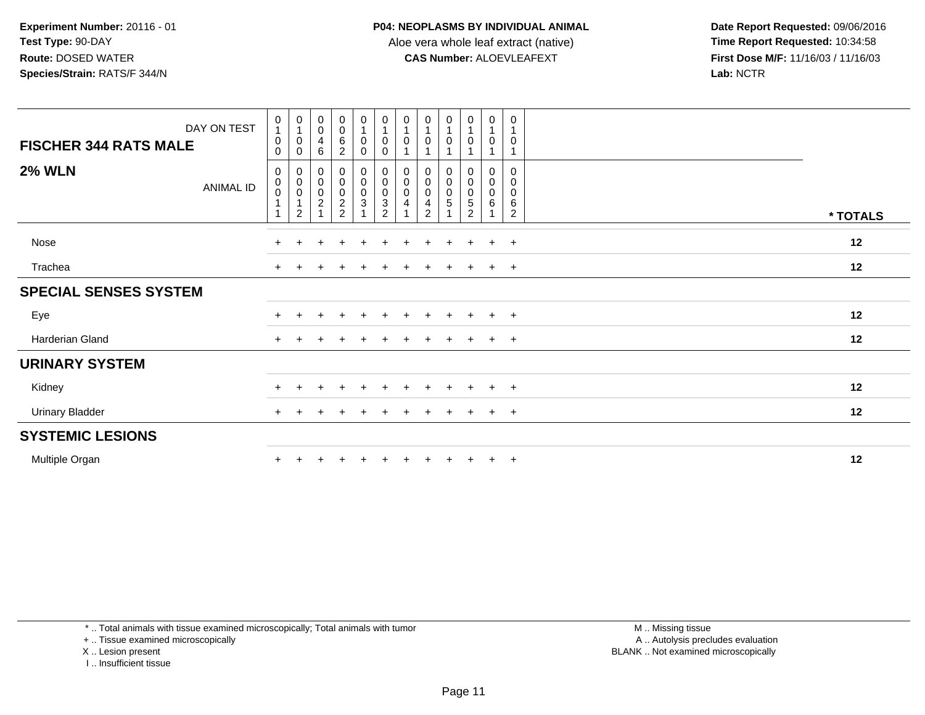**Date Report Requested:** 09/06/2016 **First Dose M/F:** 11/16/03 / 11/16/03<br>Lab: NCTR **Lab:** NCTR

| DAY ON TEST<br><b>FISCHER 344 RATS MALE</b> | $\pmb{0}$<br>0<br>0       | $\begin{smallmatrix}0\\1\end{smallmatrix}$<br>$\boldsymbol{0}$<br>$\mathbf 0$ | $\begin{smallmatrix}0\\0\end{smallmatrix}$<br>$\overline{4}$<br>$\,6$ | $\begin{smallmatrix}0\0\0\end{smallmatrix}$<br>6<br>$\overline{a}$ | $\begin{smallmatrix}0\\1\end{smallmatrix}$<br>$\pmb{0}$<br>$\mathbf 0$     | $\begin{smallmatrix}0\\1\end{smallmatrix}$<br>0<br>$\mathbf 0$ | $\begin{smallmatrix}0\\1\end{smallmatrix}$<br>0<br>$\mathbf 1$     | $\begin{smallmatrix}0\\1\end{smallmatrix}$<br>$\pmb{0}$<br>$\mathbf 1$  | 0<br>0                                     | $\begin{smallmatrix}0\\1\end{smallmatrix}$<br>$\mathbf 0$<br>$\mathbf{1}$     | $\pmb{0}$<br>$\mathbf{1}$<br>$\mathbf 0$<br>$\mathbf{1}$ | 0<br>0                                               |          |
|---------------------------------------------|---------------------------|-------------------------------------------------------------------------------|-----------------------------------------------------------------------|--------------------------------------------------------------------|----------------------------------------------------------------------------|----------------------------------------------------------------|--------------------------------------------------------------------|-------------------------------------------------------------------------|--------------------------------------------|-------------------------------------------------------------------------------|----------------------------------------------------------|------------------------------------------------------|----------|
| <b>2% WLN</b><br>ANIMAL ID                  | 0<br>$\,0\,$<br>$\pmb{0}$ | $\begin{matrix} 0 \\ 0 \\ 0 \\ 1 \end{matrix}$<br>$\overline{2}$              | $0000$<br>$21$                                                        | 0000022                                                            | $\begin{smallmatrix}0\0\0\end{smallmatrix}$<br>$\mathsf 0$<br>$\mathbf{3}$ | 000003                                                         | $\begin{smallmatrix}0\\0\\0\\0\end{smallmatrix}$<br>$\overline{4}$ | $\begin{smallmatrix}0\\0\\0\\0\end{smallmatrix}$<br>4<br>$\overline{2}$ | 0<br>$\ddot{\mathbf{0}}$<br>$\pmb{0}$<br>5 | $\begin{smallmatrix}0\0\0\0\end{smallmatrix}$<br>$\sqrt{5}$<br>$\overline{2}$ | $\,0\,$<br>$\begin{matrix}0\\0\\6\end{matrix}$           | $\mathbf 0$<br>0<br>$\pmb{0}$<br>6<br>$\overline{2}$ | * TOTALS |
| Nose                                        | $+$                       |                                                                               |                                                                       |                                                                    |                                                                            |                                                                |                                                                    |                                                                         | ٠                                          |                                                                               | $+$                                                      | $+$                                                  | 12       |
| Trachea                                     | $+$                       |                                                                               |                                                                       |                                                                    |                                                                            |                                                                |                                                                    |                                                                         |                                            |                                                                               | $+$                                                      | $+$                                                  | 12       |
| <b>SPECIAL SENSES SYSTEM</b>                |                           |                                                                               |                                                                       |                                                                    |                                                                            |                                                                |                                                                    |                                                                         |                                            |                                                                               |                                                          |                                                      |          |
| Eye                                         | $\pm$                     |                                                                               |                                                                       | $\div$                                                             | $\pm$                                                                      | $\pm$                                                          | $\div$                                                             |                                                                         | $\pm$                                      | $\pm$                                                                         | $+$                                                      | $+$                                                  | 12       |
| Harderian Gland                             | $+$                       |                                                                               |                                                                       |                                                                    |                                                                            |                                                                |                                                                    |                                                                         | $\div$                                     |                                                                               | $+$                                                      | $+$                                                  | 12       |
| <b>URINARY SYSTEM</b>                       |                           |                                                                               |                                                                       |                                                                    |                                                                            |                                                                |                                                                    |                                                                         |                                            |                                                                               |                                                          |                                                      |          |
| Kidney                                      | $+$                       |                                                                               |                                                                       |                                                                    |                                                                            |                                                                |                                                                    |                                                                         | $\div$                                     |                                                                               | $+$                                                      | $+$                                                  | 12       |
| <b>Urinary Bladder</b>                      | $+$                       |                                                                               |                                                                       |                                                                    |                                                                            |                                                                |                                                                    |                                                                         |                                            |                                                                               | $+$                                                      | $+$                                                  | 12       |
| <b>SYSTEMIC LESIONS</b>                     |                           |                                                                               |                                                                       |                                                                    |                                                                            |                                                                |                                                                    |                                                                         |                                            |                                                                               |                                                          |                                                      |          |
| Multiple Organ                              | $\pm$                     |                                                                               |                                                                       |                                                                    |                                                                            |                                                                |                                                                    |                                                                         |                                            | $+$                                                                           | $+$                                                      | $+$                                                  | 12       |

\* .. Total animals with tissue examined microscopically; Total animals with tumor

+ .. Tissue examined microscopically

X .. Lesion present

I .. Insufficient tissue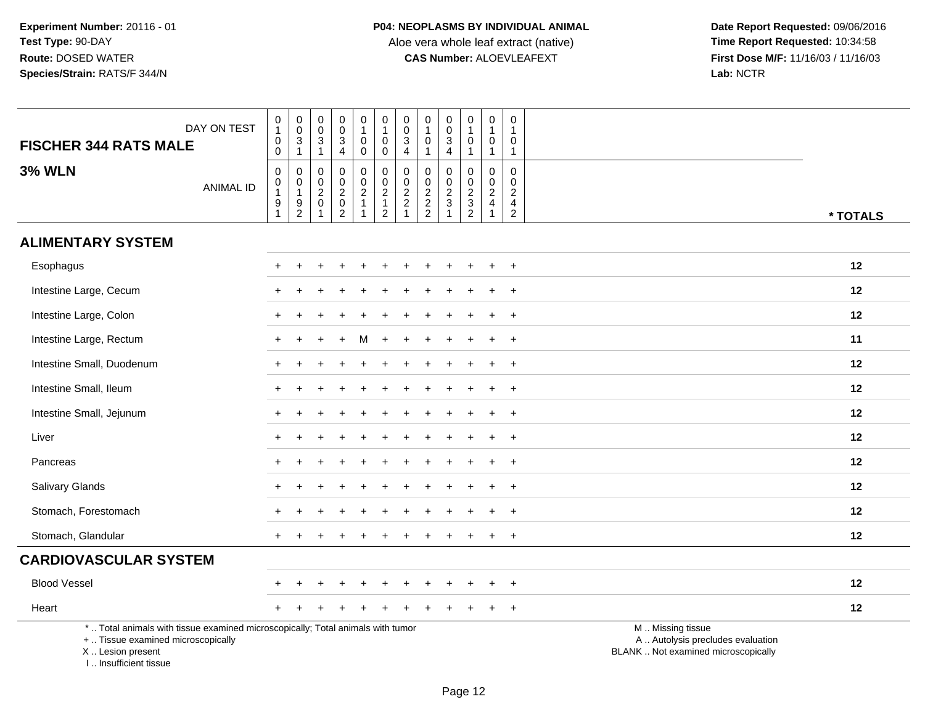| <b>FISCHER 344 RATS MALE</b>                                                                                                                                        | DAY ON TEST      | $\begin{smallmatrix}0\\1\end{smallmatrix}$<br>$\mathsf{O}\xspace$<br>$\mathbf 0$ | $\begin{matrix} 0 \\ 0 \\ 3 \\ 1 \end{matrix}$              | $\pmb{0}$<br>$\mathbf 0$<br>$\ensuremath{\mathsf{3}}$<br>$\mathbf{1}$ | $\pmb{0}$<br>$\mathbf 0$<br>$\overline{3}$<br>$\overline{4}$                 | 0<br>$\mathbf{1}$<br>0<br>$\mathsf{O}\xspace$                      | $\begin{smallmatrix}0\\1\end{smallmatrix}$<br>$\mathbf 0$<br>$\boldsymbol{0}$ | $\pmb{0}$<br>$\pmb{0}$<br>$\overline{3}$<br>$\overline{4}$                  | $\boldsymbol{0}$<br>$\overline{1}$<br>$\mathbf 0$<br>$\mathbf{1}$ | $\pmb{0}$<br>$\mathbf 0$<br>$\mathbf{3}$<br>$\overline{4}$    | $\pmb{0}$<br>$\mathbf{1}$<br>$\pmb{0}$<br>$\mathbf{1}$ | $\pmb{0}$<br>$\overline{1}$<br>$\mathbf 0$<br>$\mathbf{1}$  | 0<br>$\mathbf{1}$<br>0<br>$\overline{1}$                                      |                                                                                               |
|---------------------------------------------------------------------------------------------------------------------------------------------------------------------|------------------|----------------------------------------------------------------------------------|-------------------------------------------------------------|-----------------------------------------------------------------------|------------------------------------------------------------------------------|--------------------------------------------------------------------|-------------------------------------------------------------------------------|-----------------------------------------------------------------------------|-------------------------------------------------------------------|---------------------------------------------------------------|--------------------------------------------------------|-------------------------------------------------------------|-------------------------------------------------------------------------------|-----------------------------------------------------------------------------------------------|
| <b>3% WLN</b>                                                                                                                                                       | <b>ANIMAL ID</b> | $\mathbf 0$<br>$\pmb{0}$<br>$\mathbf{1}$<br>$\frac{9}{1}$                        | $\mathbf 0$<br>$\pmb{0}$<br>$\overline{1}$<br>$\frac{9}{2}$ | $\mathbf 0$<br>$\mathbf 0$<br>$^2_{\rm 0}$<br>$\mathbf{1}$            | $\mathbf 0$<br>$\mathbf 0$<br>$\overline{2}$<br>$\overline{0}$<br>$\sqrt{2}$ | 0<br>$\mathbf 0$<br>$\overline{a}$<br>$\mathbf{1}$<br>$\mathbf{1}$ | $\mathbf 0$<br>$\ddot{\mathbf{0}}$<br>$\frac{2}{1}$<br>$\overline{2}$         | $\mathbf 0$<br>$\begin{array}{c} 0 \\ 2 \\ 2 \end{array}$<br>$\overline{1}$ | $\mathbf 0$<br>$\frac{0}{2}$<br>2<br>2                            | $\mathbf 0$<br>$\mathbf 0$<br>$\frac{2}{3}$<br>$\overline{1}$ | $\mathbf 0$<br>$\pmb{0}$<br>$\frac{2}{3}$              | $\mathbf 0$<br>$\mathbf 0$<br>$\frac{2}{4}$<br>$\mathbf{1}$ | $\Omega$<br>$\mathbf 0$<br>$\overline{2}$<br>$\overline{4}$<br>$\overline{a}$ | * TOTALS                                                                                      |
| <b>ALIMENTARY SYSTEM</b>                                                                                                                                            |                  |                                                                                  |                                                             |                                                                       |                                                                              |                                                                    |                                                                               |                                                                             |                                                                   |                                                               |                                                        |                                                             |                                                                               |                                                                                               |
| Esophagus                                                                                                                                                           |                  |                                                                                  |                                                             |                                                                       |                                                                              |                                                                    |                                                                               |                                                                             |                                                                   |                                                               |                                                        |                                                             | $\ddot{}$                                                                     | 12                                                                                            |
| Intestine Large, Cecum                                                                                                                                              |                  |                                                                                  |                                                             |                                                                       |                                                                              |                                                                    |                                                                               |                                                                             |                                                                   |                                                               |                                                        |                                                             | $\overline{1}$                                                                | 12                                                                                            |
| Intestine Large, Colon                                                                                                                                              |                  |                                                                                  |                                                             |                                                                       |                                                                              |                                                                    |                                                                               |                                                                             |                                                                   |                                                               |                                                        |                                                             | $\overline{+}$                                                                | 12                                                                                            |
| Intestine Large, Rectum                                                                                                                                             |                  |                                                                                  |                                                             |                                                                       |                                                                              |                                                                    |                                                                               |                                                                             |                                                                   |                                                               |                                                        |                                                             | $\ddot{}$                                                                     | 11                                                                                            |
| Intestine Small, Duodenum                                                                                                                                           |                  |                                                                                  |                                                             |                                                                       |                                                                              |                                                                    |                                                                               |                                                                             |                                                                   |                                                               |                                                        |                                                             | $\ddot{}$                                                                     | 12                                                                                            |
| Intestine Small, Ileum                                                                                                                                              |                  |                                                                                  |                                                             |                                                                       |                                                                              |                                                                    |                                                                               |                                                                             |                                                                   |                                                               |                                                        |                                                             | $\overline{+}$                                                                | 12                                                                                            |
| Intestine Small, Jejunum                                                                                                                                            |                  |                                                                                  |                                                             |                                                                       |                                                                              |                                                                    |                                                                               |                                                                             |                                                                   |                                                               |                                                        |                                                             | $\ddot{}$                                                                     | 12                                                                                            |
| Liver                                                                                                                                                               |                  |                                                                                  |                                                             |                                                                       |                                                                              |                                                                    |                                                                               |                                                                             |                                                                   |                                                               |                                                        |                                                             | $\ddot{}$                                                                     | 12                                                                                            |
| Pancreas                                                                                                                                                            |                  |                                                                                  |                                                             |                                                                       |                                                                              |                                                                    |                                                                               |                                                                             |                                                                   |                                                               |                                                        |                                                             | $\ddot{}$                                                                     | 12                                                                                            |
| Salivary Glands                                                                                                                                                     |                  |                                                                                  |                                                             |                                                                       |                                                                              |                                                                    |                                                                               |                                                                             |                                                                   |                                                               |                                                        |                                                             | $+$                                                                           | 12                                                                                            |
| Stomach, Forestomach                                                                                                                                                |                  |                                                                                  |                                                             |                                                                       |                                                                              |                                                                    |                                                                               |                                                                             |                                                                   |                                                               |                                                        |                                                             | $\overline{+}$                                                                | 12                                                                                            |
| Stomach, Glandular                                                                                                                                                  |                  |                                                                                  |                                                             |                                                                       |                                                                              |                                                                    |                                                                               |                                                                             |                                                                   |                                                               |                                                        |                                                             | $\ddot{}$                                                                     | 12                                                                                            |
| <b>CARDIOVASCULAR SYSTEM</b>                                                                                                                                        |                  |                                                                                  |                                                             |                                                                       |                                                                              |                                                                    |                                                                               |                                                                             |                                                                   |                                                               |                                                        |                                                             |                                                                               |                                                                                               |
| <b>Blood Vessel</b>                                                                                                                                                 |                  |                                                                                  |                                                             |                                                                       |                                                                              |                                                                    |                                                                               |                                                                             |                                                                   |                                                               |                                                        |                                                             | $\overline{+}$                                                                | 12                                                                                            |
| Heart                                                                                                                                                               |                  |                                                                                  |                                                             |                                                                       |                                                                              |                                                                    |                                                                               |                                                                             |                                                                   |                                                               |                                                        |                                                             | $\ddot{}$                                                                     | 12                                                                                            |
| *  Total animals with tissue examined microscopically; Total animals with tumor<br>+  Tissue examined microscopically<br>X  Lesion present<br>I Insufficient tissue |                  |                                                                                  |                                                             |                                                                       |                                                                              |                                                                    |                                                                               |                                                                             |                                                                   |                                                               |                                                        |                                                             |                                                                               | M  Missing tissue<br>A  Autolysis precludes evaluation<br>BLANK  Not examined microscopically |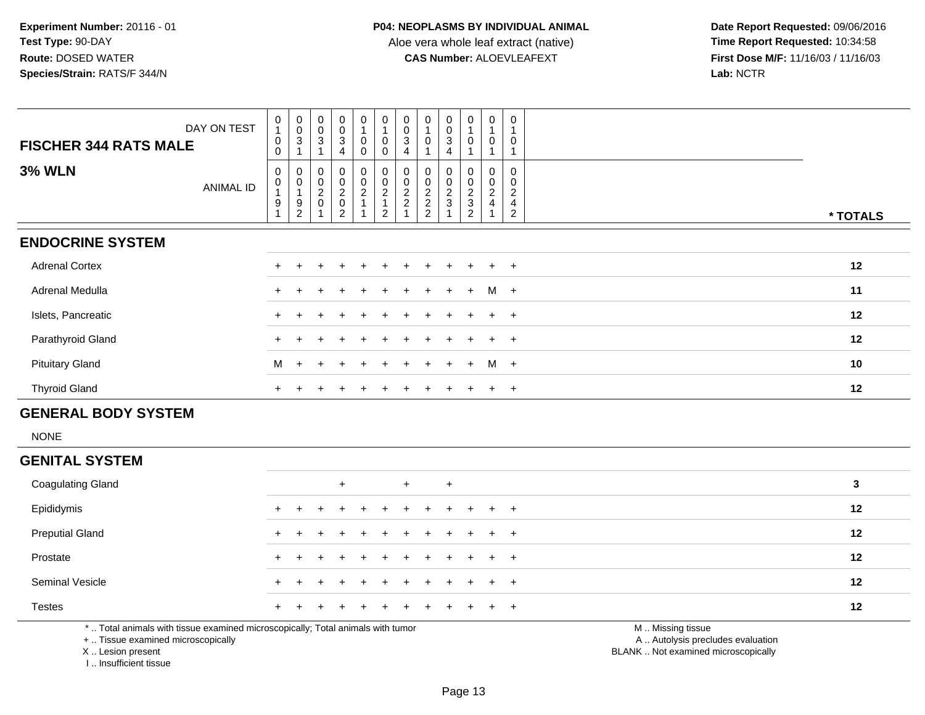**Date Report Requested:** 09/06/2016 **First Dose M/F:** 11/16/03 / 11/16/03<br>Lab: NCTR **Lab:** NCTR

| DAY ON TEST<br><b>FISCHER 344 RATS MALE</b> | $\frac{0}{1}$<br>$\pmb{0}$<br>0    | $_{\rm 0}^{\rm 0}$<br>$\sqrt{3}$        | $_{\rm 0}^{\rm 0}$<br>3                       | $\begin{smallmatrix} 0\\0 \end{smallmatrix}$<br>3<br>4     | $\pmb{0}$<br>$\overline{A}$<br>0<br>0                          | $\frac{0}{1}$<br>$\pmb{0}$<br>$\mathbf 0$                                       | $_{\rm 0}^{\rm 0}$<br>3<br>4         | $\mathbf 0$<br>$\overline{A}$<br>$\mathbf 0$          | 0<br>0<br>3<br>4        | $\pmb{0}$<br>$\overline{1}$<br>$\mathbf 0$        | 0<br>0                                           | 0<br>0                                    |          |
|---------------------------------------------|------------------------------------|-----------------------------------------|-----------------------------------------------|------------------------------------------------------------|----------------------------------------------------------------|---------------------------------------------------------------------------------|--------------------------------------|-------------------------------------------------------|-------------------------|---------------------------------------------------|--------------------------------------------------|-------------------------------------------|----------|
| <b>3% WLN</b><br>ANIMAL ID                  | 0<br>$\pmb{0}$<br>$\boldsymbol{9}$ | 0<br>$\mathbf 0$<br>9<br>$\overline{c}$ | $\boldsymbol{0}$<br>$\pmb{0}$<br>$^2_{\rm 0}$ | $\mathbf 0$<br>$\pmb{0}$<br>$^2_{\rm 0}$<br>$\overline{2}$ | $\begin{smallmatrix}0\\0\end{smallmatrix}$<br>$\boldsymbol{2}$ | $\begin{smallmatrix}0\0\0\end{smallmatrix}$<br>$\overline{c}$<br>$\overline{2}$ | $\boldsymbol{2}$<br>$\boldsymbol{2}$ | $_{\rm 0}^{\rm 0}$<br>$\frac{2}{2}$<br>$\overline{2}$ | 0<br>0<br>$\frac{2}{3}$ | 0<br>$\pmb{0}$<br>$\frac{2}{3}$<br>$\overline{c}$ | 0<br>$\mathbf 0$<br>$\overline{\mathbf{c}}$<br>4 | $\overline{\mathbf{c}}$<br>$\overline{c}$ | * TOTALS |
| <b>ENDOCRINE SYSTEM</b>                     |                                    |                                         |                                               |                                                            |                                                                |                                                                                 |                                      |                                                       |                         |                                                   |                                                  |                                           |          |
| <b>Adrenal Cortex</b>                       |                                    |                                         |                                               |                                                            |                                                                |                                                                                 |                                      |                                                       |                         |                                                   |                                                  | $+$ $+$                                   | 12       |
| Adrenal Medulla                             |                                    |                                         |                                               | $\div$                                                     | $+$                                                            | $+$                                                                             | $+$                                  | $+$                                                   | $+$                     | $+$                                               | $M +$                                            |                                           | 11       |
| Islets, Pancreatic                          |                                    |                                         |                                               |                                                            |                                                                |                                                                                 | +                                    |                                                       | $\ddot{}$               |                                                   | $+$                                              | $+$                                       | 12       |
| Parathyroid Gland                           |                                    |                                         |                                               |                                                            |                                                                |                                                                                 |                                      |                                                       |                         |                                                   |                                                  | $\ddot{}$                                 | 12       |
| <b>Pituitary Gland</b>                      | M                                  | $\ddot{}$                               |                                               |                                                            |                                                                |                                                                                 |                                      |                                                       | $\pm$                   | $+$                                               | M                                                | $+$                                       | 10       |
| <b>Thyroid Gland</b>                        |                                    |                                         |                                               |                                                            |                                                                |                                                                                 |                                      |                                                       |                         |                                                   | $\pm$                                            | $\overline{+}$                            | 12       |

## **GENERAL BODY SYSTEM**

NONE

# **GENITAL SYSTEM**

| <b>Coagulating Gland</b> | $+$<br>$+$<br>$\pm$                           | 3       |
|--------------------------|-----------------------------------------------|---------|
| Epididymis               | + + + + + + + + + +<br>$+$                    | 12      |
| <b>Preputial Gland</b>   | + + + + + + + + + + + +                       | $12 \,$ |
| Prostate                 | + + + + + + + + + +<br>$+$ $+$ $-$            | 12      |
| <b>Seminal Vesicle</b>   | + + + + + + + + + +<br>$+$ $+$ $-$            | 12      |
| <b>Testes</b>            | + + + + + + + + + + +                         | 12      |
|                          | <b>AA</b> AA's a formulation of the secondary |         |

\* .. Total animals with tissue examined microscopically; Total animals with tumor

+ .. Tissue examined microscopically

X .. Lesion present

I .. Insufficient tissue

M .. Missing tissue

y the contract of the contract of the contract of the contract of the contract of the contract of the contract of  $A$ . Autolysis precludes evaluation

Lesion present BLANK .. Not examined microscopically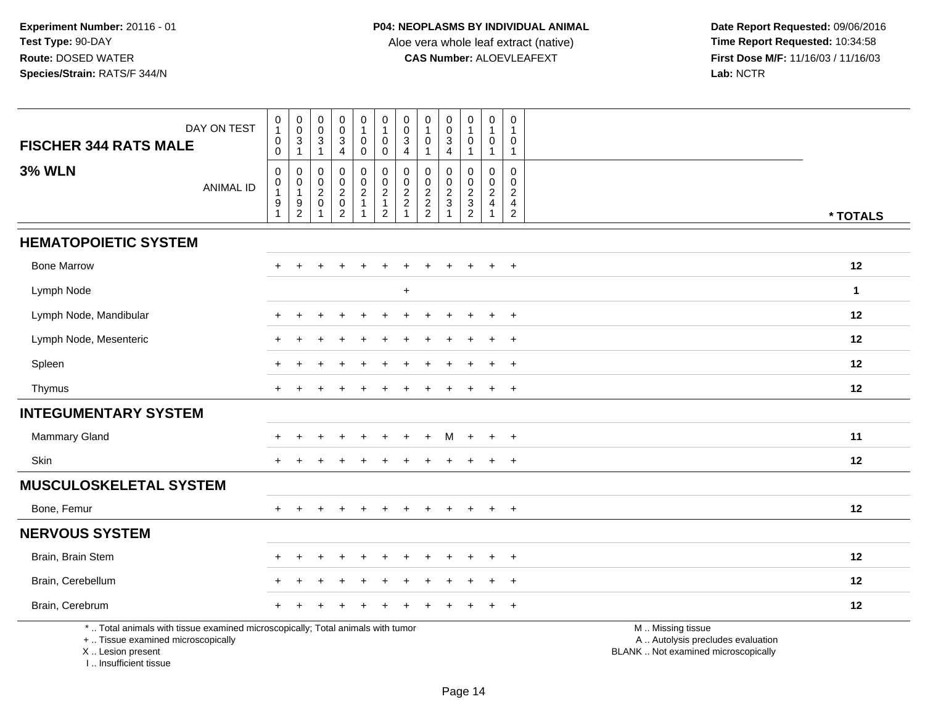**Date Report Requested:** 09/06/2016 **First Dose M/F:** 11/16/03 / 11/16/03<br>Lab: NCTR **Lab:** NCTR

| <b>FISCHER 344 RATS MALE</b>                            | DAY ON TEST                                                                     | $\begin{smallmatrix}0\\1\end{smallmatrix}$<br>$\pmb{0}$<br>$\pmb{0}$ | $\begin{smallmatrix} 0\\0 \end{smallmatrix}$<br>$\frac{3}{1}$ | $\begin{smallmatrix} 0\\0 \end{smallmatrix}$<br>$\ensuremath{\mathsf{3}}$<br>$\overline{1}$ | $\pmb{0}$<br>$\ddot{\mathbf{0}}$<br>$\ensuremath{\mathsf{3}}$<br>$\overline{4}$ | 0<br>$\mathbf{1}$<br>$\pmb{0}$<br>0                                 | $\begin{smallmatrix}0\1\end{smallmatrix}$<br>$\pmb{0}$<br>$\mathbf 0$ | $\pmb{0}$<br>$\ddot{\mathbf{0}}$<br>$\ensuremath{\mathsf{3}}$<br>$\overline{4}$ | 0<br>$\overline{1}$<br>$\mathbf 0$<br>$\mathbf 1$ | $\begin{smallmatrix} 0\\0 \end{smallmatrix}$<br>$\ensuremath{\mathsf{3}}$<br>$\overline{4}$ | 0<br>$\overline{1}$<br>$\pmb{0}$<br>$\overline{1}$ | $\pmb{0}$<br>$\overline{1}$<br>$\mathbf 0$<br>$\overline{1}$       | 0<br>1<br>0<br>$\mathbf{1}$                     |                                                                                               |
|---------------------------------------------------------|---------------------------------------------------------------------------------|----------------------------------------------------------------------|---------------------------------------------------------------|---------------------------------------------------------------------------------------------|---------------------------------------------------------------------------------|---------------------------------------------------------------------|-----------------------------------------------------------------------|---------------------------------------------------------------------------------|---------------------------------------------------|---------------------------------------------------------------------------------------------|----------------------------------------------------|--------------------------------------------------------------------|-------------------------------------------------|-----------------------------------------------------------------------------------------------|
| <b>3% WLN</b>                                           | <b>ANIMAL ID</b>                                                                | $\pmb{0}$<br>$\overline{0}$<br>1<br>$\boldsymbol{9}$<br>$\mathbf{1}$ | 0<br>$\mathbf 0$<br>$\mathbf{1}$<br>$\frac{9}{2}$             | 0<br>$\begin{matrix}0\\2\\0\end{matrix}$<br>$\overline{1}$                                  | $\mathbf 0$<br>$\mathbf 0$<br>$^2_{\rm 0}$<br>$\overline{2}$                    | 0<br>$\mathsf{O}\xspace$<br>$\overline{\mathbf{c}}$<br>$\mathbf{1}$ | 00212                                                                 | $\mathbf 0$<br>$\mathbf 0$<br>$\frac{2}{2}$<br>$\mathbf{1}$                     | $\mathbf 0$<br>0<br>$\frac{2}{2}$                 | 0<br>$\mathbf 0$<br>$\frac{2}{3}$<br>$\overline{1}$                                         | 0<br>$\mathbf 0$<br>$\frac{2}{3}$                  | 0<br>$\mathbf 0$<br>$\sqrt{2}$<br>$\overline{4}$<br>$\overline{1}$ | 0<br>0<br>$\overline{c}$<br>4<br>$\overline{c}$ | * TOTALS                                                                                      |
| <b>HEMATOPOIETIC SYSTEM</b>                             |                                                                                 |                                                                      |                                                               |                                                                                             |                                                                                 |                                                                     |                                                                       |                                                                                 |                                                   |                                                                                             |                                                    |                                                                    |                                                 |                                                                                               |
| <b>Bone Marrow</b>                                      |                                                                                 |                                                                      |                                                               |                                                                                             |                                                                                 |                                                                     |                                                                       |                                                                                 |                                                   |                                                                                             |                                                    |                                                                    | $\ddot{}$                                       | 12                                                                                            |
| Lymph Node                                              |                                                                                 |                                                                      |                                                               |                                                                                             |                                                                                 |                                                                     |                                                                       | $\ddot{}$                                                                       |                                                   |                                                                                             |                                                    |                                                                    |                                                 | $\mathbf{1}$                                                                                  |
| Lymph Node, Mandibular                                  |                                                                                 |                                                                      |                                                               |                                                                                             |                                                                                 |                                                                     |                                                                       |                                                                                 |                                                   |                                                                                             |                                                    |                                                                    | $\ddot{}$                                       | 12                                                                                            |
| Lymph Node, Mesenteric                                  |                                                                                 |                                                                      |                                                               |                                                                                             |                                                                                 |                                                                     |                                                                       |                                                                                 |                                                   |                                                                                             |                                                    |                                                                    |                                                 | 12                                                                                            |
| Spleen                                                  |                                                                                 |                                                                      |                                                               |                                                                                             |                                                                                 |                                                                     |                                                                       |                                                                                 |                                                   |                                                                                             |                                                    |                                                                    | $\ddot{}$                                       | 12                                                                                            |
| Thymus                                                  |                                                                                 |                                                                      |                                                               |                                                                                             |                                                                                 |                                                                     |                                                                       |                                                                                 |                                                   |                                                                                             |                                                    |                                                                    | $\div$                                          | 12                                                                                            |
| <b>INTEGUMENTARY SYSTEM</b>                             |                                                                                 |                                                                      |                                                               |                                                                                             |                                                                                 |                                                                     |                                                                       |                                                                                 |                                                   |                                                                                             |                                                    |                                                                    |                                                 |                                                                                               |
| Mammary Gland                                           |                                                                                 |                                                                      |                                                               |                                                                                             |                                                                                 |                                                                     |                                                                       |                                                                                 | ÷                                                 | м                                                                                           | $+$                                                | $\ddot{}$                                                          | $\ddot{}$                                       | 11                                                                                            |
| Skin                                                    |                                                                                 |                                                                      |                                                               |                                                                                             |                                                                                 |                                                                     |                                                                       |                                                                                 |                                                   |                                                                                             |                                                    |                                                                    |                                                 | 12                                                                                            |
| <b>MUSCULOSKELETAL SYSTEM</b>                           |                                                                                 |                                                                      |                                                               |                                                                                             |                                                                                 |                                                                     |                                                                       |                                                                                 |                                                   |                                                                                             |                                                    |                                                                    |                                                 |                                                                                               |
| Bone, Femur                                             |                                                                                 | $+$                                                                  |                                                               |                                                                                             | ÷                                                                               | $\ddot{}$                                                           |                                                                       |                                                                                 |                                                   | $\div$                                                                                      | $\ddot{}$                                          | $\ddot{}$                                                          | $+$                                             | 12                                                                                            |
| <b>NERVOUS SYSTEM</b>                                   |                                                                                 |                                                                      |                                                               |                                                                                             |                                                                                 |                                                                     |                                                                       |                                                                                 |                                                   |                                                                                             |                                                    |                                                                    |                                                 |                                                                                               |
| Brain, Brain Stem                                       |                                                                                 |                                                                      |                                                               |                                                                                             |                                                                                 |                                                                     |                                                                       |                                                                                 |                                                   |                                                                                             |                                                    |                                                                    |                                                 | 12                                                                                            |
| Brain, Cerebellum                                       |                                                                                 |                                                                      |                                                               |                                                                                             |                                                                                 |                                                                     |                                                                       |                                                                                 |                                                   |                                                                                             |                                                    |                                                                    | $\ddot{}$                                       | 12                                                                                            |
| Brain, Cerebrum                                         |                                                                                 |                                                                      |                                                               |                                                                                             |                                                                                 |                                                                     |                                                                       |                                                                                 |                                                   |                                                                                             |                                                    |                                                                    | $\ddot{}$                                       | 12                                                                                            |
| +  Tissue examined microscopically<br>X  Lesion present | *  Total animals with tissue examined microscopically; Total animals with tumor |                                                                      |                                                               |                                                                                             |                                                                                 |                                                                     |                                                                       |                                                                                 |                                                   |                                                                                             |                                                    |                                                                    |                                                 | M  Missing tissue<br>A  Autolysis precludes evaluation<br>BLANK  Not examined microscopically |

I .. Insufficient tissue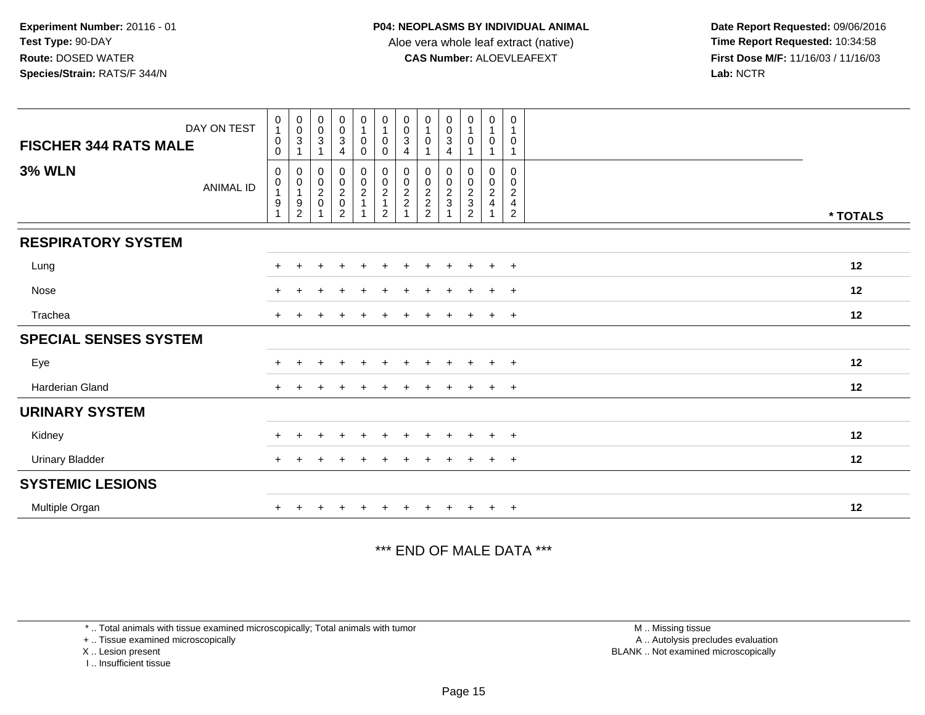**Date Report Requested:** 09/06/2016 **First Dose M/F:** 11/16/03 / 11/16/03<br>Lab: NCTR **Lab:** NCTR

| DAY ON TEST<br><b>FISCHER 344 RATS MALE</b> | $\begin{smallmatrix}0\\1\end{smallmatrix}$<br>$\mathbf 0$<br>$\mathbf 0$ | $\begin{smallmatrix} 0\\0\\3 \end{smallmatrix}$<br>$\overline{1}$ | $\begin{matrix} 0 \\ 0 \\ 3 \end{matrix}$ | $\begin{smallmatrix}0\\0\\3\end{smallmatrix}$<br>4 | $\begin{smallmatrix}0\1\end{smallmatrix}$<br>$\mathbf 0$<br>$\mathbf 0$ | $\begin{array}{c} 0 \\ 1 \\ 0 \end{array}$<br>$\mathbf 0$ | $\begin{smallmatrix} 0\\0\\3 \end{smallmatrix}$<br>$\overline{4}$ | 0<br>$\mathbf{1}$<br>0                                           | $\begin{smallmatrix}0\\0\\3\end{smallmatrix}$<br>$\overline{4}$ | $\begin{smallmatrix}0\1\end{smallmatrix}$<br>$\mathsf{O}\xspace$ | $\begin{smallmatrix}0\\1\end{smallmatrix}$<br>$\pmb{0}$<br>$\mathbf{1}$ | 0<br>$\mathbf 1$<br>0<br>1                                   |          |
|---------------------------------------------|--------------------------------------------------------------------------|-------------------------------------------------------------------|-------------------------------------------|----------------------------------------------------|-------------------------------------------------------------------------|-----------------------------------------------------------|-------------------------------------------------------------------|------------------------------------------------------------------|-----------------------------------------------------------------|------------------------------------------------------------------|-------------------------------------------------------------------------|--------------------------------------------------------------|----------|
| <b>3% WLN</b><br><b>ANIMAL ID</b>           | $\boldsymbol{0}$<br>$\pmb{0}$<br>$\mathbf{1}$<br>$\boldsymbol{9}$        | $\mathbf 0$<br>$\pmb{0}$<br>$\mathbf{1}$<br>$\frac{9}{2}$         | 0<br>$\frac{0}{2}$                        | $\pmb{0}$<br>$\frac{0}{2}$<br>$\overline{2}$       | $\begin{array}{c} 0 \\ 0 \\ 2 \\ 1 \end{array}$                         | $\mathbf 0$<br>$\frac{0}{2}$<br>1<br>$\overline{2}$       | 0<br>$\pmb{0}$<br>$\frac{2}{2}$                                   | 0<br>$\begin{matrix} 0 \\ 2 \\ 2 \end{matrix}$<br>$\overline{c}$ | 0<br>$\frac{0}{2}$                                              | 0<br>$\frac{0}{2}$<br>$\overline{2}$                             | $\pmb{0}$<br>$\begin{array}{c} 0 \\ 2 \\ 4 \end{array}$<br>1            | 0<br>0<br>$\overline{c}$<br>$\overline{4}$<br>$\overline{2}$ | * TOTALS |
| <b>RESPIRATORY SYSTEM</b>                   |                                                                          |                                                                   |                                           |                                                    |                                                                         |                                                           |                                                                   |                                                                  |                                                                 |                                                                  |                                                                         |                                                              |          |
| Lung                                        |                                                                          |                                                                   |                                           |                                                    |                                                                         |                                                           |                                                                   |                                                                  |                                                                 |                                                                  |                                                                         | $\overline{+}$                                               | 12       |
| Nose                                        | $+$                                                                      |                                                                   |                                           |                                                    |                                                                         |                                                           |                                                                   |                                                                  |                                                                 | $\overline{+}$                                                   | $\ddot{}$                                                               | $\overline{+}$                                               | 12       |
| Trachea                                     |                                                                          |                                                                   |                                           |                                                    |                                                                         |                                                           |                                                                   |                                                                  |                                                                 | $\overline{+}$                                                   | $+$                                                                     | $+$                                                          | 12       |
| <b>SPECIAL SENSES SYSTEM</b>                |                                                                          |                                                                   |                                           |                                                    |                                                                         |                                                           |                                                                   |                                                                  |                                                                 |                                                                  |                                                                         |                                                              |          |
| Eye                                         |                                                                          |                                                                   |                                           |                                                    |                                                                         |                                                           |                                                                   |                                                                  |                                                                 | $\div$                                                           | $\pm$                                                                   | $+$                                                          | 12       |
| <b>Harderian Gland</b>                      |                                                                          |                                                                   |                                           |                                                    |                                                                         |                                                           |                                                                   |                                                                  |                                                                 |                                                                  |                                                                         | $\overline{ }$                                               | 12       |
| <b>URINARY SYSTEM</b>                       |                                                                          |                                                                   |                                           |                                                    |                                                                         |                                                           |                                                                   |                                                                  |                                                                 |                                                                  |                                                                         |                                                              |          |
| Kidney                                      |                                                                          |                                                                   |                                           |                                                    | $\div$                                                                  |                                                           |                                                                   | $\ddot{}$                                                        | $\pm$                                                           | $\overline{+}$                                                   | $+$                                                                     | $^{+}$                                                       | 12       |
| <b>Urinary Bladder</b>                      |                                                                          |                                                                   |                                           |                                                    |                                                                         |                                                           |                                                                   | +                                                                |                                                                 | $\overline{+}$                                                   | $+$                                                                     | $^{+}$                                                       | 12       |
| <b>SYSTEMIC LESIONS</b>                     |                                                                          |                                                                   |                                           |                                                    |                                                                         |                                                           |                                                                   |                                                                  |                                                                 |                                                                  |                                                                         |                                                              |          |
| Multiple Organ                              |                                                                          |                                                                   |                                           |                                                    |                                                                         |                                                           |                                                                   |                                                                  |                                                                 | $\ddot{}$                                                        | $+$                                                                     | $+$                                                          | 12       |

\*\*\* END OF MALE DATA \*\*\*

\* .. Total animals with tissue examined microscopically; Total animals with tumor

+ .. Tissue examined microscopically

X .. Lesion present

I .. Insufficient tissue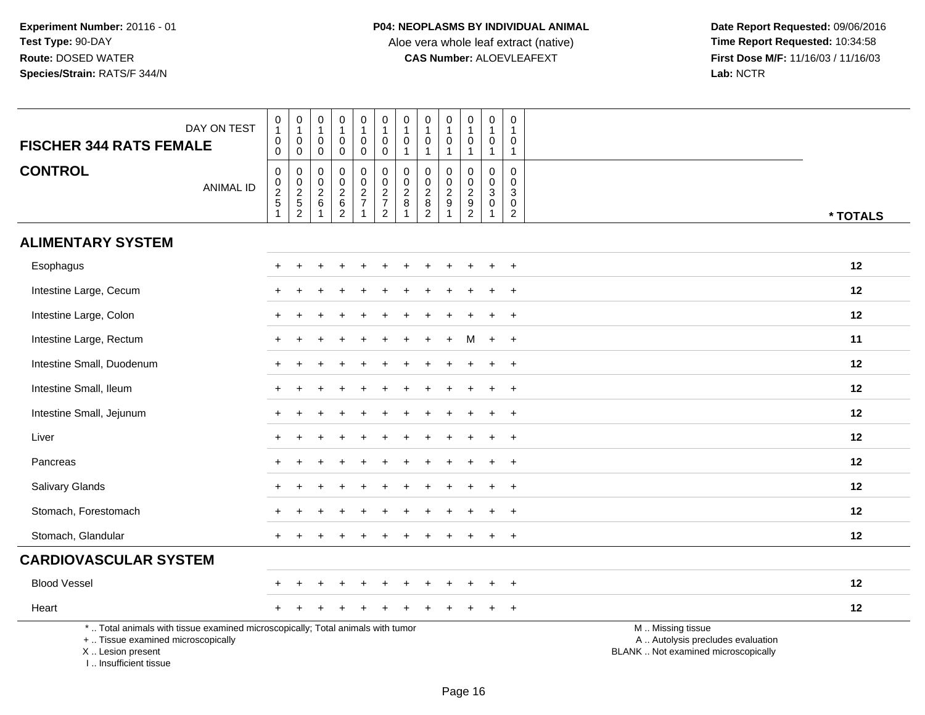| <b>FISCHER 344 RATS FEMALE</b>                                                   | DAY ON TEST                                                                     | 0<br>$\mathbf{1}$<br>$\pmb{0}$<br>$\mathsf 0$             | $\begin{smallmatrix}0\\1\end{smallmatrix}$<br>$\mathbf 0$<br>$\mathbf 0$ | 0<br>$\mathbf{1}$<br>0<br>$\pmb{0}$           | $\pmb{0}$<br>$\mathbf{1}$<br>$\pmb{0}$<br>$\mathsf{O}\xspace$ | $\begin{smallmatrix}0\1\end{smallmatrix}$<br>0<br>$\pmb{0}$   | 0<br>$\mathbf{1}$<br>$\mathsf{O}\xspace$<br>$\ddot{\mathbf{0}}$ | $\begin{smallmatrix}0\\1\end{smallmatrix}$<br>$\pmb{0}$<br>$\mathbf{1}$ | $\pmb{0}$<br>$\overline{1}$<br>0<br>$\overline{1}$                      | $\mathbf 0$<br>$\mathbf{1}$<br>$\mathbf 0$<br>$\mathbf{1}$            | 0<br>$\mathbf{1}$<br>$\mathbf 0$<br>$\mathbf{1}$    | $\pmb{0}$<br>$\overline{1}$<br>$\mathbf 0$<br>$\mathbf{1}$                | $\mathsf{O}\xspace$<br>$\mathbf{1}$<br>0<br>$\mathbf{1}$       |                                                                                               |
|----------------------------------------------------------------------------------|---------------------------------------------------------------------------------|-----------------------------------------------------------|--------------------------------------------------------------------------|-----------------------------------------------|---------------------------------------------------------------|---------------------------------------------------------------|-----------------------------------------------------------------|-------------------------------------------------------------------------|-------------------------------------------------------------------------|-----------------------------------------------------------------------|-----------------------------------------------------|---------------------------------------------------------------------------|----------------------------------------------------------------|-----------------------------------------------------------------------------------------------|
| <b>CONTROL</b>                                                                   | <b>ANIMAL ID</b>                                                                | $\mathsf 0$<br>$\pmb{0}$<br>$rac{2}{5}$<br>$\overline{1}$ | $\boldsymbol{0}$<br>$\frac{0}{2}$<br>52                                  | 0<br>0<br>$\overline{2}$<br>6<br>$\mathbf{1}$ | $\pmb{0}$<br>$\mathbf 0$<br>$\frac{2}{6}$                     | $\mathsf 0$<br>$\mathbf 0$<br>$\frac{2}{7}$<br>$\overline{1}$ | 0<br>$\overline{0}$<br>$\frac{2}{7}$                            | $\pmb{0}$<br>$\pmb{0}$<br>$\overline{2}$<br>$\bf 8$<br>$\mathbf 1$      | 0<br>$\mathbf 0$<br>$\sqrt{2}$<br>$\begin{array}{c} 8 \\ 2 \end{array}$ | $\mathbf 0$<br>$\mathbf 0$<br>$\overline{c}$<br>$9$<br>$\overline{1}$ | 0<br>$\mathbf 0$<br>$\overline{2}$<br>$\frac{9}{2}$ | $\pmb{0}$<br>$\mathbf 0$<br>$\overline{3}$<br>$\mathbf 0$<br>$\mathbf{1}$ | $\pmb{0}$<br>$\mathbf 0$<br>3<br>$\mathbf 0$<br>$\overline{c}$ | * TOTALS                                                                                      |
| <b>ALIMENTARY SYSTEM</b>                                                         |                                                                                 |                                                           |                                                                          |                                               |                                                               |                                                               |                                                                 |                                                                         |                                                                         |                                                                       |                                                     |                                                                           |                                                                |                                                                                               |
| Esophagus                                                                        |                                                                                 | +                                                         |                                                                          |                                               |                                                               |                                                               |                                                                 |                                                                         |                                                                         |                                                                       |                                                     |                                                                           | $\ddot{}$                                                      | 12                                                                                            |
| Intestine Large, Cecum                                                           |                                                                                 | $\div$                                                    |                                                                          |                                               |                                                               |                                                               |                                                                 |                                                                         |                                                                         |                                                                       |                                                     |                                                                           | $\overline{+}$                                                 | 12                                                                                            |
| Intestine Large, Colon                                                           |                                                                                 | +                                                         |                                                                          |                                               |                                                               |                                                               |                                                                 |                                                                         |                                                                         |                                                                       |                                                     |                                                                           | $\ddot{}$                                                      | 12                                                                                            |
| Intestine Large, Rectum                                                          |                                                                                 |                                                           |                                                                          |                                               |                                                               |                                                               |                                                                 |                                                                         |                                                                         |                                                                       | M                                                   | $\ddot{}$                                                                 | $+$                                                            | 11                                                                                            |
| Intestine Small, Duodenum                                                        |                                                                                 |                                                           |                                                                          |                                               |                                                               |                                                               |                                                                 |                                                                         |                                                                         |                                                                       |                                                     |                                                                           | $\ddot{}$                                                      | 12                                                                                            |
| Intestine Small, Ileum                                                           |                                                                                 |                                                           |                                                                          |                                               |                                                               |                                                               |                                                                 |                                                                         |                                                                         |                                                                       |                                                     |                                                                           | $\ddot{}$                                                      | 12                                                                                            |
| Intestine Small, Jejunum                                                         |                                                                                 |                                                           |                                                                          |                                               |                                                               |                                                               |                                                                 |                                                                         |                                                                         |                                                                       |                                                     |                                                                           | $\ddot{}$                                                      | 12                                                                                            |
| Liver                                                                            |                                                                                 |                                                           |                                                                          |                                               |                                                               |                                                               |                                                                 |                                                                         |                                                                         |                                                                       |                                                     |                                                                           | $\ddot{}$                                                      | 12                                                                                            |
| Pancreas                                                                         |                                                                                 |                                                           |                                                                          |                                               |                                                               |                                                               |                                                                 |                                                                         |                                                                         |                                                                       |                                                     |                                                                           | $\overline{+}$                                                 | 12                                                                                            |
| <b>Salivary Glands</b>                                                           |                                                                                 | +                                                         |                                                                          |                                               |                                                               |                                                               |                                                                 |                                                                         |                                                                         |                                                                       |                                                     |                                                                           | $\ddot{}$                                                      | 12                                                                                            |
| Stomach, Forestomach                                                             |                                                                                 |                                                           |                                                                          |                                               |                                                               |                                                               |                                                                 |                                                                         |                                                                         |                                                                       |                                                     |                                                                           |                                                                | 12                                                                                            |
| Stomach, Glandular                                                               |                                                                                 | $^+$                                                      |                                                                          |                                               |                                                               |                                                               |                                                                 |                                                                         |                                                                         |                                                                       |                                                     |                                                                           | $\overline{+}$                                                 | 12                                                                                            |
| <b>CARDIOVASCULAR SYSTEM</b>                                                     |                                                                                 |                                                           |                                                                          |                                               |                                                               |                                                               |                                                                 |                                                                         |                                                                         |                                                                       |                                                     |                                                                           |                                                                |                                                                                               |
| <b>Blood Vessel</b>                                                              |                                                                                 |                                                           |                                                                          |                                               |                                                               |                                                               |                                                                 |                                                                         |                                                                         |                                                                       |                                                     |                                                                           | $\ddot{}$                                                      | 12                                                                                            |
| Heart                                                                            |                                                                                 |                                                           |                                                                          |                                               |                                                               |                                                               |                                                                 |                                                                         |                                                                         |                                                                       |                                                     |                                                                           | $\ddot{}$                                                      | 12                                                                                            |
| +  Tissue examined microscopically<br>X  Lesion present<br>I Insufficient tissue | *  Total animals with tissue examined microscopically; Total animals with tumor |                                                           |                                                                          |                                               |                                                               |                                                               |                                                                 |                                                                         |                                                                         |                                                                       |                                                     |                                                                           |                                                                | M  Missing tissue<br>A  Autolysis precludes evaluation<br>BLANK  Not examined microscopically |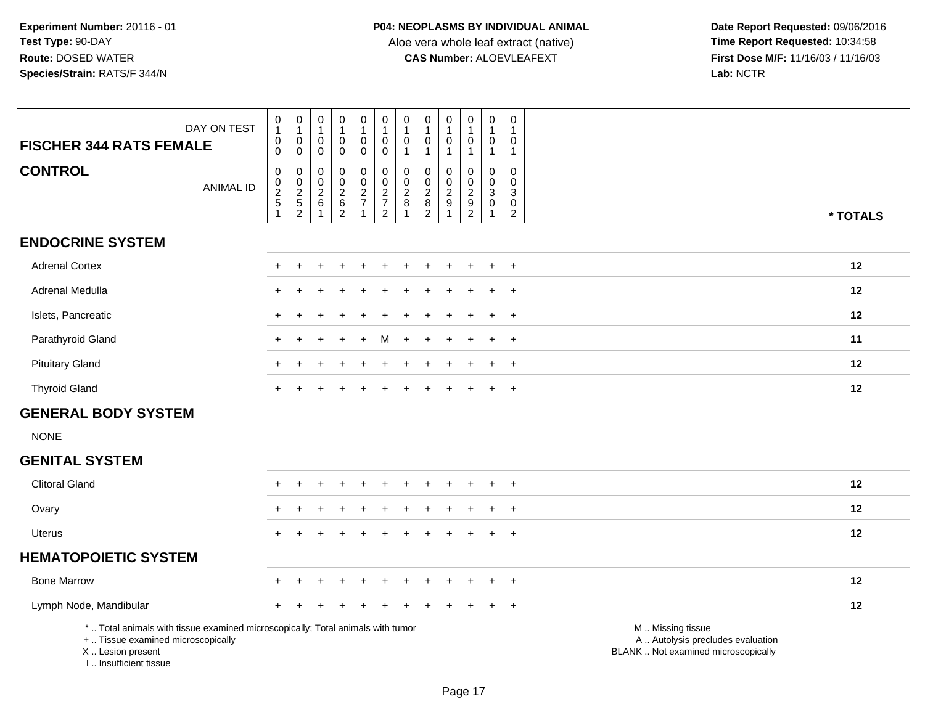**Date Report Requested:** 09/06/2016 **First Dose M/F:** 11/16/03 / 11/16/03<br>Lab: NCTR **Lab:** NCTR

| DAY ON TEST<br><b>FISCHER 344 RATS FEMALE</b>                                                                                              |                  | $\pmb{0}$<br>$\mathbf{1}$<br>$\pmb{0}$<br>$\pmb{0}$            | $\pmb{0}$<br>$\mathbf{1}$<br>$\mathbf 0$<br>$\mathbf 0$ | 0<br>1<br>0<br>0                        | $\mathbf 0$<br>$\mathbf{1}$<br>$\pmb{0}$<br>0                    | $\pmb{0}$<br>$\mathbf{1}$<br>$\pmb{0}$<br>$\ddot{\mathbf{0}}$ | 0<br>1<br>$\begin{smallmatrix}0\0\0\end{smallmatrix}$ | $\pmb{0}$<br>$\overline{1}$<br>$\pmb{0}$<br>$\mathbf{1}$ | 0<br>$\overline{1}$<br>0<br>$\overline{1}$                 | $\pmb{0}$<br>$\mathbf{1}$<br>$\mathbf 0$<br>$\mathbf{1}$ | $\pmb{0}$<br>$\mathbf{1}$<br>$\pmb{0}$<br>$\mathbf{1}$ | $\pmb{0}$<br>$\mathbf{1}$<br>0<br>$\mathbf{1}$     | $\mathbf 0$<br>1<br>0<br>$\mathbf{1}$                            |                                                                                               |
|--------------------------------------------------------------------------------------------------------------------------------------------|------------------|----------------------------------------------------------------|---------------------------------------------------------|-----------------------------------------|------------------------------------------------------------------|---------------------------------------------------------------|-------------------------------------------------------|----------------------------------------------------------|------------------------------------------------------------|----------------------------------------------------------|--------------------------------------------------------|----------------------------------------------------|------------------------------------------------------------------|-----------------------------------------------------------------------------------------------|
| <b>CONTROL</b>                                                                                                                             | <b>ANIMAL ID</b> | $\mathbf 0$<br>$\boldsymbol{0}$<br>$rac{2}{5}$<br>$\mathbf{1}$ | 0<br>$\mathbf 0$<br>$\frac{2}{5}$                       | 0<br>$\mathbf 0$<br>$\overline{c}$<br>6 | $\mathbf 0$<br>$\mathbf 0$<br>$^2\phantom{1}6$<br>$\overline{2}$ | $\pmb{0}$<br>$\mathsf 0$<br>$\frac{2}{7}$<br>-1               | 0<br>$\mathbf 0$<br>$\frac{2}{7}$<br>$\overline{2}$   | $\pmb{0}$<br>$\mathbf 0$<br>$\frac{2}{8}$                | $\mathbf 0$<br>$\Omega$<br>$\frac{2}{8}$<br>$\overline{2}$ | $\mathbf 0$<br>$\mathbf 0$<br>$\sqrt{2}$<br>$9\,$        | 0<br>$\mathbf 0$<br>$\frac{2}{9}$<br>$\overline{c}$    | 0<br>$\mathsf 0$<br>$\sqrt{3}$<br>$\mathbf 0$<br>1 | $\mathbf 0$<br>$\mathbf 0$<br>3<br>$\mathbf 0$<br>$\overline{2}$ | * TOTALS                                                                                      |
| <b>ENDOCRINE SYSTEM</b>                                                                                                                    |                  |                                                                |                                                         |                                         |                                                                  |                                                               |                                                       |                                                          |                                                            |                                                          |                                                        |                                                    |                                                                  |                                                                                               |
| <b>Adrenal Cortex</b>                                                                                                                      |                  |                                                                |                                                         |                                         |                                                                  |                                                               |                                                       |                                                          |                                                            |                                                          |                                                        |                                                    | $\ddot{}$                                                        | 12                                                                                            |
| Adrenal Medulla                                                                                                                            |                  |                                                                |                                                         |                                         |                                                                  |                                                               |                                                       |                                                          |                                                            |                                                          |                                                        |                                                    | $\ddot{}$                                                        | 12                                                                                            |
| Islets, Pancreatic                                                                                                                         |                  | ÷                                                              |                                                         |                                         |                                                                  |                                                               |                                                       |                                                          |                                                            |                                                          |                                                        |                                                    | $\pm$                                                            | 12                                                                                            |
| Parathyroid Gland                                                                                                                          |                  |                                                                |                                                         |                                         |                                                                  |                                                               |                                                       |                                                          |                                                            |                                                          |                                                        |                                                    | $\ddot{}$                                                        | 11                                                                                            |
| <b>Pituitary Gland</b>                                                                                                                     |                  |                                                                |                                                         |                                         |                                                                  |                                                               |                                                       |                                                          |                                                            |                                                          |                                                        |                                                    | $+$                                                              | 12                                                                                            |
| <b>Thyroid Gland</b>                                                                                                                       |                  |                                                                |                                                         |                                         |                                                                  |                                                               |                                                       |                                                          |                                                            |                                                          |                                                        |                                                    | $+$                                                              | 12                                                                                            |
| <b>GENERAL BODY SYSTEM</b>                                                                                                                 |                  |                                                                |                                                         |                                         |                                                                  |                                                               |                                                       |                                                          |                                                            |                                                          |                                                        |                                                    |                                                                  |                                                                                               |
| <b>NONE</b>                                                                                                                                |                  |                                                                |                                                         |                                         |                                                                  |                                                               |                                                       |                                                          |                                                            |                                                          |                                                        |                                                    |                                                                  |                                                                                               |
| <b>GENITAL SYSTEM</b>                                                                                                                      |                  |                                                                |                                                         |                                         |                                                                  |                                                               |                                                       |                                                          |                                                            |                                                          |                                                        |                                                    |                                                                  |                                                                                               |
| <b>Clitoral Gland</b>                                                                                                                      |                  |                                                                |                                                         |                                         |                                                                  |                                                               |                                                       |                                                          |                                                            |                                                          |                                                        |                                                    | $\pm$                                                            | 12                                                                                            |
| Ovary                                                                                                                                      |                  |                                                                |                                                         |                                         |                                                                  |                                                               |                                                       |                                                          |                                                            |                                                          |                                                        |                                                    | $\ddot{}$                                                        | 12                                                                                            |
| <b>Uterus</b>                                                                                                                              |                  |                                                                |                                                         |                                         |                                                                  |                                                               |                                                       |                                                          |                                                            |                                                          |                                                        |                                                    | $\ddot{}$                                                        | 12                                                                                            |
| <b>HEMATOPOIETIC SYSTEM</b>                                                                                                                |                  |                                                                |                                                         |                                         |                                                                  |                                                               |                                                       |                                                          |                                                            |                                                          |                                                        |                                                    |                                                                  |                                                                                               |
| <b>Bone Marrow</b>                                                                                                                         |                  |                                                                |                                                         |                                         |                                                                  |                                                               |                                                       |                                                          |                                                            |                                                          |                                                        |                                                    | $+$                                                              | 12                                                                                            |
| Lymph Node, Mandibular                                                                                                                     |                  |                                                                |                                                         |                                         |                                                                  |                                                               |                                                       |                                                          |                                                            |                                                          |                                                        |                                                    | <b>+</b>                                                         | 12                                                                                            |
| *  Total animals with tissue examined microscopically; Total animals with tumor<br>+  Tissue examined microscopically<br>X  Lesion present |                  |                                                                |                                                         |                                         |                                                                  |                                                               |                                                       |                                                          |                                                            |                                                          |                                                        |                                                    |                                                                  | M  Missing tissue<br>A  Autolysis precludes evaluation<br>BLANK  Not examined microscopically |

I .. Insufficient tissue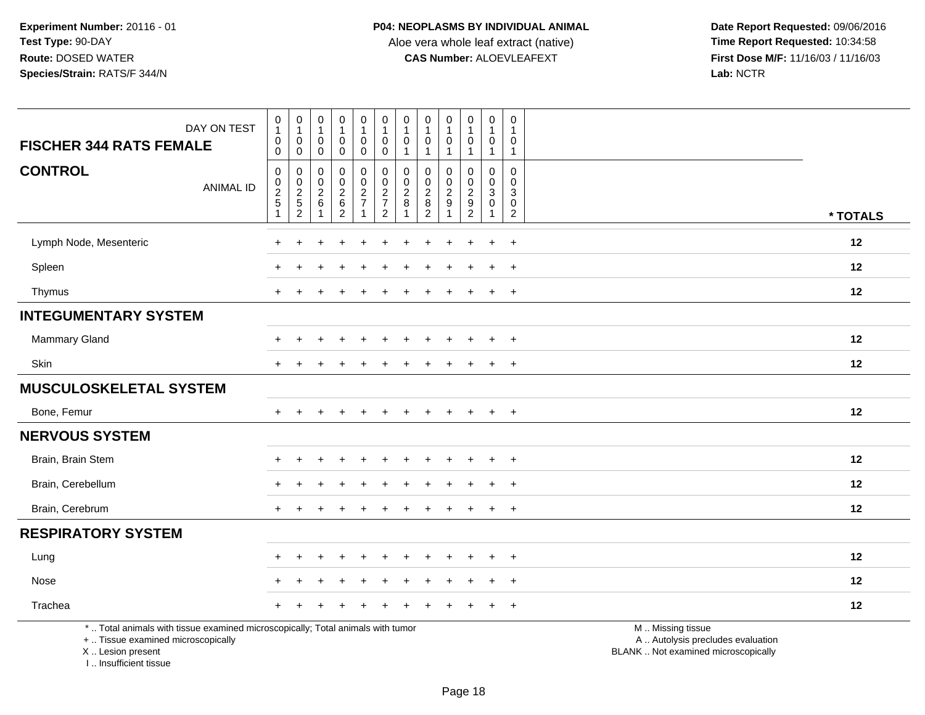**Date Report Requested:** 09/06/2016 **First Dose M/F:** 11/16/03 / 11/16/03<br>Lab: NCTR **Lab:** NCTR

| DAY ON TEST                                                                                                           | $\begin{smallmatrix}0\\1\end{smallmatrix}$<br>$\pmb{0}$             | $\pmb{0}$<br>$\mathbf{1}$<br>$\mathbf 0$    | $\begin{smallmatrix}0\\1\end{smallmatrix}$<br>$\mathsf{O}\xspace$ | $\pmb{0}$<br>$\mathbf{1}$<br>$\mathbf 0$                       | $\pmb{0}$<br>$\mathbf{1}$<br>$\mathsf 0$                    | $\pmb{0}$<br>$\mathbf{1}$<br>0                      | $\pmb{0}$<br>$\mathbf{1}$<br>0     | $\mathbf 0$<br>$\mathbf{1}$<br>$\mathbf 0$                               | $\pmb{0}$<br>$\mathbf{1}$<br>0                               | $\begin{smallmatrix}0\\1\end{smallmatrix}$<br>$\mathbf 0$ | 0<br>1<br>0                          | $\mathbf 0$<br>$\overline{1}$<br>$\mathbf 0$                     |                                                        |  |
|-----------------------------------------------------------------------------------------------------------------------|---------------------------------------------------------------------|---------------------------------------------|-------------------------------------------------------------------|----------------------------------------------------------------|-------------------------------------------------------------|-----------------------------------------------------|------------------------------------|--------------------------------------------------------------------------|--------------------------------------------------------------|-----------------------------------------------------------|--------------------------------------|------------------------------------------------------------------|--------------------------------------------------------|--|
| <b>FISCHER 344 RATS FEMALE</b>                                                                                        | $\ddot{\mathbf{0}}$                                                 | $\mathbf 0$                                 | $\mathbf 0$                                                       | $\mathsf{O}\xspace$                                            | $\mathbf 0$                                                 | $\mathbf 0$                                         | $\mathbf{1}$                       | $\mathbf{1}$                                                             | $\overline{1}$                                               | $\mathbf{1}$                                              | $\mathbf{1}$                         | $\overline{1}$                                                   |                                                        |  |
| <b>CONTROL</b><br><b>ANIMAL ID</b>                                                                                    | $\mathsf{O}\xspace$<br>$\mathbf 0$<br>$rac{2}{5}$<br>$\overline{ }$ | $\mathbf 0$<br>$\mathbf 0$<br>$\frac{2}{5}$ | $\mathbf 0$<br>$\mathsf{O}\xspace$<br>$^2\phantom{1}6$            | 0<br>$\mathbf 0$<br>$\begin{array}{c} 2 \\ 6 \\ 2 \end{array}$ | $\pmb{0}$<br>$\mathbf 0$<br>$\frac{2}{7}$<br>$\overline{1}$ | 0<br>$\mathbf 0$<br>$\frac{2}{7}$<br>$\overline{2}$ | 0<br>$\mathbf 0$<br>$_{8}^{\rm 2}$ | $\mathbf 0$<br>$\mathbf 0$<br>$\begin{array}{c} 2 \\ 8 \\ 2 \end{array}$ | 0<br>$\mathbf 0$<br>$\frac{2}{9}$<br>$\overline{\mathbf{1}}$ | $\mathbf 0$<br>$\mathbf 0$<br>$\frac{2}{9}$               | 0<br>$\mathbf 0$<br>3<br>$\mathbf 0$ | $\mathbf 0$<br>$\mathbf 0$<br>3<br>$\mathbf 0$<br>$\overline{2}$ | * TOTALS                                               |  |
| Lymph Node, Mesenteric                                                                                                | $\ddot{}$                                                           | $\div$                                      | <b>+</b>                                                          | $\ddot{}$                                                      | $\div$                                                      | $\ddot{}$                                           | $\div$                             | $\overline{ }$                                                           | $\ddot{}$                                                    | $\div$                                                    | $\ddot{}$                            | $\ddot{}$                                                        | 12                                                     |  |
| Spleen                                                                                                                | $\div$                                                              |                                             |                                                                   |                                                                |                                                             |                                                     |                                    |                                                                          |                                                              |                                                           |                                      | $\ddot{}$                                                        | 12                                                     |  |
| Thymus                                                                                                                | $+$                                                                 |                                             |                                                                   |                                                                |                                                             |                                                     |                                    |                                                                          |                                                              |                                                           | $\ddot{}$                            | $\ddot{}$                                                        | 12                                                     |  |
| <b>INTEGUMENTARY SYSTEM</b>                                                                                           |                                                                     |                                             |                                                                   |                                                                |                                                             |                                                     |                                    |                                                                          |                                                              |                                                           |                                      |                                                                  |                                                        |  |
| Mammary Gland                                                                                                         | $\ddot{}$                                                           |                                             |                                                                   |                                                                |                                                             |                                                     |                                    |                                                                          |                                                              |                                                           |                                      | $\ddot{}$                                                        | 12                                                     |  |
| Skin                                                                                                                  | $+$                                                                 |                                             |                                                                   |                                                                |                                                             |                                                     |                                    |                                                                          |                                                              |                                                           |                                      | $\ddot{}$                                                        | 12                                                     |  |
| <b>MUSCULOSKELETAL SYSTEM</b>                                                                                         |                                                                     |                                             |                                                                   |                                                                |                                                             |                                                     |                                    |                                                                          |                                                              |                                                           |                                      |                                                                  |                                                        |  |
| Bone, Femur                                                                                                           | $+$                                                                 |                                             |                                                                   |                                                                |                                                             |                                                     |                                    |                                                                          |                                                              |                                                           |                                      | $\ddot{}$                                                        | 12                                                     |  |
| <b>NERVOUS SYSTEM</b>                                                                                                 |                                                                     |                                             |                                                                   |                                                                |                                                             |                                                     |                                    |                                                                          |                                                              |                                                           |                                      |                                                                  |                                                        |  |
| Brain, Brain Stem                                                                                                     |                                                                     |                                             |                                                                   |                                                                |                                                             |                                                     |                                    |                                                                          |                                                              |                                                           |                                      | $\overline{ }$                                                   | 12                                                     |  |
| Brain, Cerebellum                                                                                                     | ÷                                                                   |                                             |                                                                   |                                                                |                                                             |                                                     |                                    |                                                                          |                                                              |                                                           |                                      |                                                                  | 12                                                     |  |
| Brain, Cerebrum                                                                                                       | $+$                                                                 |                                             |                                                                   |                                                                |                                                             |                                                     |                                    |                                                                          |                                                              |                                                           | $\ddot{}$                            | $\ddot{}$                                                        | 12                                                     |  |
| <b>RESPIRATORY SYSTEM</b>                                                                                             |                                                                     |                                             |                                                                   |                                                                |                                                             |                                                     |                                    |                                                                          |                                                              |                                                           |                                      |                                                                  |                                                        |  |
| Lung                                                                                                                  | $\ddot{}$                                                           |                                             |                                                                   |                                                                |                                                             |                                                     |                                    |                                                                          |                                                              |                                                           |                                      | $\div$                                                           | 12                                                     |  |
| Nose                                                                                                                  | $\pm$                                                               |                                             |                                                                   |                                                                |                                                             |                                                     |                                    |                                                                          |                                                              |                                                           |                                      | $\ddot{}$                                                        | 12                                                     |  |
| Trachea                                                                                                               | $\ddot{}$                                                           |                                             |                                                                   |                                                                |                                                             |                                                     |                                    |                                                                          |                                                              |                                                           |                                      | $\ddot{}$                                                        | 12                                                     |  |
| *  Total animals with tissue examined microscopically; Total animals with tumor<br>+  Tissue examined microscopically |                                                                     |                                             |                                                                   |                                                                |                                                             |                                                     |                                    |                                                                          |                                                              |                                                           |                                      |                                                                  | M  Missing tissue<br>A  Autolysis precludes evaluation |  |

X .. Lesion present

I .. Insufficient tissue

Lesion present BLANK .. Not examined microscopically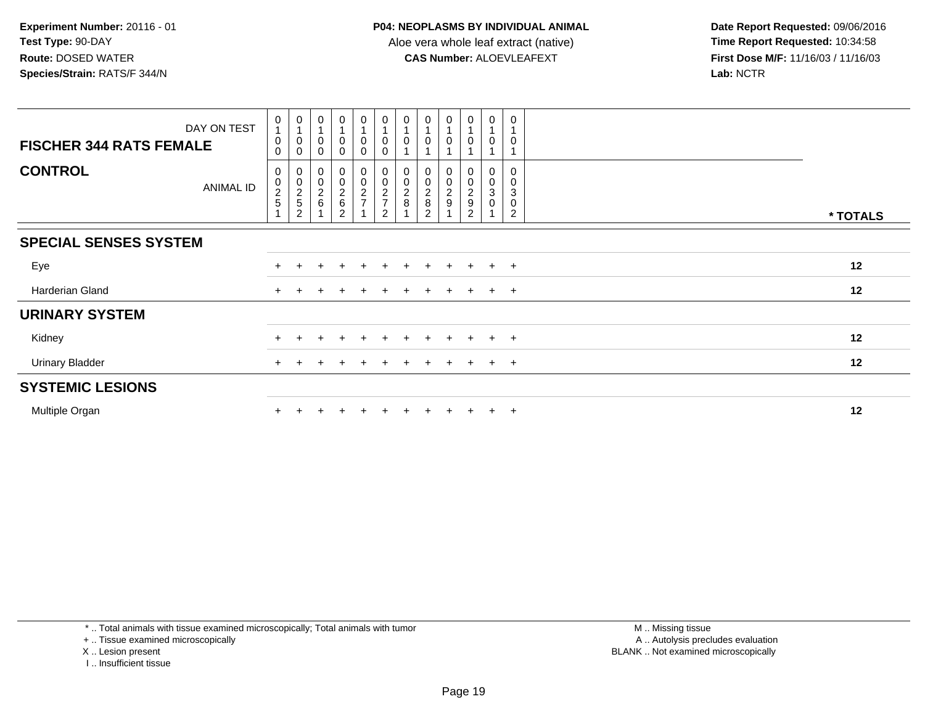| <b>FISCHER 344 RATS FEMALE</b> | DAY ON TEST      | 0<br>0<br>0                                                    | 0<br>0<br>0                                                                | 0<br>0 | $\begin{smallmatrix}0\1\end{smallmatrix}$<br>$\pmb{0}$<br>$\mathbf 0$ | 0<br>$\overline{1}$<br>$\pmb{0}$<br>$\Omega$     | 0<br>0<br>$\Omega$      | 0                       | 0<br>0                                                            | $\frac{0}{1}$<br>0 | $\begin{smallmatrix}0\\1\end{smallmatrix}$<br>$\pmb{0}$           | 0<br>0                     | 0<br>$\mathbf 0$                                     |          |
|--------------------------------|------------------|----------------------------------------------------------------|----------------------------------------------------------------------------|--------|-----------------------------------------------------------------------|--------------------------------------------------|-------------------------|-------------------------|-------------------------------------------------------------------|--------------------|-------------------------------------------------------------------|----------------------------|------------------------------------------------------|----------|
| <b>CONTROL</b>                 | <b>ANIMAL ID</b> | $\boldsymbol{0}$<br>$\begin{array}{c} 0 \\ 2 \\ 5 \end{array}$ | $\begin{smallmatrix} 0 \\ 0 \\ 2 \\ 5 \end{smallmatrix}$<br>$\overline{c}$ | 00026  | 00026<br>$\overline{c}$                                               | $\boldsymbol{0}$<br>$\mathbf 0$<br>$\frac{2}{7}$ | 00027<br>$\overline{2}$ | $_0^0$<br>$\frac{2}{8}$ | $\begin{array}{c} 0 \\ 0 \\ 2 \\ 8 \end{array}$<br>$\overline{2}$ | 00029              | $\begin{array}{c} 0 \\ 0 \\ 2 \\ 9 \end{array}$<br>$\overline{2}$ | 0<br>$\mathbf 0$<br>3<br>0 | 0<br>$\mathbf 0$<br>3<br>$\pmb{0}$<br>$\overline{c}$ | * TOTALS |
| <b>SPECIAL SENSES SYSTEM</b>   |                  |                                                                |                                                                            |        |                                                                       |                                                  |                         |                         |                                                                   |                    |                                                                   |                            |                                                      |          |
| Eye                            |                  |                                                                |                                                                            |        | $\pm$                                                                 | $+$                                              | $\ddot{}$               | $+$                     | $\pm$                                                             | $+$                | $+$                                                               | $+$                        | $+$                                                  | 12       |
| Harderian Gland                |                  | $+$                                                            |                                                                            |        |                                                                       |                                                  |                         |                         |                                                                   | $\pm$              | $+$                                                               |                            | $+$ $+$                                              | 12       |
| <b>URINARY SYSTEM</b>          |                  |                                                                |                                                                            |        |                                                                       |                                                  |                         |                         |                                                                   |                    |                                                                   |                            |                                                      |          |
| Kidney                         |                  | $\pm$                                                          |                                                                            |        | $\div$                                                                |                                                  |                         | ÷.                      | $\pm$                                                             | $\pm$              | $\pm$                                                             | $+$                        | $\pm$                                                | 12       |
| <b>Urinary Bladder</b>         |                  | $+$                                                            |                                                                            |        |                                                                       |                                                  |                         |                         |                                                                   |                    |                                                                   | $+$                        | $+$                                                  | 12       |
| <b>SYSTEMIC LESIONS</b>        |                  |                                                                |                                                                            |        |                                                                       |                                                  |                         |                         |                                                                   |                    |                                                                   |                            |                                                      |          |
| Multiple Organ                 |                  |                                                                |                                                                            |        |                                                                       |                                                  |                         |                         |                                                                   |                    |                                                                   | $+$                        | $\ddot{}$                                            | 12       |

\* .. Total animals with tissue examined microscopically; Total animals with tumor

+ .. Tissue examined microscopically

X .. Lesion present

I .. Insufficient tissue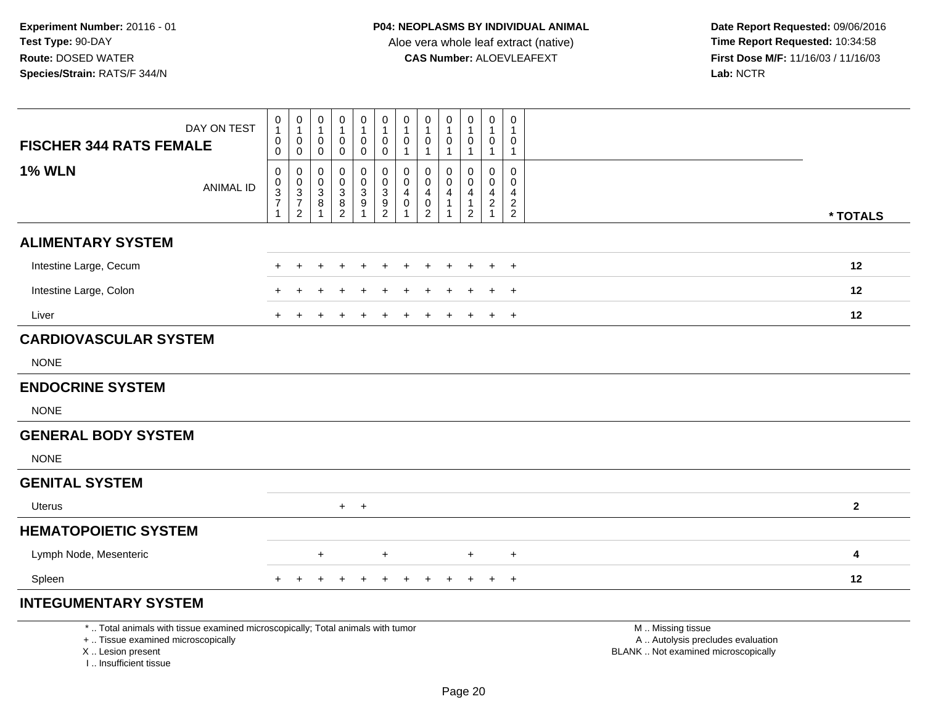| <b>FISCHER 344 RATS FEMALE</b>                                                   | DAY ON TEST                                                                     | $\mathbf 0$<br>$\mathbf{1}$<br>$\mathbf 0$<br>$\mathbf 0$                      | $\begin{smallmatrix}0\\1\end{smallmatrix}$<br>$\mathbf 0$<br>$\pmb{0}$   | 0<br>$\overline{1}$<br>$\mathbf 0$<br>0              | $\mathbf 0$<br>$\mathbf{1}$<br>0<br>$\mathbf 0$                         | $\mathbf 0$<br>$\mathbf{1}$<br>$\pmb{0}$<br>$\pmb{0}$    | $\pmb{0}$<br>$\mathbf{1}$<br>$\mathbf 0$<br>$\mathbf 0$   | $\pmb{0}$<br>1<br>$\pmb{0}$<br>$\mathbf{1}$    | $\mathbf 0$<br>$\mathbf{1}$<br>$\mathbf 0$<br>$\mathbf{1}$          | $\mathbf 0$<br>$\overline{1}$<br>0<br>$\mathbf{1}$              | $\pmb{0}$<br>$\mathbf{1}$<br>$\,0\,$<br>$\mathbf{1}$                          | 0<br>$\mathbf{1}$<br>0<br>$\mathbf{1}$ | 0<br>1<br>0<br>$\mathbf{1}$                   |                                                                                               |
|----------------------------------------------------------------------------------|---------------------------------------------------------------------------------|--------------------------------------------------------------------------------|--------------------------------------------------------------------------|------------------------------------------------------|-------------------------------------------------------------------------|----------------------------------------------------------|-----------------------------------------------------------|------------------------------------------------|---------------------------------------------------------------------|-----------------------------------------------------------------|-------------------------------------------------------------------------------|----------------------------------------|-----------------------------------------------|-----------------------------------------------------------------------------------------------|
| <b>1% WLN</b>                                                                    | <b>ANIMAL ID</b>                                                                | $\mathbf 0$<br>$\mathbf 0$<br>$\overline{3}$<br>$\overline{7}$<br>$\mathbf{1}$ | $\boldsymbol{0}$<br>$_{3}^{\rm 0}$<br>$\boldsymbol{7}$<br>$\overline{2}$ | $\mathbf 0$<br>$\mathbf 0$<br>3<br>8<br>$\mathbf{1}$ | 0<br>$\mathbf 0$<br>3<br>$\begin{smallmatrix} 8 \\ 2 \end{smallmatrix}$ | 0<br>0<br>$\ensuremath{\mathsf{3}}$<br>9<br>$\mathbf{1}$ | $\mathbf 0$<br>$\mathbf 0$<br>$\sqrt{3}$<br>$\frac{9}{2}$ | $\mathbf 0$<br>$\mathbf 0$<br>4<br>$\mathbf 0$ | $\mathbf 0$<br>0<br>$\overline{4}$<br>$\mathbf 0$<br>$\overline{2}$ | $\mathbf 0$<br>$\mathbf{0}$<br>$\overline{4}$<br>$\overline{1}$ | 0<br>$\mathbf 0$<br>$\overline{\mathbf{4}}$<br>$\mathbf{1}$<br>$\overline{2}$ | $\mathbf 0$<br>0<br>4<br>$\frac{2}{1}$ | $\mathbf 0$<br>$\Omega$<br>4<br>$\frac{2}{2}$ | * TOTALS                                                                                      |
| <b>ALIMENTARY SYSTEM</b>                                                         |                                                                                 |                                                                                |                                                                          |                                                      |                                                                         |                                                          |                                                           |                                                |                                                                     |                                                                 |                                                                               |                                        |                                               |                                                                                               |
| Intestine Large, Cecum                                                           |                                                                                 |                                                                                |                                                                          |                                                      |                                                                         |                                                          |                                                           |                                                |                                                                     |                                                                 |                                                                               |                                        | $\ddot{}$                                     | 12                                                                                            |
| Intestine Large, Colon                                                           |                                                                                 |                                                                                |                                                                          |                                                      |                                                                         |                                                          |                                                           |                                                |                                                                     |                                                                 |                                                                               |                                        | $\div$                                        | 12                                                                                            |
| Liver                                                                            |                                                                                 | $+$                                                                            |                                                                          |                                                      |                                                                         |                                                          |                                                           |                                                |                                                                     |                                                                 | $\ddot{}$                                                                     | $\ddot{}$                              | $+$                                           | 12                                                                                            |
| <b>CARDIOVASCULAR SYSTEM</b>                                                     |                                                                                 |                                                                                |                                                                          |                                                      |                                                                         |                                                          |                                                           |                                                |                                                                     |                                                                 |                                                                               |                                        |                                               |                                                                                               |
| <b>NONE</b>                                                                      |                                                                                 |                                                                                |                                                                          |                                                      |                                                                         |                                                          |                                                           |                                                |                                                                     |                                                                 |                                                                               |                                        |                                               |                                                                                               |
| <b>ENDOCRINE SYSTEM</b>                                                          |                                                                                 |                                                                                |                                                                          |                                                      |                                                                         |                                                          |                                                           |                                                |                                                                     |                                                                 |                                                                               |                                        |                                               |                                                                                               |
| <b>NONE</b>                                                                      |                                                                                 |                                                                                |                                                                          |                                                      |                                                                         |                                                          |                                                           |                                                |                                                                     |                                                                 |                                                                               |                                        |                                               |                                                                                               |
| <b>GENERAL BODY SYSTEM</b>                                                       |                                                                                 |                                                                                |                                                                          |                                                      |                                                                         |                                                          |                                                           |                                                |                                                                     |                                                                 |                                                                               |                                        |                                               |                                                                                               |
| <b>NONE</b>                                                                      |                                                                                 |                                                                                |                                                                          |                                                      |                                                                         |                                                          |                                                           |                                                |                                                                     |                                                                 |                                                                               |                                        |                                               |                                                                                               |
| <b>GENITAL SYSTEM</b>                                                            |                                                                                 |                                                                                |                                                                          |                                                      |                                                                         |                                                          |                                                           |                                                |                                                                     |                                                                 |                                                                               |                                        |                                               |                                                                                               |
| Uterus                                                                           |                                                                                 |                                                                                |                                                                          |                                                      |                                                                         | $+$ $+$                                                  |                                                           |                                                |                                                                     |                                                                 |                                                                               |                                        |                                               | $\overline{2}$                                                                                |
| <b>HEMATOPOIETIC SYSTEM</b>                                                      |                                                                                 |                                                                                |                                                                          |                                                      |                                                                         |                                                          |                                                           |                                                |                                                                     |                                                                 |                                                                               |                                        |                                               |                                                                                               |
| Lymph Node, Mesenteric                                                           |                                                                                 |                                                                                |                                                                          | +                                                    |                                                                         |                                                          | $\ddot{}$                                                 |                                                |                                                                     |                                                                 | +                                                                             |                                        | $\ddot{}$                                     | 4                                                                                             |
| Spleen                                                                           |                                                                                 |                                                                                |                                                                          |                                                      |                                                                         |                                                          | $\pm$                                                     | $\div$                                         |                                                                     |                                                                 | $\ddot{}$                                                                     | $\overline{+}$                         | $+$                                           | 12                                                                                            |
| <b>INTEGUMENTARY SYSTEM</b>                                                      |                                                                                 |                                                                                |                                                                          |                                                      |                                                                         |                                                          |                                                           |                                                |                                                                     |                                                                 |                                                                               |                                        |                                               |                                                                                               |
| +  Tissue examined microscopically<br>X  Lesion present<br>I Insufficient tissue | *  Total animals with tissue examined microscopically; Total animals with tumor |                                                                                |                                                                          |                                                      |                                                                         |                                                          |                                                           |                                                |                                                                     |                                                                 |                                                                               |                                        |                                               | M  Missing tissue<br>A  Autolysis precludes evaluation<br>BLANK  Not examined microscopically |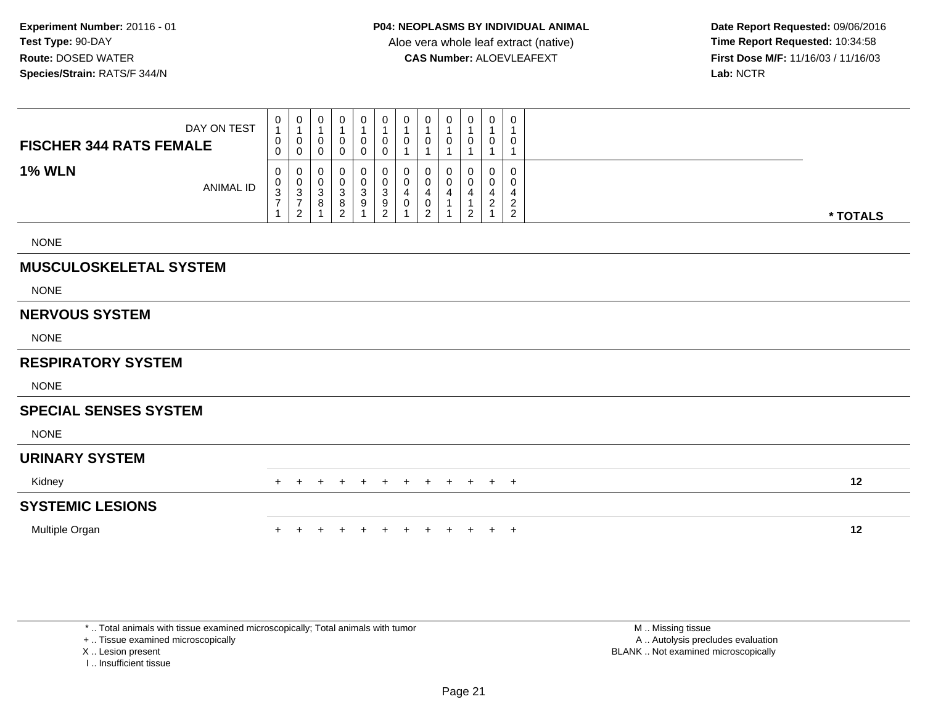|                                | DAY ON TEST      | 0<br>$\mathbf{1}$<br>$\pmb{0}$          | 0<br>$\mathbf 1$<br>$\pmb{0}$                                             | 0<br>0           | $\mathbf 0$<br>$\mathbf{1}$<br>$\pmb{0}$            | 0<br>$\mathbf{1}$<br>0                              | $\mathbf 0$<br>$\mathbf{1}$<br>$\mathbf 0$                              | 0<br>0           | 0<br>-1<br>0                  | 0<br>0      | 0<br>0                                  | 0<br>$\overline{\mathbf{1}}$<br>0                               | 0<br>$\mathbf{1}$<br>0                                   |          |
|--------------------------------|------------------|-----------------------------------------|---------------------------------------------------------------------------|------------------|-----------------------------------------------------|-----------------------------------------------------|-------------------------------------------------------------------------|------------------|-------------------------------|-------------|-----------------------------------------|-----------------------------------------------------------------|----------------------------------------------------------|----------|
| <b>FISCHER 344 RATS FEMALE</b> |                  | $\Omega$                                | $\mathbf 0$                                                               | 0                | $\mathbf 0$                                         | 0                                                   | $\mathbf 0$                                                             |                  |                               |             |                                         |                                                                 | 1                                                        |          |
| <b>1% WLN</b>                  | <b>ANIMAL ID</b> | $\pmb{0}$<br>$\pmb{0}$<br>$\frac{3}{7}$ | $\pmb{0}$<br>$\begin{array}{c} 0 \\ 3 \\ 7 \end{array}$<br>$\overline{c}$ | 0<br>0<br>3<br>8 | $\boldsymbol{0}$<br>$\frac{0}{3}$<br>$\overline{2}$ | 0<br>$\pmb{0}$<br>$\sqrt{3}$<br>$\overline{9}$<br>1 | 0<br>$\overline{0}$<br>$\ensuremath{\mathsf{3}}$<br>9<br>$\overline{c}$ | 0<br>0<br>4<br>0 | 0<br>4<br>0<br>$\overline{2}$ | 0<br>0<br>4 | 0<br>$\mathbf 0$<br>4<br>$\overline{2}$ | $\mathbf 0$<br>$\mathbf 0$<br>$\overline{4}$<br>$\sqrt{2}$<br>1 | $\Omega$<br>0<br>4<br>$\overline{c}$<br>$\boldsymbol{2}$ | * TOTALS |
| <b>NONE</b>                    |                  |                                         |                                                                           |                  |                                                     |                                                     |                                                                         |                  |                               |             |                                         |                                                                 |                                                          |          |
| <b>MUSCULOSKELETAL SYSTEM</b>  |                  |                                         |                                                                           |                  |                                                     |                                                     |                                                                         |                  |                               |             |                                         |                                                                 |                                                          |          |
| <b>NONE</b>                    |                  |                                         |                                                                           |                  |                                                     |                                                     |                                                                         |                  |                               |             |                                         |                                                                 |                                                          |          |
| <b>NERVOUS SYSTEM</b>          |                  |                                         |                                                                           |                  |                                                     |                                                     |                                                                         |                  |                               |             |                                         |                                                                 |                                                          |          |
| <b>NONE</b>                    |                  |                                         |                                                                           |                  |                                                     |                                                     |                                                                         |                  |                               |             |                                         |                                                                 |                                                          |          |
| <b>RESPIRATORY SYSTEM</b>      |                  |                                         |                                                                           |                  |                                                     |                                                     |                                                                         |                  |                               |             |                                         |                                                                 |                                                          |          |
| <b>NONE</b>                    |                  |                                         |                                                                           |                  |                                                     |                                                     |                                                                         |                  |                               |             |                                         |                                                                 |                                                          |          |
| <b>SPECIAL SENSES SYSTEM</b>   |                  |                                         |                                                                           |                  |                                                     |                                                     |                                                                         |                  |                               |             |                                         |                                                                 |                                                          |          |
| <b>NONE</b>                    |                  |                                         |                                                                           |                  |                                                     |                                                     |                                                                         |                  |                               |             |                                         |                                                                 |                                                          |          |
| <b>URINARY SYSTEM</b>          |                  |                                         |                                                                           |                  |                                                     |                                                     |                                                                         |                  |                               |             |                                         |                                                                 |                                                          |          |
| Kidney                         |                  |                                         |                                                                           |                  |                                                     |                                                     |                                                                         |                  |                               | $\pm$       | $\pm$                                   | $+$                                                             | $+$                                                      | 12       |
| <b>SYSTEMIC LESIONS</b>        |                  |                                         |                                                                           |                  |                                                     |                                                     |                                                                         |                  |                               |             |                                         |                                                                 |                                                          |          |
| Multiple Organ                 |                  |                                         |                                                                           |                  |                                                     |                                                     |                                                                         |                  |                               |             |                                         | $+$                                                             | $+$                                                      | 12       |

\* .. Total animals with tissue examined microscopically; Total animals with tumor

+ .. Tissue examined microscopically

X .. Lesion present

I .. Insufficient tissue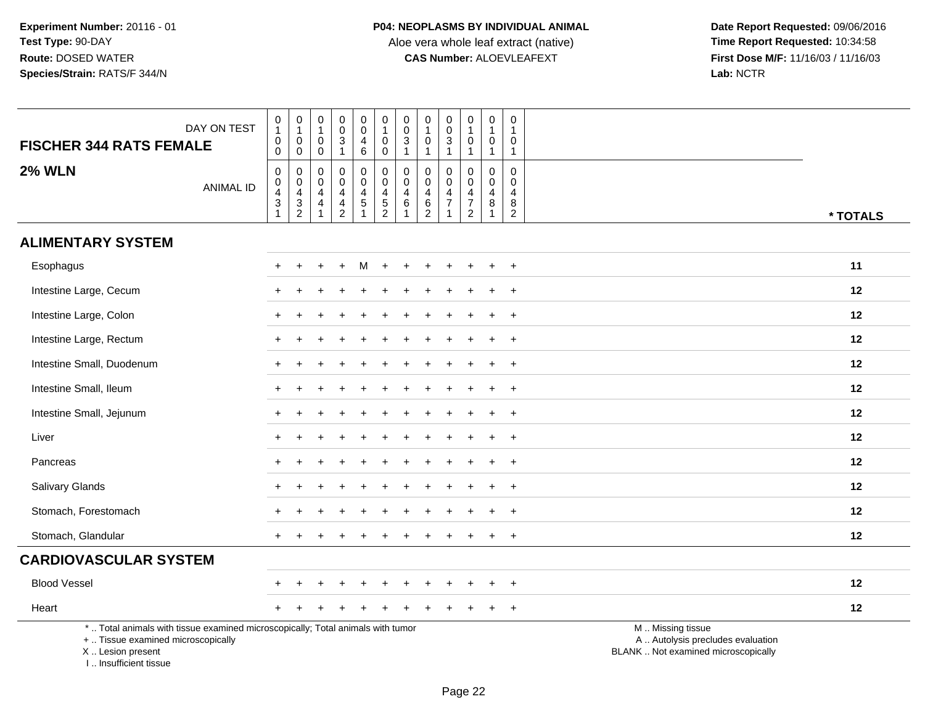| <b>FISCHER 344 RATS FEMALE</b>                                                                                                                                      | DAY ON TEST      | $\pmb{0}$<br>$\mathbf{1}$<br>$_{\rm 0}^{\rm 0}$                                                        | $\begin{smallmatrix}0\\1\end{smallmatrix}$<br>$\mathbf 0$<br>$\mathbf 0$ | $\mathbf 0$<br>$\mathbf{1}$<br>$\boldsymbol{0}$<br>$\mathbf 0$       | $\mathbf 0$<br>$\overline{0}$<br>$\ensuremath{\mathsf{3}}$<br>$\mathbf{1}$ | $\begin{smallmatrix}0\0\0\end{smallmatrix}$<br>$\overline{\mathbf{4}}$<br>6 | $\begin{smallmatrix}0\\1\end{smallmatrix}$<br>$_{\rm 0}^{\rm 0}$ | $_{\rm 0}^{\rm 0}$<br>$\frac{3}{1}$                        | $\pmb{0}$<br>$\overline{1}$<br>$\pmb{0}$<br>$\mathbf{1}$      | $\pmb{0}$<br>$\ddot{\mathbf{0}}$<br>$\ensuremath{\mathsf{3}}$<br>$\mathbf{1}$ | $\pmb{0}$<br>$\mathbf{1}$<br>$\pmb{0}$<br>$\mathbf{1}$ | $\boldsymbol{0}$<br>$\mathbf{1}$<br>$\mathbf 0$<br>$\mathbf{1}$ | 0<br>$\mathbf{1}$<br>0<br>$\mathbf{1}$                           |                                                                                               |
|---------------------------------------------------------------------------------------------------------------------------------------------------------------------|------------------|--------------------------------------------------------------------------------------------------------|--------------------------------------------------------------------------|----------------------------------------------------------------------|----------------------------------------------------------------------------|-----------------------------------------------------------------------------|------------------------------------------------------------------|------------------------------------------------------------|---------------------------------------------------------------|-------------------------------------------------------------------------------|--------------------------------------------------------|-----------------------------------------------------------------|------------------------------------------------------------------|-----------------------------------------------------------------------------------------------|
| <b>2% WLN</b>                                                                                                                                                       | <b>ANIMAL ID</b> | $\pmb{0}$<br>$\begin{smallmatrix}0\\4\end{smallmatrix}$<br>$\ensuremath{\mathsf{3}}$<br>$\overline{1}$ | $\mathbf 0$<br>$\mathbf 0$<br>$\overline{4}$<br>$\frac{3}{2}$            | 0<br>$\mathbf 0$<br>$\overline{4}$<br>$\overline{4}$<br>$\mathbf{1}$ | $\pmb{0}$<br>$\mathbf 0$<br>4<br>$\frac{4}{2}$                             | $\mathbf 0$<br>$\mathbf 0$<br>4<br>$\sqrt{5}$<br>$\overline{1}$             | $\pmb{0}$<br>$\mathbf 0$<br>$\overline{4}$<br>$\frac{5}{2}$      | $\mathbf 0$<br>$\pmb{0}$<br>4<br>$\,6\,$<br>$\overline{1}$ | $\mathbf 0$<br>$\mathbf 0$<br>$\overline{4}$<br>$\frac{6}{2}$ | 0<br>$\Omega$<br>$\overline{4}$<br>$\overline{7}$<br>$\overline{1}$           | 0<br>$\mathbf 0$<br>$\overline{4}$<br>$\frac{7}{2}$    | 0<br>$\boldsymbol{0}$<br>4<br>8<br>$\mathbf{1}$                 | $\mathbf 0$<br>$\Omega$<br>$\overline{4}$<br>8<br>$\overline{2}$ | * TOTALS                                                                                      |
| <b>ALIMENTARY SYSTEM</b>                                                                                                                                            |                  |                                                                                                        |                                                                          |                                                                      |                                                                            |                                                                             |                                                                  |                                                            |                                                               |                                                                               |                                                        |                                                                 |                                                                  |                                                                                               |
| Esophagus                                                                                                                                                           |                  |                                                                                                        |                                                                          |                                                                      |                                                                            |                                                                             |                                                                  |                                                            |                                                               |                                                                               |                                                        |                                                                 | $\ddot{}$                                                        | 11                                                                                            |
| Intestine Large, Cecum                                                                                                                                              |                  |                                                                                                        |                                                                          |                                                                      |                                                                            |                                                                             |                                                                  |                                                            |                                                               |                                                                               |                                                        |                                                                 | $\ddot{}$                                                        | 12                                                                                            |
| Intestine Large, Colon                                                                                                                                              |                  | $+$                                                                                                    |                                                                          |                                                                      |                                                                            |                                                                             |                                                                  |                                                            |                                                               |                                                                               |                                                        |                                                                 | $\ddot{}$                                                        | 12                                                                                            |
| Intestine Large, Rectum                                                                                                                                             |                  |                                                                                                        |                                                                          |                                                                      |                                                                            |                                                                             |                                                                  |                                                            |                                                               |                                                                               |                                                        |                                                                 |                                                                  | 12                                                                                            |
| Intestine Small, Duodenum                                                                                                                                           |                  |                                                                                                        |                                                                          |                                                                      |                                                                            |                                                                             |                                                                  |                                                            |                                                               |                                                                               |                                                        |                                                                 | $\ddot{}$                                                        | 12                                                                                            |
| Intestine Small, Ileum                                                                                                                                              |                  | $\pm$                                                                                                  |                                                                          |                                                                      |                                                                            |                                                                             |                                                                  |                                                            |                                                               |                                                                               |                                                        |                                                                 | $\ddot{}$                                                        | 12                                                                                            |
| Intestine Small, Jejunum                                                                                                                                            |                  |                                                                                                        |                                                                          |                                                                      |                                                                            |                                                                             |                                                                  |                                                            |                                                               |                                                                               |                                                        |                                                                 | $\ddot{}$                                                        | 12                                                                                            |
| Liver                                                                                                                                                               |                  |                                                                                                        |                                                                          |                                                                      |                                                                            |                                                                             |                                                                  |                                                            |                                                               |                                                                               |                                                        |                                                                 | $\ddot{}$                                                        | 12                                                                                            |
| Pancreas                                                                                                                                                            |                  |                                                                                                        |                                                                          |                                                                      |                                                                            |                                                                             |                                                                  |                                                            |                                                               |                                                                               |                                                        |                                                                 |                                                                  | 12                                                                                            |
| <b>Salivary Glands</b>                                                                                                                                              |                  | $\pm$                                                                                                  |                                                                          |                                                                      |                                                                            |                                                                             |                                                                  |                                                            |                                                               |                                                                               |                                                        |                                                                 | $\ddot{}$                                                        | 12                                                                                            |
| Stomach, Forestomach                                                                                                                                                |                  |                                                                                                        |                                                                          |                                                                      |                                                                            |                                                                             |                                                                  |                                                            |                                                               |                                                                               |                                                        |                                                                 |                                                                  | 12                                                                                            |
| Stomach, Glandular                                                                                                                                                  |                  | $+$                                                                                                    |                                                                          |                                                                      |                                                                            |                                                                             |                                                                  |                                                            |                                                               |                                                                               |                                                        |                                                                 | $\ddot{}$                                                        | 12                                                                                            |
| <b>CARDIOVASCULAR SYSTEM</b>                                                                                                                                        |                  |                                                                                                        |                                                                          |                                                                      |                                                                            |                                                                             |                                                                  |                                                            |                                                               |                                                                               |                                                        |                                                                 |                                                                  |                                                                                               |
| <b>Blood Vessel</b>                                                                                                                                                 |                  |                                                                                                        |                                                                          |                                                                      |                                                                            |                                                                             |                                                                  |                                                            |                                                               |                                                                               |                                                        |                                                                 | $\ddot{}$                                                        | 12                                                                                            |
| Heart                                                                                                                                                               |                  |                                                                                                        |                                                                          |                                                                      |                                                                            |                                                                             |                                                                  |                                                            |                                                               |                                                                               |                                                        |                                                                 | $\ddot{}$                                                        | 12                                                                                            |
| *  Total animals with tissue examined microscopically; Total animals with tumor<br>+  Tissue examined microscopically<br>X  Lesion present<br>I Insufficient tissue |                  |                                                                                                        |                                                                          |                                                                      |                                                                            |                                                                             |                                                                  |                                                            |                                                               |                                                                               |                                                        |                                                                 |                                                                  | M  Missing tissue<br>A  Autolysis precludes evaluation<br>BLANK  Not examined microscopically |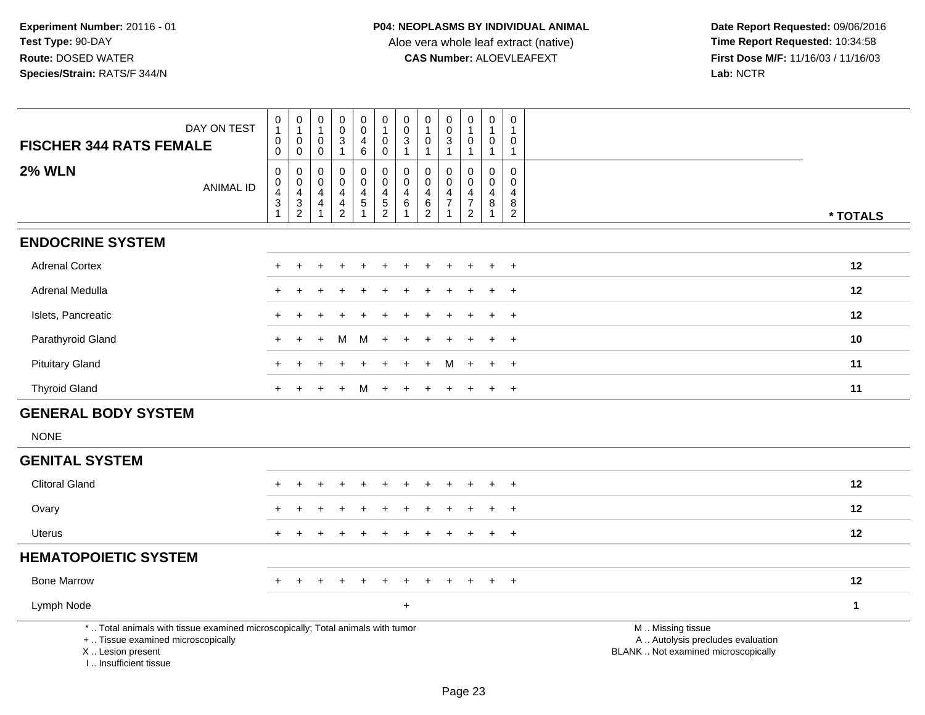| <b>FISCHER 344 RATS FEMALE</b>                                                                                                                                      | DAY ON TEST      | $\begin{smallmatrix}0\1\end{smallmatrix}$<br>0<br>$\overline{0}$                       | $\begin{smallmatrix}0\\1\end{smallmatrix}$<br>$\begin{smallmatrix}0\0\0\end{smallmatrix}$ | $\begin{smallmatrix}0\\1\end{smallmatrix}$<br>$\mathsf 0$<br>$\mathbf 0$ | $_{\rm 0}^{\rm 0}$<br>$\frac{3}{1}$                           | $\pmb{0}$<br>$\overline{0}$<br>4<br>$\,6\,$                   | $\begin{smallmatrix}0\\1\end{smallmatrix}$<br>$\pmb{0}$<br>$\overline{0}$      | $\begin{smallmatrix} 0\\0 \end{smallmatrix}$<br>$\frac{3}{1}$         | $\pmb{0}$<br>$\mathbf{1}$<br>$\pmb{0}$<br>$\mathbf{1}$ | $\mathbf 0$<br>$\pmb{0}$<br>$\mathbf{3}$<br>$\mathbf{1}$                          | $\begin{smallmatrix}0\\1\end{smallmatrix}$<br>$\pmb{0}$<br>$\mathbf{1}$ | $\mathbf 0$<br>$\mathbf{1}$<br>0<br>$\mathbf{1}$  | $\boldsymbol{0}$<br>$\overline{1}$<br>$\mathbf 0$<br>$\overline{1}$       |                                                                                               |
|---------------------------------------------------------------------------------------------------------------------------------------------------------------------|------------------|----------------------------------------------------------------------------------------|-------------------------------------------------------------------------------------------|--------------------------------------------------------------------------|---------------------------------------------------------------|---------------------------------------------------------------|--------------------------------------------------------------------------------|-----------------------------------------------------------------------|--------------------------------------------------------|-----------------------------------------------------------------------------------|-------------------------------------------------------------------------|---------------------------------------------------|---------------------------------------------------------------------------|-----------------------------------------------------------------------------------------------|
| <b>2% WLN</b>                                                                                                                                                       | <b>ANIMAL ID</b> | $\mathsf{O}\xspace$<br>$\mathbf 0$<br>$\overline{4}$<br>$\mathbf{3}$<br>$\overline{1}$ | $\pmb{0}$<br>$\begin{smallmatrix}0\0\4\end{smallmatrix}$<br>$\frac{3}{2}$                 | $\mathsf 0$<br>$\mathbf 0$<br>$\overline{4}$<br>4<br>1                   | $\mathbf 0$<br>$\mathbf 0$<br>$\overline{4}$<br>$\frac{4}{2}$ | $\pmb{0}$<br>$\mathbf 0$<br>4<br>$\sqrt{5}$<br>$\overline{1}$ | $\pmb{0}$<br>$\mathsf{O}\xspace$<br>$\begin{array}{c} 4 \\ 5 \\ 2 \end{array}$ | $\pmb{0}$<br>$\mathbf 0$<br>$\overline{a}$<br>$\,6\,$<br>$\mathbf{1}$ | 0<br>$\mathbf 0$<br>4<br>$\frac{6}{2}$                 | $\mathbf 0$<br>$\mathbf{0}$<br>$\overline{4}$<br>$\overline{7}$<br>$\overline{1}$ | $\pmb{0}$<br>0<br>$\overline{4}$<br>$\overline{7}$<br>$\overline{2}$    | $\mathbf 0$<br>$\mathbf 0$<br>$\overline{4}$<br>8 | $\mathbf 0$<br>$\mathbf 0$<br>$\overline{4}$<br>$\bf 8$<br>$\overline{2}$ | * TOTALS                                                                                      |
| <b>ENDOCRINE SYSTEM</b>                                                                                                                                             |                  |                                                                                        |                                                                                           |                                                                          |                                                               |                                                               |                                                                                |                                                                       |                                                        |                                                                                   |                                                                         |                                                   |                                                                           |                                                                                               |
| <b>Adrenal Cortex</b>                                                                                                                                               |                  |                                                                                        |                                                                                           |                                                                          |                                                               |                                                               |                                                                                |                                                                       |                                                        |                                                                                   |                                                                         |                                                   | $\overline{+}$                                                            | 12                                                                                            |
| Adrenal Medulla                                                                                                                                                     |                  | $+$                                                                                    | $\div$                                                                                    |                                                                          |                                                               |                                                               |                                                                                |                                                                       |                                                        |                                                                                   |                                                                         | $\ddot{}$                                         | $\overline{+}$                                                            | 12                                                                                            |
| Islets, Pancreatic                                                                                                                                                  |                  | $\ddot{}$                                                                              |                                                                                           |                                                                          |                                                               |                                                               |                                                                                |                                                                       |                                                        |                                                                                   |                                                                         | $\div$                                            | $+$                                                                       | 12                                                                                            |
| Parathyroid Gland                                                                                                                                                   |                  | $\div$                                                                                 |                                                                                           |                                                                          | м                                                             | м                                                             |                                                                                |                                                                       |                                                        |                                                                                   |                                                                         |                                                   | $\overline{+}$                                                            | 10                                                                                            |
| <b>Pituitary Gland</b>                                                                                                                                              |                  | ÷                                                                                      |                                                                                           |                                                                          |                                                               |                                                               |                                                                                |                                                                       |                                                        | м                                                                                 | $\ddot{}$                                                               | $\ddot{}$                                         | $\overline{+}$                                                            | 11                                                                                            |
| <b>Thyroid Gland</b>                                                                                                                                                |                  | $+$                                                                                    |                                                                                           |                                                                          |                                                               | м                                                             |                                                                                |                                                                       |                                                        |                                                                                   |                                                                         | $\ddot{}$                                         | $+$                                                                       | 11                                                                                            |
| <b>GENERAL BODY SYSTEM</b>                                                                                                                                          |                  |                                                                                        |                                                                                           |                                                                          |                                                               |                                                               |                                                                                |                                                                       |                                                        |                                                                                   |                                                                         |                                                   |                                                                           |                                                                                               |
| <b>NONE</b>                                                                                                                                                         |                  |                                                                                        |                                                                                           |                                                                          |                                                               |                                                               |                                                                                |                                                                       |                                                        |                                                                                   |                                                                         |                                                   |                                                                           |                                                                                               |
| <b>GENITAL SYSTEM</b>                                                                                                                                               |                  |                                                                                        |                                                                                           |                                                                          |                                                               |                                                               |                                                                                |                                                                       |                                                        |                                                                                   |                                                                         |                                                   |                                                                           |                                                                                               |
| <b>Clitoral Gland</b>                                                                                                                                               |                  |                                                                                        |                                                                                           |                                                                          |                                                               |                                                               |                                                                                |                                                                       |                                                        |                                                                                   |                                                                         |                                                   | $\pm$                                                                     | 12                                                                                            |
| Ovary                                                                                                                                                               |                  |                                                                                        |                                                                                           |                                                                          |                                                               |                                                               |                                                                                |                                                                       |                                                        |                                                                                   |                                                                         |                                                   | $\overline{+}$                                                            | 12                                                                                            |
| <b>Uterus</b>                                                                                                                                                       |                  | $\ddot{}$                                                                              |                                                                                           |                                                                          |                                                               |                                                               |                                                                                |                                                                       |                                                        |                                                                                   |                                                                         | $\ddot{}$                                         | $+$                                                                       | 12                                                                                            |
| <b>HEMATOPOIETIC SYSTEM</b>                                                                                                                                         |                  |                                                                                        |                                                                                           |                                                                          |                                                               |                                                               |                                                                                |                                                                       |                                                        |                                                                                   |                                                                         |                                                   |                                                                           |                                                                                               |
| <b>Bone Marrow</b>                                                                                                                                                  |                  | $\ddot{}$                                                                              | +                                                                                         |                                                                          |                                                               |                                                               |                                                                                |                                                                       |                                                        |                                                                                   |                                                                         | $\ddot{}$                                         | $+$                                                                       | 12                                                                                            |
| Lymph Node                                                                                                                                                          |                  |                                                                                        |                                                                                           |                                                                          |                                                               |                                                               |                                                                                | $\div$                                                                |                                                        |                                                                                   |                                                                         |                                                   |                                                                           | $\mathbf 1$                                                                                   |
| *  Total animals with tissue examined microscopically; Total animals with tumor<br>+  Tissue examined microscopically<br>X  Lesion present<br>I Insufficient tissue |                  |                                                                                        |                                                                                           |                                                                          |                                                               |                                                               |                                                                                |                                                                       |                                                        |                                                                                   |                                                                         |                                                   |                                                                           | M  Missing tissue<br>A  Autolysis precludes evaluation<br>BLANK  Not examined microscopically |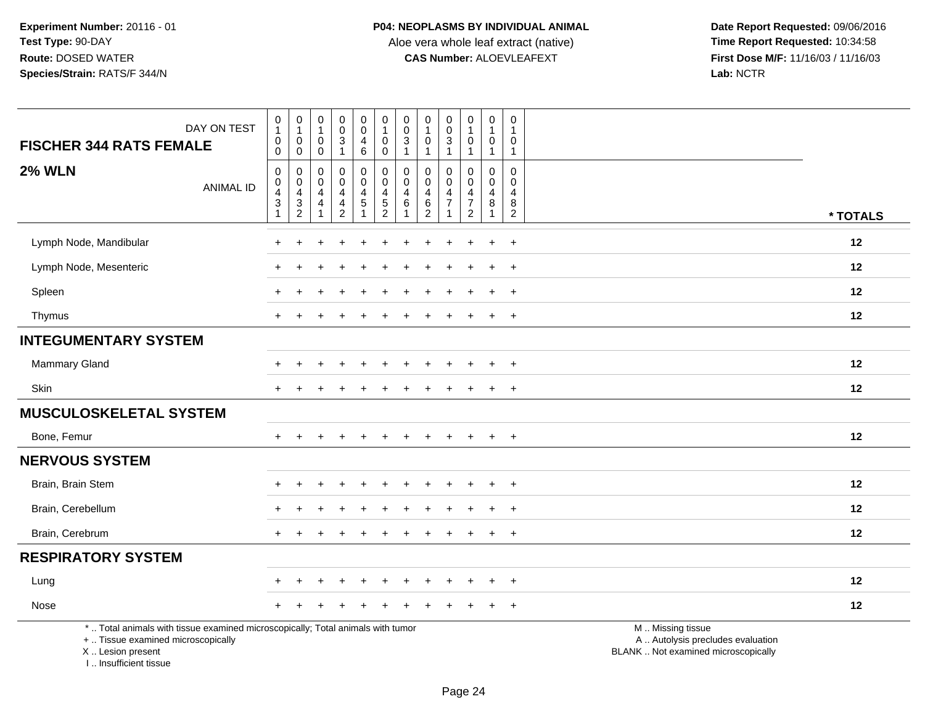**Date Report Requested:** 09/06/2016 **First Dose M/F:** 11/16/03 / 11/16/03<br>Lab: NCTR **Lab:** NCTR

| DAY ON TEST<br><b>FISCHER 344 RATS FEMALE</b>                                                                                              | $\begin{smallmatrix}0\\1\end{smallmatrix}$<br>$\pmb{0}$<br>$\mathbf 0$                  | $\pmb{0}$<br>$\mathbf{1}$<br>0<br>$\mathbf 0$ | $\pmb{0}$<br>$\mathbf{1}$<br>0<br>$\mathsf{O}\xspace$                  | $\pmb{0}$<br>$_{3}^{\rm 0}$<br>$\mathbf{1}$                         | 0<br>$\mathsf 0$<br>4<br>$6\phantom{a}$ | $\begin{smallmatrix}0\\1\end{smallmatrix}$<br>$\mathbf 0$<br>$\pmb{0}$ | $\pmb{0}$<br>$\mathbf 0$<br>$\mathbf{3}$<br>$\mathbf{1}$ | $\pmb{0}$<br>$\mathbf{1}$<br>$\mathbf 0$<br>$\mathbf{1}$                  | 0<br>$\mathsf{O}\xspace$<br>$\mathbf{3}$<br>$\mathbf{1}$ | $\pmb{0}$<br>$\mathbf{1}$<br>$\mathbf 0$<br>$\mathbf{1}$            | $\mathsf 0$<br>$\overline{1}$<br>0<br>$\mathbf{1}$ | $\mathbf 0$<br>$\overline{1}$<br>$\mathbf 0$<br>$\overline{1}$      |                                                                                               |
|--------------------------------------------------------------------------------------------------------------------------------------------|-----------------------------------------------------------------------------------------|-----------------------------------------------|------------------------------------------------------------------------|---------------------------------------------------------------------|-----------------------------------------|------------------------------------------------------------------------|----------------------------------------------------------|---------------------------------------------------------------------------|----------------------------------------------------------|---------------------------------------------------------------------|----------------------------------------------------|---------------------------------------------------------------------|-----------------------------------------------------------------------------------------------|
| <b>2% WLN</b><br><b>ANIMAL ID</b>                                                                                                          | $\pmb{0}$<br>$\mathbf 0$<br>$\overline{a}$<br>$\ensuremath{\mathsf{3}}$<br>$\mathbf{1}$ | 0<br>0<br>4<br>3<br>$\overline{2}$            | 0<br>$\mathbf 0$<br>$\overline{4}$<br>$\overline{4}$<br>$\overline{1}$ | $\mathsf 0$<br>$\mathbf 0$<br>4<br>$\overline{4}$<br>$\overline{2}$ | 0<br>$\mathbf 0$<br>4<br>5              | $\pmb{0}$<br>$\mathsf{O}\xspace$<br>$\overline{4}$<br>$\frac{5}{2}$    | $\mathbf 0$<br>$\mathbf{0}$<br>$\overline{4}$<br>$\,6\,$ | $\mathbf 0$<br>$\mathbf 0$<br>$\overline{4}$<br>$\,6\,$<br>$\overline{2}$ | 0<br>$\Omega$<br>4<br>$\overline{7}$                     | $\mathbf 0$<br>$\mathbf 0$<br>4<br>$\overline{7}$<br>$\overline{2}$ | $\Omega$<br>0<br>4<br>$\bf 8$                      | $\mathbf 0$<br>$\mathbf 0$<br>$\overline{4}$<br>8<br>$\overline{2}$ | * TOTALS                                                                                      |
| Lymph Node, Mandibular                                                                                                                     | $\div$                                                                                  |                                               |                                                                        |                                                                     |                                         |                                                                        |                                                          |                                                                           |                                                          | ÷                                                                   | $\ddot{}$                                          | $\ddot{}$                                                           | 12                                                                                            |
| Lymph Node, Mesenteric                                                                                                                     |                                                                                         |                                               |                                                                        |                                                                     |                                         |                                                                        |                                                          |                                                                           |                                                          |                                                                     | $\ddot{}$                                          | $\pm$                                                               | 12                                                                                            |
| Spleen                                                                                                                                     |                                                                                         |                                               |                                                                        |                                                                     |                                         |                                                                        |                                                          |                                                                           |                                                          |                                                                     |                                                    |                                                                     | 12                                                                                            |
| Thymus                                                                                                                                     | $\ddot{}$                                                                               |                                               |                                                                        |                                                                     |                                         |                                                                        |                                                          |                                                                           |                                                          |                                                                     | $+$                                                | $\overline{+}$                                                      | 12                                                                                            |
| <b>INTEGUMENTARY SYSTEM</b>                                                                                                                |                                                                                         |                                               |                                                                        |                                                                     |                                         |                                                                        |                                                          |                                                                           |                                                          |                                                                     |                                                    |                                                                     |                                                                                               |
| <b>Mammary Gland</b>                                                                                                                       |                                                                                         |                                               |                                                                        |                                                                     |                                         |                                                                        |                                                          |                                                                           |                                                          |                                                                     |                                                    | $\ddot{}$                                                           | 12                                                                                            |
| Skin                                                                                                                                       |                                                                                         |                                               |                                                                        |                                                                     |                                         |                                                                        |                                                          |                                                                           |                                                          |                                                                     | $\ddot{}$                                          | $\pm$                                                               | 12                                                                                            |
| <b>MUSCULOSKELETAL SYSTEM</b>                                                                                                              |                                                                                         |                                               |                                                                        |                                                                     |                                         |                                                                        |                                                          |                                                                           |                                                          |                                                                     |                                                    |                                                                     |                                                                                               |
| Bone, Femur                                                                                                                                | $+$                                                                                     |                                               |                                                                        | $\ddot{}$                                                           | $+$                                     | $\div$                                                                 | ÷                                                        |                                                                           | $\ddot{}$                                                | $+$                                                                 | $+$                                                | $+$                                                                 | 12                                                                                            |
| <b>NERVOUS SYSTEM</b>                                                                                                                      |                                                                                         |                                               |                                                                        |                                                                     |                                         |                                                                        |                                                          |                                                                           |                                                          |                                                                     |                                                    |                                                                     |                                                                                               |
| Brain, Brain Stem                                                                                                                          |                                                                                         |                                               |                                                                        |                                                                     |                                         |                                                                        |                                                          |                                                                           |                                                          |                                                                     |                                                    | $\ddot{}$                                                           | 12                                                                                            |
| Brain, Cerebellum                                                                                                                          |                                                                                         |                                               |                                                                        |                                                                     |                                         |                                                                        |                                                          |                                                                           |                                                          |                                                                     | $\ddot{}$                                          | $\pm$                                                               | 12                                                                                            |
| Brain, Cerebrum                                                                                                                            |                                                                                         |                                               |                                                                        |                                                                     |                                         |                                                                        |                                                          |                                                                           |                                                          |                                                                     |                                                    | $\ddot{}$                                                           | 12                                                                                            |
| <b>RESPIRATORY SYSTEM</b>                                                                                                                  |                                                                                         |                                               |                                                                        |                                                                     |                                         |                                                                        |                                                          |                                                                           |                                                          |                                                                     |                                                    |                                                                     |                                                                                               |
| Lung                                                                                                                                       |                                                                                         |                                               |                                                                        | $\ddot{}$                                                           |                                         |                                                                        |                                                          |                                                                           |                                                          | ÷.                                                                  | $\ddot{}$                                          | $+$                                                                 | 12                                                                                            |
| Nose                                                                                                                                       |                                                                                         |                                               |                                                                        |                                                                     |                                         |                                                                        |                                                          |                                                                           |                                                          |                                                                     |                                                    | $\ddot{}$                                                           | 12                                                                                            |
| *  Total animals with tissue examined microscopically; Total animals with tumor<br>+  Tissue examined microscopically<br>X  Lesion present |                                                                                         |                                               |                                                                        |                                                                     |                                         |                                                                        |                                                          |                                                                           |                                                          |                                                                     |                                                    |                                                                     | M  Missing tissue<br>A  Autolysis precludes evaluation<br>BLANK  Not examined microscopically |

I .. Insufficient tissue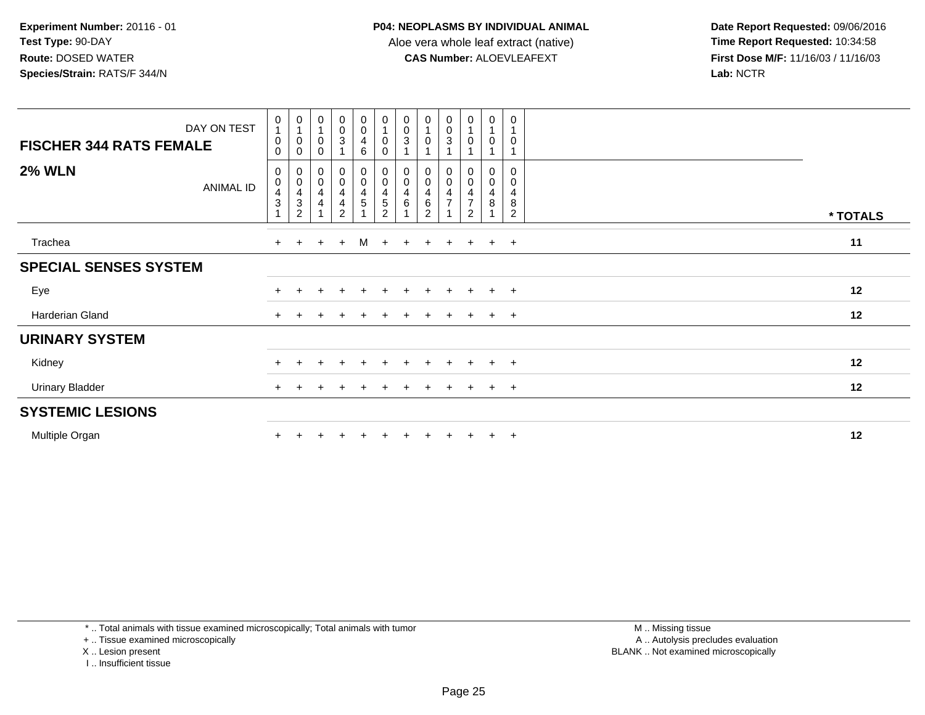**Date Report Requested:** 09/06/2016 **First Dose M/F:** 11/16/03 / 11/16/03<br>Lab: NCTR **Lab:** NCTR

|                                | DAY ON TEST | $\begin{smallmatrix}0\\1\end{smallmatrix}$<br>$\pmb{0}$ | 0<br>$\mathbf{1}$<br>$\pmb{0}$                                              | $\begin{smallmatrix}0\\1\end{smallmatrix}$<br>$\mathbf 0$ | $\begin{smallmatrix} 0\\0\\3 \end{smallmatrix}$                      | $\begin{smallmatrix}0\0\0\4\end{smallmatrix}$                                                            | $\begin{smallmatrix}0\\1\end{smallmatrix}$<br>$\pmb{0}$       | 0<br>$\pmb{0}$<br>3          | $\pmb{0}$<br>$\mathsf 0$                       | $\pmb{0}$<br>$\frac{0}{3}$                                          | 0<br>$\mathsf 0$                                          | $\pmb{0}$<br>$\overline{1}$<br>$\boldsymbol{0}$          | $\mathbf 0$<br>$\overline{1}$<br>$\mathbf 0$ |          |
|--------------------------------|-------------|---------------------------------------------------------|-----------------------------------------------------------------------------|-----------------------------------------------------------|----------------------------------------------------------------------|----------------------------------------------------------------------------------------------------------|---------------------------------------------------------------|------------------------------|------------------------------------------------|---------------------------------------------------------------------|-----------------------------------------------------------|----------------------------------------------------------|----------------------------------------------|----------|
| <b>FISCHER 344 RATS FEMALE</b> |             | $\mathbf 0$                                             | $\pmb{0}$                                                                   | 0                                                         |                                                                      | 6                                                                                                        | $\mathbf 0$                                                   |                              |                                                |                                                                     |                                                           |                                                          |                                              |          |
| <b>2% WLN</b>                  | ANIMAL ID   | $\mathbf 0$<br>$\mathbf 0$<br>$\frac{4}{3}$<br>1        | 0<br>$\pmb{0}$<br>$\overline{\mathbf{4}}$<br>$\ensuremath{\mathsf{3}}$<br>2 | $_{\rm 0}^{\rm 0}$<br>$\overline{\mathbf{4}}$<br>4        | $_{\rm 0}^{\rm 0}$<br>$\overline{\mathbf{4}}$<br>4<br>$\overline{2}$ | $\begin{smallmatrix} 0\\0 \end{smallmatrix}$<br>$\overline{\mathbf{4}}$<br>$\,$ 5 $\,$<br>$\overline{A}$ | $\begin{smallmatrix} 0\\0 \end{smallmatrix}$<br>$\frac{4}{5}$ | 0<br>$\pmb{0}$<br>4<br>$\,6$ | $_{\rm 0}^{\rm 0}$<br>4<br>6<br>$\overline{2}$ | $\begin{smallmatrix} 0\\0 \end{smallmatrix}$<br>4<br>$\overline{ }$ | 0<br>$\mathbf 0$<br>4<br>$\overline{7}$<br>$\overline{2}$ | $_{\rm 0}^{\rm 0}$<br>$\overline{\mathbf{4}}$<br>$\bf 8$ | $\mathbf 0$<br>0<br>4<br>8<br>2              | * TOTALS |
|                                |             |                                                         |                                                                             |                                                           |                                                                      |                                                                                                          |                                                               |                              |                                                |                                                                     |                                                           |                                                          |                                              |          |
| Trachea                        |             | $+$                                                     | $\ddot{}$                                                                   | $+$                                                       | $+$                                                                  | M                                                                                                        | $+$                                                           | $+$                          | $+$                                            | $+$                                                                 | $+$                                                       | $+$                                                      | $+$                                          | 11       |
| <b>SPECIAL SENSES SYSTEM</b>   |             |                                                         |                                                                             |                                                           |                                                                      |                                                                                                          |                                                               |                              |                                                |                                                                     |                                                           |                                                          |                                              |          |
| Eye                            |             | $+$                                                     |                                                                             | $+$                                                       | $\ddot{}$                                                            | $\pm$                                                                                                    | $+$                                                           | $\pm$                        | $+$                                            | $+$                                                                 | $+$                                                       | $+$                                                      | $+$                                          | 12       |
| Harderian Gland                |             | $+$                                                     |                                                                             |                                                           |                                                                      |                                                                                                          |                                                               |                              |                                                | $\div$                                                              | $+$                                                       | $+$                                                      | $+$                                          | 12       |
| <b>URINARY SYSTEM</b>          |             |                                                         |                                                                             |                                                           |                                                                      |                                                                                                          |                                                               |                              |                                                |                                                                     |                                                           |                                                          |                                              |          |
| Kidney                         |             | $+$                                                     |                                                                             |                                                           | $\ddot{}$                                                            | $\pm$                                                                                                    | $\pm$                                                         | $\pm$                        |                                                | $+$                                                                 | $+$                                                       | $+$                                                      | $+$                                          | 12       |
| <b>Urinary Bladder</b>         |             | $+$                                                     |                                                                             |                                                           |                                                                      |                                                                                                          |                                                               |                              |                                                |                                                                     | ÷.                                                        | $+$                                                      | $+$                                          | 12       |
| <b>SYSTEMIC LESIONS</b>        |             |                                                         |                                                                             |                                                           |                                                                      |                                                                                                          |                                                               |                              |                                                |                                                                     |                                                           |                                                          |                                              |          |
| Multiple Organ                 |             |                                                         |                                                                             |                                                           |                                                                      |                                                                                                          |                                                               |                              |                                                |                                                                     |                                                           | $\pm$                                                    | $+$                                          | 12       |

\* .. Total animals with tissue examined microscopically; Total animals with tumor

+ .. Tissue examined microscopically

X .. Lesion present

I .. Insufficient tissue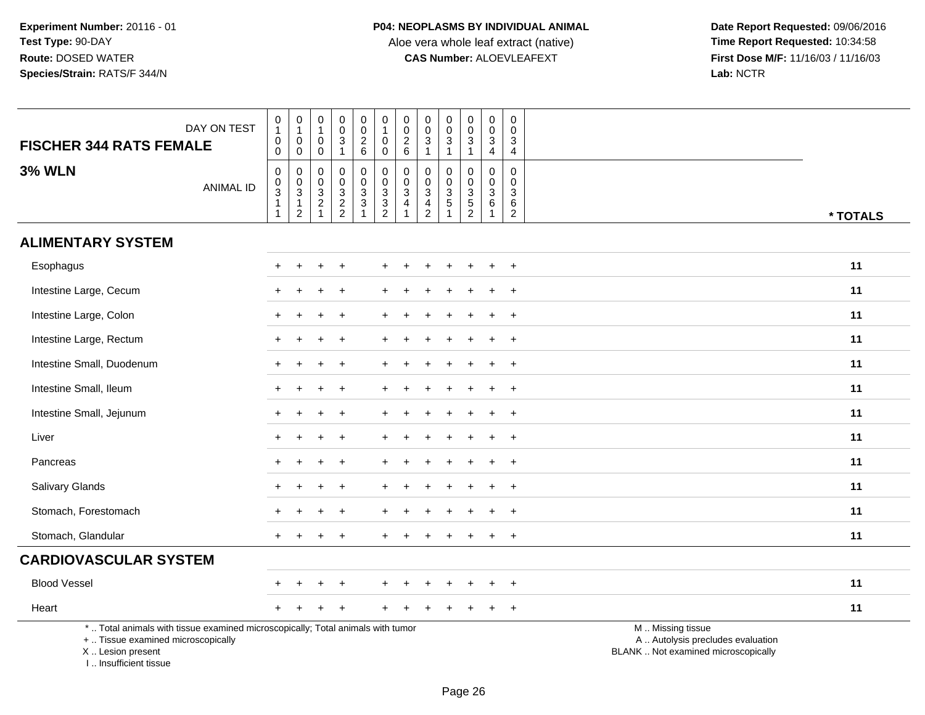| <b>FISCHER 344 RATS FEMALE</b>                                                                                                                                      | DAY ON TEST      | $\begin{smallmatrix}0\\1\end{smallmatrix}$<br>$\mathbf 0$<br>$\mathbf 0$ | $\begin{smallmatrix}0\\1\end{smallmatrix}$<br>$\mathsf{O}\xspace$<br>$\mathbf 0$ | $\pmb{0}$<br>$\mathbf{1}$<br>$\mathbf 0$<br>$\mathbf 0$         | $\pmb{0}$<br>$\mathbf 0$<br>$\sqrt{3}$<br>$\mathbf{1}$ | $\pmb{0}$<br>$\mathsf{O}\xspace$<br>$\overline{2}$<br>6 | $\begin{smallmatrix}0\\1\end{smallmatrix}$<br>$\mathbf 0$<br>$\mathbf 0$ | $\pmb{0}$<br>$\frac{0}{2}$<br>$\,6\,$                | $\pmb{0}$<br>0<br>$\mathbf{3}$<br>$\mathbf{1}$  | $\begin{smallmatrix} 0\\0 \end{smallmatrix}$<br>$\sqrt{3}$<br>$\mathbf{1}$       | 0<br>$\pmb{0}$<br>$\mathbf{3}$<br>$\overline{1}$ | $\pmb{0}$<br>$\mathsf 0$<br>$\mathsf 3$<br>$\overline{4}$                       | 0<br>$\mathbf 0$<br>3<br>$\overline{4}$   |                                                                                               |
|---------------------------------------------------------------------------------------------------------------------------------------------------------------------|------------------|--------------------------------------------------------------------------|----------------------------------------------------------------------------------|-----------------------------------------------------------------|--------------------------------------------------------|---------------------------------------------------------|--------------------------------------------------------------------------|------------------------------------------------------|-------------------------------------------------|----------------------------------------------------------------------------------|--------------------------------------------------|---------------------------------------------------------------------------------|-------------------------------------------|-----------------------------------------------------------------------------------------------|
| <b>3% WLN</b>                                                                                                                                                       | <b>ANIMAL ID</b> | $\mathbf 0$<br>$\pmb{0}$<br>3<br>1<br>$\overline{1}$                     | $\mathbf 0$<br>$_{3}^{\rm 0}$<br>$\mathbf{1}$<br>$\overline{2}$                  | $\Omega$<br>0<br>3<br>$\overline{\mathbf{c}}$<br>$\overline{1}$ | $\Omega$<br>$\mathbf 0$<br>3<br>$\frac{2}{2}$          | 0<br>$\mathbf 0$<br>3<br>$\sqrt{3}$                     | $\mathbf 0$<br>$\mathbf 0$<br>$\frac{3}{2}$                              | 0<br>$\ddot{\mathbf{0}}$<br>3<br>4<br>$\overline{1}$ | 0<br>0<br>3<br>$\overline{4}$<br>$\overline{2}$ | $\mathbf 0$<br>$\mathbf 0$<br>$\overline{3}$<br>$\overline{5}$<br>$\overline{1}$ | $\mathbf 0$<br>0<br>$\mathsf 3$<br>$\frac{5}{2}$ | $\mathbf 0$<br>$\mathsf 0$<br>$\mathbf{3}$<br>$6\phantom{1}6$<br>$\overline{1}$ | $\Omega$<br>0<br>3<br>6<br>$\overline{a}$ | * TOTALS                                                                                      |
| <b>ALIMENTARY SYSTEM</b>                                                                                                                                            |                  |                                                                          |                                                                                  |                                                                 |                                                        |                                                         |                                                                          |                                                      |                                                 |                                                                                  |                                                  |                                                                                 |                                           |                                                                                               |
| Esophagus                                                                                                                                                           |                  |                                                                          |                                                                                  |                                                                 |                                                        |                                                         |                                                                          |                                                      |                                                 |                                                                                  |                                                  |                                                                                 | $\ddot{}$                                 | 11                                                                                            |
| Intestine Large, Cecum                                                                                                                                              |                  |                                                                          |                                                                                  |                                                                 |                                                        |                                                         |                                                                          |                                                      |                                                 |                                                                                  |                                                  |                                                                                 |                                           | 11                                                                                            |
| Intestine Large, Colon                                                                                                                                              |                  |                                                                          |                                                                                  |                                                                 | $\ddot{}$                                              |                                                         |                                                                          |                                                      |                                                 |                                                                                  |                                                  |                                                                                 | $\ddot{}$                                 | 11                                                                                            |
| Intestine Large, Rectum                                                                                                                                             |                  |                                                                          |                                                                                  | +                                                               | $\div$                                                 |                                                         |                                                                          |                                                      |                                                 |                                                                                  |                                                  | ÷                                                                               | $+$                                       | 11                                                                                            |
| Intestine Small, Duodenum                                                                                                                                           |                  |                                                                          |                                                                                  |                                                                 |                                                        |                                                         |                                                                          |                                                      |                                                 |                                                                                  |                                                  |                                                                                 | $\ddot{}$                                 | 11                                                                                            |
| Intestine Small, Ileum                                                                                                                                              |                  | $\div$                                                                   |                                                                                  | $\ddot{}$                                                       | $\ddot{}$                                              |                                                         |                                                                          |                                                      |                                                 |                                                                                  |                                                  |                                                                                 | $\overline{ }$                            | 11                                                                                            |
| Intestine Small, Jejunum                                                                                                                                            |                  | $+$                                                                      |                                                                                  | +                                                               | $\ddot{}$                                              |                                                         |                                                                          |                                                      |                                                 |                                                                                  | $\pm$                                            | $\ddot{}$                                                                       | $\ddot{}$                                 | 11                                                                                            |
| Liver                                                                                                                                                               |                  |                                                                          |                                                                                  |                                                                 |                                                        |                                                         |                                                                          |                                                      |                                                 |                                                                                  |                                                  |                                                                                 | $\overline{+}$                            | 11                                                                                            |
| Pancreas                                                                                                                                                            |                  |                                                                          |                                                                                  | +                                                               |                                                        |                                                         |                                                                          |                                                      |                                                 |                                                                                  |                                                  |                                                                                 | $\ddot{}$                                 | 11                                                                                            |
| Salivary Glands                                                                                                                                                     |                  | $+$                                                                      |                                                                                  | $\ddot{}$                                                       | $+$                                                    |                                                         |                                                                          |                                                      |                                                 |                                                                                  |                                                  | $\div$                                                                          | $\ddot{}$                                 | 11                                                                                            |
| Stomach, Forestomach                                                                                                                                                |                  |                                                                          |                                                                                  |                                                                 |                                                        |                                                         |                                                                          |                                                      |                                                 |                                                                                  |                                                  |                                                                                 | $\ddot{}$                                 | 11                                                                                            |
| Stomach, Glandular                                                                                                                                                  |                  |                                                                          |                                                                                  |                                                                 |                                                        |                                                         |                                                                          |                                                      |                                                 |                                                                                  |                                                  |                                                                                 | $\div$                                    | 11                                                                                            |
| <b>CARDIOVASCULAR SYSTEM</b>                                                                                                                                        |                  |                                                                          |                                                                                  |                                                                 |                                                        |                                                         |                                                                          |                                                      |                                                 |                                                                                  |                                                  |                                                                                 |                                           |                                                                                               |
| <b>Blood Vessel</b>                                                                                                                                                 |                  |                                                                          |                                                                                  |                                                                 |                                                        |                                                         |                                                                          |                                                      |                                                 |                                                                                  |                                                  |                                                                                 | $\ddot{}$                                 | 11                                                                                            |
| Heart                                                                                                                                                               |                  |                                                                          |                                                                                  |                                                                 |                                                        |                                                         |                                                                          |                                                      |                                                 |                                                                                  |                                                  |                                                                                 | $\ddot{}$                                 | 11                                                                                            |
| *  Total animals with tissue examined microscopically; Total animals with tumor<br>+  Tissue examined microscopically<br>X  Lesion present<br>I Insufficient tissue |                  |                                                                          |                                                                                  |                                                                 |                                                        |                                                         |                                                                          |                                                      |                                                 |                                                                                  |                                                  |                                                                                 |                                           | M  Missing tissue<br>A  Autolysis precludes evaluation<br>BLANK  Not examined microscopically |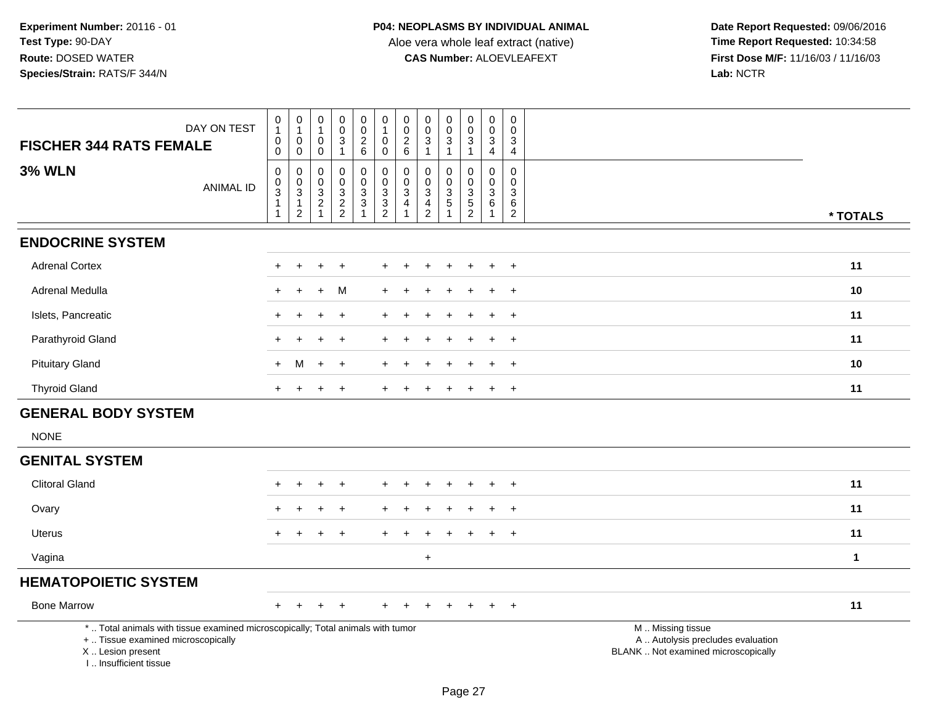| DAY ON TEST<br><b>FISCHER 344 RATS FEMALE</b>                                                                                                                       |                  | $\,0\,$<br>$\mathbf{1}$<br>$\pmb{0}$<br>$\pmb{0}$           | $\pmb{0}$<br>$\mathbf{1}$<br>$\mathbf 0$<br>$\mathbf 0$                        | $\pmb{0}$<br>1<br>$\pmb{0}$<br>$\mathsf{O}\xspace$                                     | $\pmb{0}$<br>$\pmb{0}$<br>$\sqrt{3}$<br>$\mathbf{1}$                  | $\pmb{0}$<br>$\frac{0}{2}$<br>$\,6\,$                      | 0<br>$\mathbf{1}$<br>0<br>$\mathbf 0$                     | $\begin{array}{c} 0 \\ 0 \\ 2 \\ 6 \end{array}$                              | $\pmb{0}$<br>$\mathbf 0$<br>$\mathbf{3}$<br>$\overline{1}$       | $\pmb{0}$<br>$\mathbf 0$<br>$\sqrt{3}$<br>$\mathbf{1}$                  | 0<br>$\pmb{0}$<br>$\overline{3}$<br>$\mathbf{1}$                       | $\pmb{0}$<br>$\pmb{0}$<br>$\ensuremath{\mathsf{3}}$<br>$\overline{4}$ | $\mathbf 0$<br>$\mathbf 0$<br>3<br>$\overline{4}$                        |                                                                                               |
|---------------------------------------------------------------------------------------------------------------------------------------------------------------------|------------------|-------------------------------------------------------------|--------------------------------------------------------------------------------|----------------------------------------------------------------------------------------|-----------------------------------------------------------------------|------------------------------------------------------------|-----------------------------------------------------------|------------------------------------------------------------------------------|------------------------------------------------------------------|-------------------------------------------------------------------------|------------------------------------------------------------------------|-----------------------------------------------------------------------|--------------------------------------------------------------------------|-----------------------------------------------------------------------------------------------|
| <b>3% WLN</b>                                                                                                                                                       | <b>ANIMAL ID</b> | $\pmb{0}$<br>$_{3}^{\rm 0}$<br>$\mathbf{1}$<br>$\mathbf{1}$ | $\mathbf 0$<br>$\mathbf 0$<br>$\overline{3}$<br>$\mathbf{1}$<br>$\overline{2}$ | $\Omega$<br>$\pmb{0}$<br>$\ensuremath{\mathsf{3}}$<br>$\boldsymbol{2}$<br>$\mathbf{1}$ | $\Omega$<br>$\mathbf 0$<br>$\ensuremath{\mathsf{3}}$<br>$\frac{2}{2}$ | $\mathbf 0$<br>$\pmb{0}$<br>$\overline{3}$<br>$\mathbf{3}$ | $\mathbf 0$<br>$\mathbf 0$<br>$\sqrt{3}$<br>$\frac{3}{2}$ | $\mathbf 0$<br>$\pmb{0}$<br>$\overline{3}$<br>$\overline{4}$<br>$\mathbf{1}$ | $\Omega$<br>$\mathbf 0$<br>3<br>$\overline{4}$<br>$\overline{2}$ | $\Omega$<br>$\mathbf 0$<br>$\mathbf{3}$<br>$\sqrt{5}$<br>$\overline{1}$ | 0<br>$\mathsf{O}\xspace$<br>$\ensuremath{\mathsf{3}}$<br>$\frac{5}{2}$ | $\mathbf 0$<br>$\mathbf 0$<br>$\mathbf 3$<br>6<br>$\mathbf{1}$        | $\mathbf{0}$<br>$\mathbf 0$<br>$\mathbf{3}$<br>$\,6\,$<br>$\overline{2}$ | * TOTALS                                                                                      |
| <b>ENDOCRINE SYSTEM</b>                                                                                                                                             |                  |                                                             |                                                                                |                                                                                        |                                                                       |                                                            |                                                           |                                                                              |                                                                  |                                                                         |                                                                        |                                                                       |                                                                          |                                                                                               |
| <b>Adrenal Cortex</b>                                                                                                                                               |                  |                                                             |                                                                                |                                                                                        |                                                                       |                                                            |                                                           |                                                                              |                                                                  |                                                                         |                                                                        |                                                                       | $\ddot{}$                                                                | 11                                                                                            |
| Adrenal Medulla                                                                                                                                                     |                  |                                                             |                                                                                | ÷                                                                                      | м                                                                     |                                                            |                                                           |                                                                              |                                                                  |                                                                         |                                                                        |                                                                       | $\overline{1}$                                                           | 10                                                                                            |
| Islets, Pancreatic                                                                                                                                                  |                  |                                                             |                                                                                |                                                                                        |                                                                       |                                                            |                                                           |                                                                              |                                                                  |                                                                         |                                                                        |                                                                       | $\div$                                                                   | 11                                                                                            |
| Parathyroid Gland                                                                                                                                                   |                  |                                                             |                                                                                |                                                                                        | $\div$                                                                |                                                            |                                                           |                                                                              |                                                                  |                                                                         |                                                                        |                                                                       | $\overline{1}$                                                           | 11                                                                                            |
| <b>Pituitary Gland</b>                                                                                                                                              |                  | $+$                                                         | м                                                                              | $+$                                                                                    | $\ddot{}$                                                             |                                                            |                                                           |                                                                              |                                                                  |                                                                         |                                                                        |                                                                       | $\div$                                                                   | 10                                                                                            |
| <b>Thyroid Gland</b>                                                                                                                                                |                  | $\pm$                                                       |                                                                                |                                                                                        | $\ddot{}$                                                             |                                                            | $\pm$                                                     |                                                                              |                                                                  |                                                                         |                                                                        |                                                                       | $\ddot{}$                                                                | 11                                                                                            |
| <b>GENERAL BODY SYSTEM</b>                                                                                                                                          |                  |                                                             |                                                                                |                                                                                        |                                                                       |                                                            |                                                           |                                                                              |                                                                  |                                                                         |                                                                        |                                                                       |                                                                          |                                                                                               |
| <b>NONE</b>                                                                                                                                                         |                  |                                                             |                                                                                |                                                                                        |                                                                       |                                                            |                                                           |                                                                              |                                                                  |                                                                         |                                                                        |                                                                       |                                                                          |                                                                                               |
| <b>GENITAL SYSTEM</b>                                                                                                                                               |                  |                                                             |                                                                                |                                                                                        |                                                                       |                                                            |                                                           |                                                                              |                                                                  |                                                                         |                                                                        |                                                                       |                                                                          |                                                                                               |
| <b>Clitoral Gland</b>                                                                                                                                               |                  |                                                             |                                                                                |                                                                                        |                                                                       |                                                            |                                                           |                                                                              |                                                                  |                                                                         |                                                                        |                                                                       | $\pm$                                                                    | 11                                                                                            |
| Ovary                                                                                                                                                               |                  |                                                             |                                                                                |                                                                                        |                                                                       |                                                            |                                                           |                                                                              |                                                                  |                                                                         |                                                                        |                                                                       | $\ddot{}$                                                                | 11                                                                                            |
| <b>Uterus</b>                                                                                                                                                       |                  |                                                             |                                                                                |                                                                                        |                                                                       |                                                            |                                                           |                                                                              |                                                                  |                                                                         |                                                                        |                                                                       | $\ddot{}$                                                                | 11                                                                                            |
| Vagina                                                                                                                                                              |                  |                                                             |                                                                                |                                                                                        |                                                                       |                                                            |                                                           |                                                                              | $+$                                                              |                                                                         |                                                                        |                                                                       |                                                                          | $\mathbf 1$                                                                                   |
| <b>HEMATOPOIETIC SYSTEM</b>                                                                                                                                         |                  |                                                             |                                                                                |                                                                                        |                                                                       |                                                            |                                                           |                                                                              |                                                                  |                                                                         |                                                                        |                                                                       |                                                                          |                                                                                               |
| <b>Bone Marrow</b>                                                                                                                                                  |                  | ÷                                                           |                                                                                |                                                                                        |                                                                       |                                                            |                                                           |                                                                              |                                                                  |                                                                         |                                                                        |                                                                       | $\div$                                                                   | 11                                                                                            |
| *  Total animals with tissue examined microscopically; Total animals with tumor<br>+  Tissue examined microscopically<br>X  Lesion present<br>I Insufficient tissue |                  |                                                             |                                                                                |                                                                                        |                                                                       |                                                            |                                                           |                                                                              |                                                                  |                                                                         |                                                                        |                                                                       |                                                                          | M  Missing tissue<br>A  Autolysis precludes evaluation<br>BLANK  Not examined microscopically |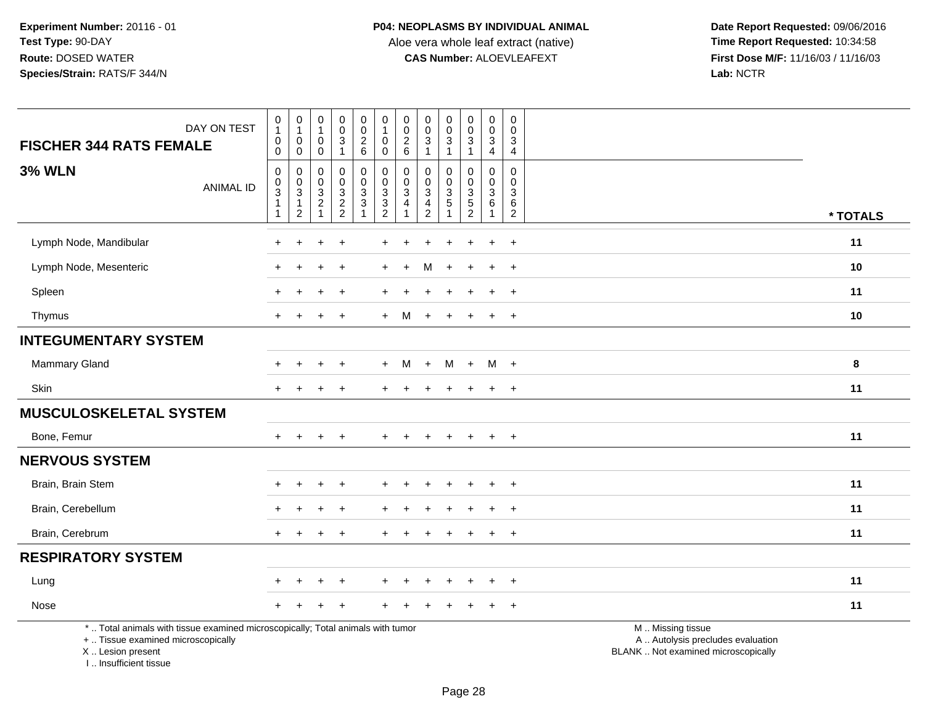**Date Report Requested:** 09/06/2016 **First Dose M/F:** 11/16/03 / 11/16/03<br>Lab: NCTR **Lab:** NCTR

| DAY ON TEST<br><b>FISCHER 344 RATS FEMALE</b>                                                                                              | $\begin{smallmatrix}0\\1\end{smallmatrix}$<br>$\pmb{0}$<br>$\mathbf 0$ | $\pmb{0}$<br>$\mathbf{1}$<br>$\mathsf 0$<br>0 | $\pmb{0}$<br>$\overline{1}$<br>$\pmb{0}$<br>$\mathbf 0$    | $\begin{smallmatrix} 0\\0\\3 \end{smallmatrix}$<br>$\mathbf{1}$ | 0<br>$\frac{0}{2}$ 6                  | $\begin{smallmatrix}0\\1\end{smallmatrix}$<br>$\mathbf 0$<br>$\mathbf 0$ | $\pmb{0}$<br>$\pmb{0}$<br>$\frac{2}{6}$      | $\pmb{0}$<br>$\mathbf 0$<br>$\mathbf 3$<br>$\mathbf{1}$                   | 0<br>$\mathsf{O}\xspace$<br>3<br>$\mathbf{1}$ | $\begin{smallmatrix} 0\\0\\3 \end{smallmatrix}$<br>$\mathbf{1}$ | $\pmb{0}$<br>$\pmb{0}$<br>$\frac{3}{4}$                         | $\mathbf 0$<br>$\mathbf 0$<br>$\mathbf{3}$<br>$\overline{4}$ |                                                                                               |          |
|--------------------------------------------------------------------------------------------------------------------------------------------|------------------------------------------------------------------------|-----------------------------------------------|------------------------------------------------------------|-----------------------------------------------------------------|---------------------------------------|--------------------------------------------------------------------------|----------------------------------------------|---------------------------------------------------------------------------|-----------------------------------------------|-----------------------------------------------------------------|-----------------------------------------------------------------|--------------------------------------------------------------|-----------------------------------------------------------------------------------------------|----------|
| <b>3% WLN</b><br><b>ANIMAL ID</b>                                                                                                          | $\mathbf 0$<br>$\pmb{0}$<br>3<br>$\mathbf{1}$<br>$\mathbf{1}$          | 0<br>$\mathbf 0$<br>3<br>1<br>$\overline{c}$  | 0<br>0<br>$\overline{3}$<br>$\overline{c}$<br>$\mathbf{1}$ | $\pmb{0}$<br>$\mathbf 0$<br>$\frac{3}{2}$                       | 0<br>$\mathbf 0$<br>3<br>$\mathbf{3}$ | $\pmb{0}$<br>$\pmb{0}$<br>$\sqrt{3}$<br>$\frac{3}{2}$                    | 0<br>$\mathbf 0$<br>3<br>4<br>$\overline{1}$ | $\Omega$<br>$\mathbf 0$<br>3<br>$\overline{\mathbf{4}}$<br>$\overline{2}$ | 0<br>$\mathbf 0$<br>3<br>5<br>1               | 0<br>$\mathbf 0$<br>$\mathbf{3}$<br>$\frac{5}{2}$               | $\Omega$<br>$\mathbf 0$<br>$\sqrt{3}$<br>$\,6\,$<br>$\mathbf 1$ | $\Omega$<br>$\mathbf 0$<br>3<br>6<br>$\overline{2}$          |                                                                                               | * TOTALS |
| Lymph Node, Mandibular                                                                                                                     | $\ddot{}$                                                              | $\ddot{}$                                     |                                                            | $\overline{+}$                                                  |                                       |                                                                          |                                              |                                                                           |                                               | $\div$                                                          | $\ddot{}$                                                       | $\ddot{}$                                                    |                                                                                               | 11       |
| Lymph Node, Mesenteric                                                                                                                     |                                                                        |                                               |                                                            | $\overline{+}$                                                  |                                       |                                                                          |                                              | м                                                                         |                                               |                                                                 | $\ddot{}$                                                       | $\pm$                                                        |                                                                                               | 10       |
| Spleen                                                                                                                                     |                                                                        |                                               |                                                            |                                                                 |                                       |                                                                          |                                              |                                                                           |                                               |                                                                 |                                                                 |                                                              |                                                                                               | 11       |
| Thymus                                                                                                                                     | $+$                                                                    | $\div$                                        | $\pm$                                                      | $+$                                                             |                                       | $+$                                                                      | M                                            | $+$                                                                       | $+$                                           | $+$                                                             | $+$                                                             | $+$                                                          |                                                                                               | 10       |
| <b>INTEGUMENTARY SYSTEM</b>                                                                                                                |                                                                        |                                               |                                                            |                                                                 |                                       |                                                                          |                                              |                                                                           |                                               |                                                                 |                                                                 |                                                              |                                                                                               |          |
| Mammary Gland                                                                                                                              |                                                                        |                                               |                                                            | $+$                                                             |                                       | $+$                                                                      | M                                            | $+$                                                                       | M                                             | $+$                                                             | $M +$                                                           |                                                              |                                                                                               | 8        |
| Skin                                                                                                                                       | $\ddot{}$                                                              | $\ddot{}$                                     |                                                            | $\ddot{}$                                                       |                                       |                                                                          |                                              |                                                                           |                                               | $\ddot{}$                                                       | $\ddot{}$                                                       | $+$                                                          |                                                                                               | 11       |
| <b>MUSCULOSKELETAL SYSTEM</b>                                                                                                              |                                                                        |                                               |                                                            |                                                                 |                                       |                                                                          |                                              |                                                                           |                                               |                                                                 |                                                                 |                                                              |                                                                                               |          |
| Bone, Femur                                                                                                                                | $+$                                                                    | $+$                                           | $+$                                                        | $+$                                                             |                                       | $+$                                                                      | $+$                                          | $\ddot{}$                                                                 | $+$                                           | $+$                                                             | $+$                                                             | $+$                                                          |                                                                                               | 11       |
| <b>NERVOUS SYSTEM</b>                                                                                                                      |                                                                        |                                               |                                                            |                                                                 |                                       |                                                                          |                                              |                                                                           |                                               |                                                                 |                                                                 |                                                              |                                                                                               |          |
| Brain, Brain Stem                                                                                                                          |                                                                        |                                               |                                                            |                                                                 |                                       |                                                                          |                                              |                                                                           |                                               |                                                                 |                                                                 | $\ddot{}$                                                    |                                                                                               | 11       |
| Brain, Cerebellum                                                                                                                          |                                                                        |                                               |                                                            | $\overline{+}$                                                  |                                       |                                                                          |                                              |                                                                           |                                               |                                                                 | $\ddot{}$                                                       | $\ddot{}$                                                    |                                                                                               | 11       |
| Brain, Cerebrum                                                                                                                            | $+$                                                                    | $\div$                                        |                                                            | $\ddot{}$                                                       |                                       |                                                                          |                                              |                                                                           |                                               |                                                                 | $\ddot{}$                                                       | $+$                                                          |                                                                                               | 11       |
| <b>RESPIRATORY SYSTEM</b>                                                                                                                  |                                                                        |                                               |                                                            |                                                                 |                                       |                                                                          |                                              |                                                                           |                                               |                                                                 |                                                                 |                                                              |                                                                                               |          |
| Lung                                                                                                                                       | $\ddot{}$                                                              | $\ddot{}$                                     | $\ddot{}$                                                  | $\overline{+}$                                                  |                                       |                                                                          | $\ddot{}$                                    | $\ddot{}$                                                                 | $\ddot{}$                                     | $+$                                                             | $+$                                                             | $+$                                                          |                                                                                               | 11       |
| Nose                                                                                                                                       |                                                                        |                                               |                                                            |                                                                 |                                       |                                                                          |                                              |                                                                           |                                               |                                                                 | $\pm$                                                           | $+$                                                          |                                                                                               | 11       |
| *  Total animals with tissue examined microscopically; Total animals with tumor<br>+  Tissue examined microscopically<br>X  Lesion present |                                                                        |                                               |                                                            |                                                                 |                                       |                                                                          |                                              |                                                                           |                                               |                                                                 |                                                                 |                                                              | M  Missing tissue<br>A  Autolysis precludes evaluation<br>BLANK  Not examined microscopically |          |

I .. Insufficient tissue